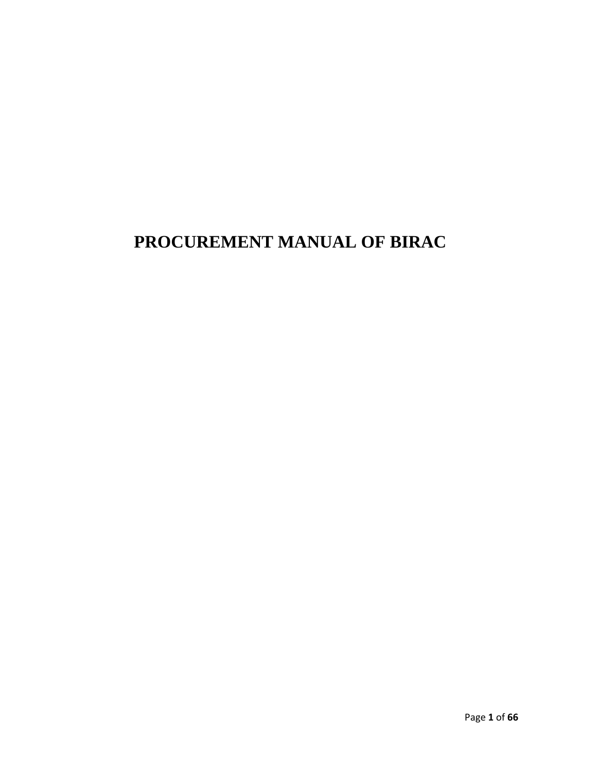# **PROCUREMENT MANUAL OF BIRAC**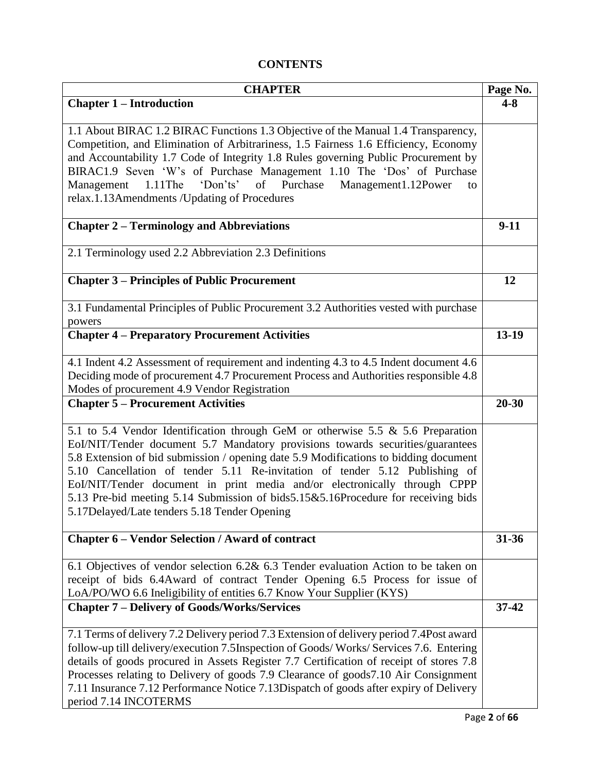# **CONTENTS**

| <b>CHAPTER</b>                                                                                  | Page No.  |
|-------------------------------------------------------------------------------------------------|-----------|
| <b>Chapter 1 – Introduction</b>                                                                 | $4 - 8$   |
| 1.1 About BIRAC 1.2 BIRAC Functions 1.3 Objective of the Manual 1.4 Transparency,               |           |
| Competition, and Elimination of Arbitrariness, 1.5 Fairness 1.6 Efficiency, Economy             |           |
| and Accountability 1.7 Code of Integrity 1.8 Rules governing Public Procurement by              |           |
| BIRAC1.9 Seven 'W's of Purchase Management 1.10 The 'Dos' of Purchase                           |           |
| 1.11The 'Don'ts' of Purchase Management1.12Power<br>Management<br>to                            |           |
| relax.1.13Amendments /Updating of Procedures                                                    |           |
| <b>Chapter 2 - Terminology and Abbreviations</b>                                                | $9-11$    |
| 2.1 Terminology used 2.2 Abbreviation 2.3 Definitions                                           |           |
| <b>Chapter 3 – Principles of Public Procurement</b>                                             | 12        |
| 3.1 Fundamental Principles of Public Procurement 3.2 Authorities vested with purchase<br>powers |           |
| <b>Chapter 4 - Preparatory Procurement Activities</b>                                           | $13-19$   |
|                                                                                                 |           |
| 4.1 Indent 4.2 Assessment of requirement and indenting 4.3 to 4.5 Indent document 4.6           |           |
| Deciding mode of procurement 4.7 Procurement Process and Authorities responsible 4.8            |           |
| Modes of procurement 4.9 Vendor Registration                                                    |           |
| <b>Chapter 5 – Procurement Activities</b>                                                       | 20-30     |
| 5.1 to 5.4 Vendor Identification through GeM or otherwise 5.5 & 5.6 Preparation                 |           |
| EoI/NIT/Tender document 5.7 Mandatory provisions towards securities/guarantees                  |           |
| 5.8 Extension of bid submission / opening date 5.9 Modifications to bidding document            |           |
| 5.10 Cancellation of tender 5.11 Re-invitation of tender 5.12 Publishing of                     |           |
| EoI/NIT/Tender document in print media and/or electronically through CPPP                       |           |
| 5.13 Pre-bid meeting 5.14 Submission of bids5.15&5.16Procedure for receiving bids               |           |
| 5.17Delayed/Late tenders 5.18 Tender Opening                                                    |           |
| <b>Chapter 6 - Vendor Selection / Award of contract</b>                                         | $31 - 36$ |
| 6.1 Objectives of vendor selection 6.2& 6.3 Tender evaluation Action to be taken on             |           |
| receipt of bids 6.4Award of contract Tender Opening 6.5 Process for issue of                    |           |
| LoA/PO/WO 6.6 Ineligibility of entities 6.7 Know Your Supplier (KYS)                            |           |
| <b>Chapter 7 - Delivery of Goods/Works/Services</b>                                             | $37 - 42$ |
| 7.1 Terms of delivery 7.2 Delivery period 7.3 Extension of delivery period 7.4 Post award       |           |
| follow-up till delivery/execution 7.5Inspection of Goods/Works/Services 7.6. Entering           |           |
| details of goods procured in Assets Register 7.7 Certification of receipt of stores 7.8         |           |
| Processes relating to Delivery of goods 7.9 Clearance of goods 7.10 Air Consignment             |           |
| 7.11 Insurance 7.12 Performance Notice 7.13Dispatch of goods after expiry of Delivery           |           |
| period 7.14 INCOTERMS                                                                           |           |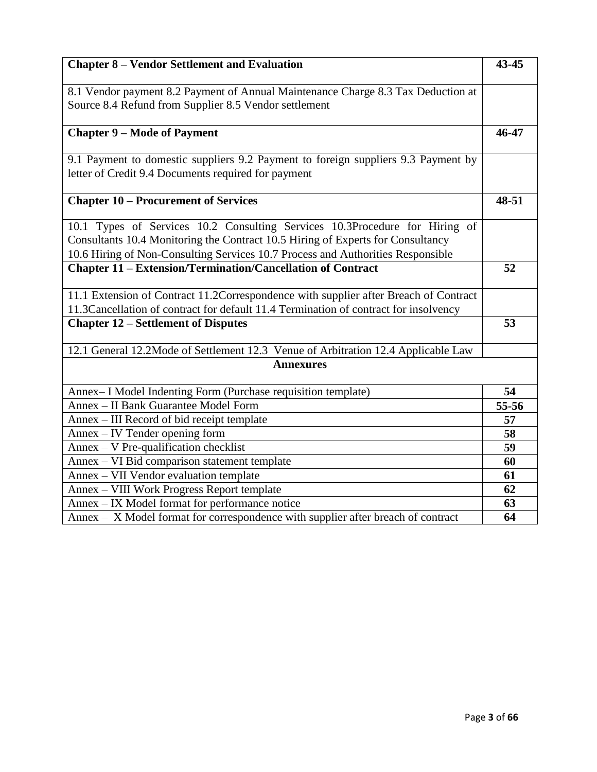| <b>Chapter 8 - Vendor Settlement and Evaluation</b>                                                                                                                                                                                               | 43-45 |
|---------------------------------------------------------------------------------------------------------------------------------------------------------------------------------------------------------------------------------------------------|-------|
| 8.1 Vendor payment 8.2 Payment of Annual Maintenance Charge 8.3 Tax Deduction at<br>Source 8.4 Refund from Supplier 8.5 Vendor settlement                                                                                                         |       |
| <b>Chapter 9 - Mode of Payment</b>                                                                                                                                                                                                                | 46-47 |
| 9.1 Payment to domestic suppliers 9.2 Payment to foreign suppliers 9.3 Payment by<br>letter of Credit 9.4 Documents required for payment                                                                                                          |       |
| <b>Chapter 10 – Procurement of Services</b>                                                                                                                                                                                                       | 48-51 |
| 10.1 Types of Services 10.2 Consulting Services 10.3Procedure for Hiring of<br>Consultants 10.4 Monitoring the Contract 10.5 Hiring of Experts for Consultancy<br>10.6 Hiring of Non-Consulting Services 10.7 Process and Authorities Responsible |       |
| <b>Chapter 11 - Extension/Termination/Cancellation of Contract</b>                                                                                                                                                                                | 52    |
| 11.1 Extension of Contract 11.2Correspondence with supplier after Breach of Contract<br>11.3Cancellation of contract for default 11.4 Termination of contract for insolvency                                                                      |       |
| <b>Chapter 12 – Settlement of Disputes</b>                                                                                                                                                                                                        | 53    |
| 12.1 General 12.2Mode of Settlement 12.3 Venue of Arbitration 12.4 Applicable Law                                                                                                                                                                 |       |
| <b>Annexures</b>                                                                                                                                                                                                                                  |       |
| Annex-I Model Indenting Form (Purchase requisition template)                                                                                                                                                                                      | 54    |
| Annex - II Bank Guarantee Model Form                                                                                                                                                                                                              | 55-56 |
| Annex – III Record of bid receipt template                                                                                                                                                                                                        | 57    |
| Annex – IV Tender opening form                                                                                                                                                                                                                    | 58    |
| Annex - V Pre-qualification checklist                                                                                                                                                                                                             | 59    |
| Annex - VI Bid comparison statement template                                                                                                                                                                                                      | 60    |
| Annex - VII Vendor evaluation template                                                                                                                                                                                                            | 61    |
| Annex - VIII Work Progress Report template                                                                                                                                                                                                        | 62    |
| Annex - IX Model format for performance notice                                                                                                                                                                                                    | 63    |
| Annex – X Model format for correspondence with supplier after breach of contract                                                                                                                                                                  | 64    |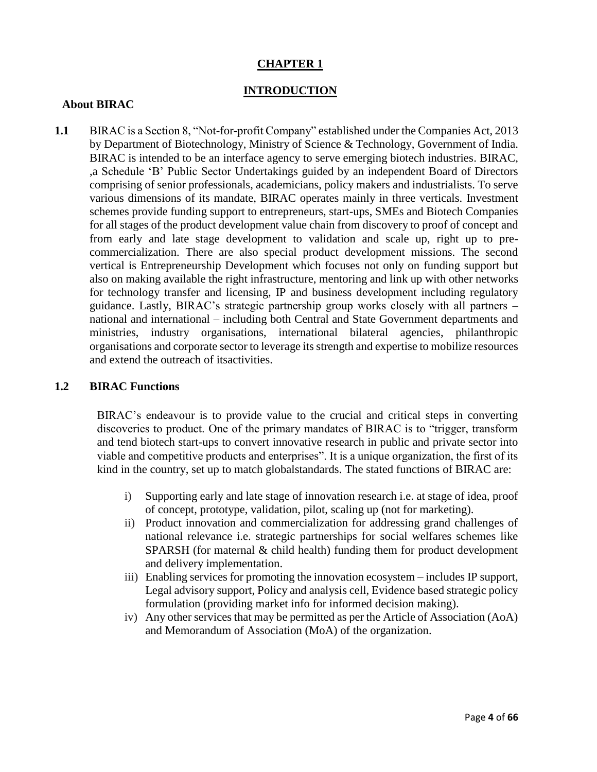# **CHAPTER 1**

## **INTRODUCTION**

### **About BIRAC**

**1.1** BIRAC is a Section 8, "Not-for-profit Company" established under the Companies Act, 2013 by Department of Biotechnology, Ministry of Science & Technology, Government of India. BIRAC is intended to be an interface agency to serve emerging biotech industries. BIRAC, ,a Schedule 'B' Public Sector Undertakings guided by an independent Board of Directors comprising of senior professionals, academicians, policy makers and industrialists. To serve various dimensions of its mandate, BIRAC operates mainly in three verticals. Investment schemes provide funding support to entrepreneurs, start-ups, SMEs and Biotech Companies for all stages of the product development value chain from discovery to proof of concept and from early and late stage development to validation and scale up, right up to precommercialization. There are also special product development missions. The second vertical is Entrepreneurship Development which focuses not only on funding support but also on making available the right infrastructure, mentoring and link up with other networks for technology transfer and licensing, IP and business development including regulatory guidance. Lastly, BIRAC's strategic partnership group works closely with all partners – national and international – including both Central and State Government departments and ministries, industry organisations, international bilateral agencies, philanthropic organisations and corporate sector to leverage its strength and expertise to mobilize resources and extend the outreach of itsactivities.

#### **1.2 BIRAC Functions**

BIRAC's endeavour is to provide value to the crucial and critical steps in converting discoveries to product. One of the primary mandates of BIRAC is to "trigger, transform and tend biotech start-ups to convert innovative research in public and private sector into viable and competitive products and enterprises". It is a unique organization, the first of its kind in the country, set up to match globalstandards. The stated functions of BIRAC are:

- i) Supporting early and late stage of innovation research i.e. at stage of idea, proof of concept, prototype, validation, pilot, scaling up (not for marketing).
- ii) Product innovation and commercialization for addressing grand challenges of national relevance i.e. strategic partnerships for social welfares schemes like SPARSH (for maternal & child health) funding them for product development and delivery implementation.
- iii) Enabling services for promoting the innovation ecosystem includes IP support, Legal advisory support, Policy and analysis cell, Evidence based strategic policy formulation (providing market info for informed decision making).
- iv) Any other services that may be permitted as per the Article of Association (AoA) and Memorandum of Association (MoA) of the organization.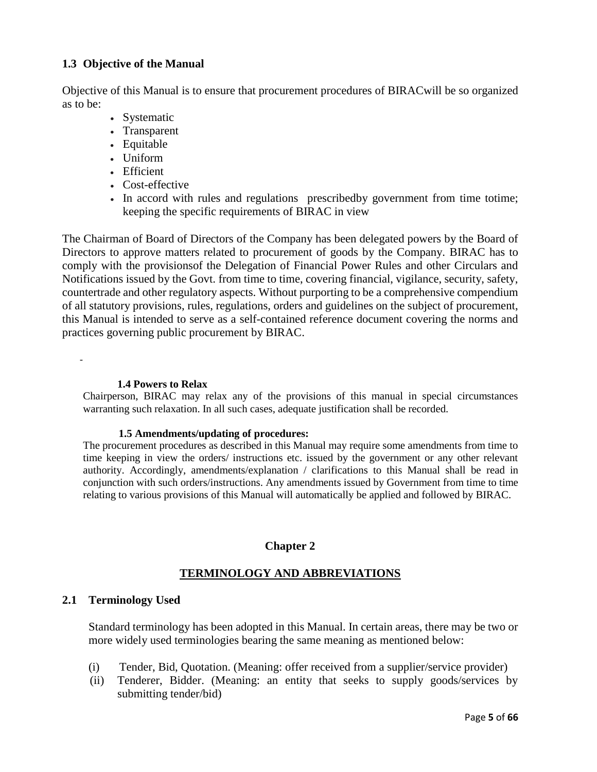## **1.3 Objective of the Manual**

Objective of this Manual is to ensure that procurement procedures of BIRACwill be so organized as to be:

- Systematic
- Transparent
- Equitable
- Uniform
- Efficient
- Cost-effective
- In accord with rules and regulations prescribed by government from time totime; keeping the specific requirements of BIRAC in view

The Chairman of Board of Directors of the Company has been delegated powers by the Board of Directors to approve matters related to procurement of goods by the Company. BIRAC has to comply with the provisionsof the Delegation of Financial Power Rules and other Circulars and Notifications issued by the Govt. from time to time, covering financial, vigilance, security, safety, countertrade and other regulatory aspects. Without purporting to be a comprehensive compendium of all statutory provisions, rules, regulations, orders and guidelines on the subject of procurement, this Manual is intended to serve as a self-contained reference document covering the norms and practices governing public procurement by BIRAC.

-

#### **1.4 Powers to Relax**

Chairperson, BIRAC may relax any of the provisions of this manual in special circumstances warranting such relaxation. In all such cases, adequate justification shall be recorded.

#### **1.5 Amendments/updating of procedures:**

The procurement procedures as described in this Manual may require some amendments from time to time keeping in view the orders/ instructions etc. issued by the government or any other relevant authority. Accordingly, amendments/explanation / clarifications to this Manual shall be read in conjunction with such orders/instructions. Any amendments issued by Government from time to time relating to various provisions of this Manual will automatically be applied and followed by BIRAC.

### **Chapter 2**

## **TERMINOLOGY AND ABBREVIATIONS**

### **2.1 Terminology Used**

Standard terminology has been adopted in this Manual. In certain areas, there may be two or more widely used terminologies bearing the same meaning as mentioned below:

- (i) Tender, Bid, Quotation. (Meaning: offer received from a supplier/service provider)
- (ii) Tenderer, Bidder. (Meaning: an entity that seeks to supply goods/services by submitting tender/bid)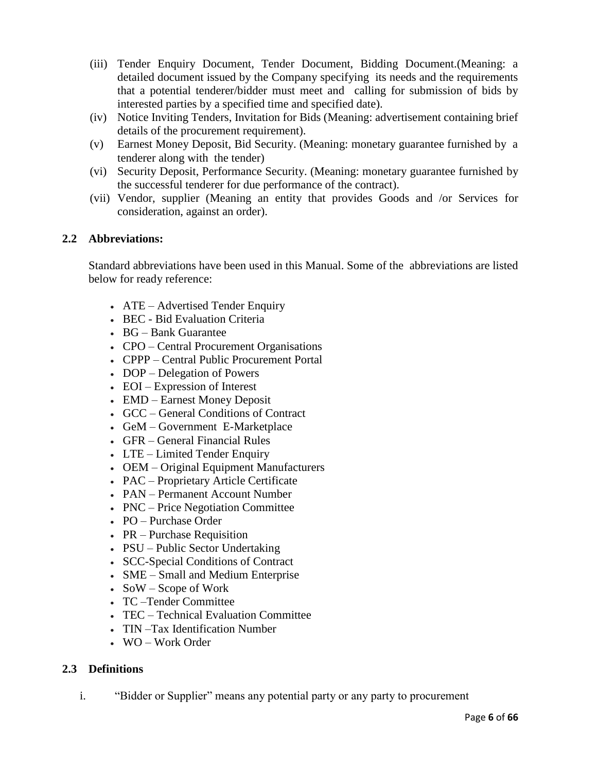- (iii) Tender Enquiry Document, Tender Document, Bidding Document.(Meaning: a detailed document issued by the Company specifying its needs and the requirements that a potential tenderer/bidder must meet and calling for submission of bids by interested parties by a specified time and specified date).
- (iv) Notice Inviting Tenders, Invitation for Bids (Meaning: advertisement containing brief details of the procurement requirement).
- (v) Earnest Money Deposit, Bid Security. (Meaning: monetary guarantee furnished by a tenderer along with the tender)
- (vi) Security Deposit, Performance Security. (Meaning: monetary guarantee furnished by the successful tenderer for due performance of the contract).
- (vii) Vendor, supplier (Meaning an entity that provides Goods and /or Services for consideration, against an order).

## **2.2 Abbreviations:**

Standard abbreviations have been used in this Manual. Some of the abbreviations are listed below for ready reference:

- ATE Advertised Tender Enquiry
- BEC Bid Evaluation Criteria
- BG Bank Guarantee
- CPO Central Procurement Organisations
- CPPP Central Public Procurement Portal
- DOP Delegation of Powers
- EOI Expression of Interest
- EMD Earnest Money Deposit
- GCC General Conditions of Contract
- GeM Government E-Marketplace
- GFR General Financial Rules
- LTE Limited Tender Enquiry
- OEM Original Equipment Manufacturers
- PAC Proprietary Article Certificate
- PAN Permanent Account Number
- PNC Price Negotiation Committee
- PO Purchase Order
- $\cdot$  PR Purchase Requisition
- PSU Public Sector Undertaking
- SCC-Special Conditions of Contract
- SME Small and Medium Enterprise
- SoW Scope of Work
- TC –Tender Committee
- TEC Technical Evaluation Committee
- TIN –Tax Identification Number
- WO Work Order

### **2.3 Definitions**

i. "Bidder or Supplier" means any potential party or any party to procurement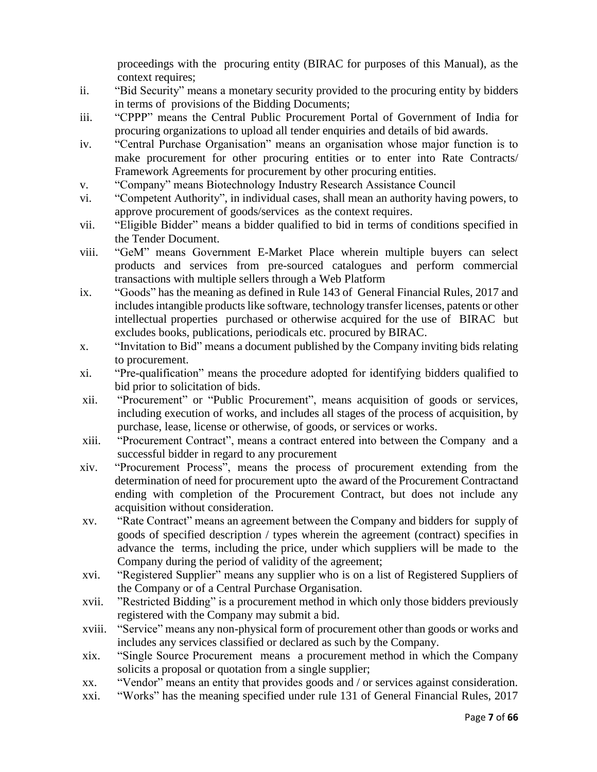proceedings with the procuring entity (BIRAC for purposes of this Manual), as the context requires;

- ii. "Bid Security" means a monetary security provided to the procuring entity by bidders in terms of provisions of the Bidding Documents;
- iii. "CPPP" means the Central Public Procurement Portal of Government of India for procuring organizations to upload all tender enquiries and details of bid awards.
- iv. "Central Purchase Organisation" means an organisation whose major function is to make procurement for other procuring entities or to enter into Rate Contracts/ Framework Agreements for procurement by other procuring entities.
- v. "Company" means Biotechnology Industry Research Assistance Council
- vi. "Competent Authority", in individual cases, shall mean an authority having powers, to approve procurement of goods/services as the context requires.
- vii. "Eligible Bidder" means a bidder qualified to bid in terms of conditions specified in the Tender Document.
- viii. "GeM" means Government E-Market Place wherein multiple buyers can select products and services from pre-sourced catalogues and perform commercial transactions with multiple sellers through a Web Platform
- ix. "Goods" has the meaning as defined in Rule 143 of General Financial Rules, 2017 and includes intangible products like software, technology transfer licenses, patents or other intellectual properties purchased or otherwise acquired for the use of BIRAC but excludes books, publications, periodicals etc. procured by BIRAC.
- x. "Invitation to Bid" means a document published by the Company inviting bids relating to procurement.
- xi. "Pre-qualification" means the procedure adopted for identifying bidders qualified to bid prior to solicitation of bids.
- xii. "Procurement" or "Public Procurement", means acquisition of goods or services, including execution of works, and includes all stages of the process of acquisition, by purchase, lease, license or otherwise, of goods, or services or works.
- xiii. "Procurement Contract", means a contract entered into between the Company and a successful bidder in regard to any procurement
- xiv. "Procurement Process", means the process of procurement extending from the determination of need for procurement upto the award of the Procurement Contractand ending with completion of the Procurement Contract, but does not include any acquisition without consideration.
- xv. "Rate Contract" means an agreement between the Company and bidders for supply of goods of specified description / types wherein the agreement (contract) specifies in advance the terms, including the price, under which suppliers will be made to the Company during the period of validity of the agreement;
- xvi. "Registered Supplier" means any supplier who is on a list of Registered Suppliers of the Company or of a Central Purchase Organisation.
- xvii. "Restricted Bidding" is a procurement method in which only those bidders previously registered with the Company may submit a bid.
- xviii. "Service" means any non-physical form of procurement other than goods or works and includes any services classified or declared as such by the Company.
- xix. "Single Source Procurement means a procurement method in which the Company solicits a proposal or quotation from a single supplier;
- xx. "Vendor" means an entity that provides goods and / or services against consideration.
- xxi. "Works" has the meaning specified under rule 131 of General Financial Rules, 2017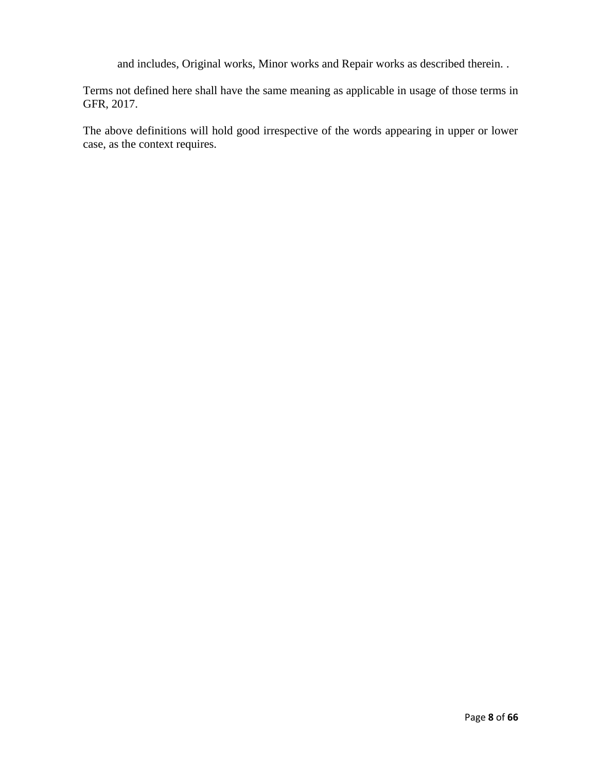and includes, Original works, Minor works and Repair works as described therein. .

Terms not defined here shall have the same meaning as applicable in usage of those terms in GFR, 2017.

The above definitions will hold good irrespective of the words appearing in upper or lower case, as the context requires.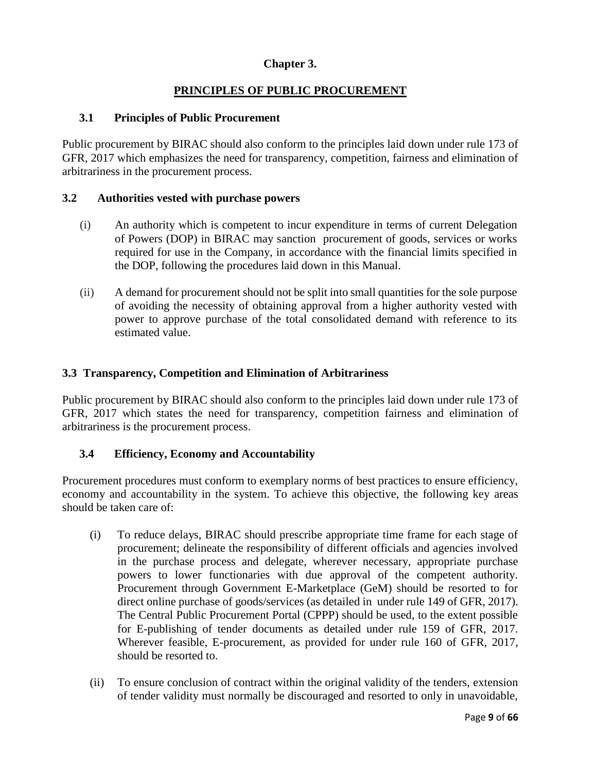## **Chapter 3.**

# **PRINCIPLES OF PUBLIC PROCUREMENT**

## **3.1 Principles of Public Procurement**

Public procurement by BIRAC should also conform to the principles laid down under rule 173 of GFR, 2017 which emphasizes the need for transparency, competition, fairness and elimination of arbitrariness in the procurement process.

## **3.2 Authorities vested with purchase powers**

- (i) An authority which is competent to incur expenditure in terms of current Delegation of Powers (DOP) in BIRAC may sanction procurement of goods, services or works required for use in the Company, in accordance with the financial limits specified in the DOP, following the procedures laid down in this Manual.
- (ii) A demand for procurement should not be split into small quantities for the sole purpose of avoiding the necessity of obtaining approval from a higher authority vested with power to approve purchase of the total consolidated demand with reference to its estimated value.

## **3.3 Transparency, Competition and Elimination of Arbitrariness**

Public procurement by BIRAC should also conform to the principles laid down under rule 173 of GFR, 2017 which states the need for transparency, competition fairness and elimination of arbitrariness is the procurement process.

### **3.4 Efficiency, Economy and Accountability**

Procurement procedures must conform to exemplary norms of best practices to ensure efficiency, economy and accountability in the system. To achieve this objective, the following key areas should be taken care of:

- (i) To reduce delays, BIRAC should prescribe appropriate time frame for each stage of procurement; delineate the responsibility of different officials and agencies involved in the purchase process and delegate, wherever necessary, appropriate purchase powers to lower functionaries with due approval of the competent authority. Procurement through Government E-Marketplace (GeM) should be resorted to for direct online purchase of goods/services (as detailed in under rule 149 of GFR, 2017). The Central Public Procurement Portal (CPPP) should be used, to the extent possible for E-publishing of tender documents as detailed under rule 159 of GFR, 2017. Wherever feasible, E-procurement, as provided for under rule 160 of GFR, 2017, should be resorted to.
- (ii) To ensure conclusion of contract within the original validity of the tenders, extension of tender validity must normally be discouraged and resorted to only in unavoidable,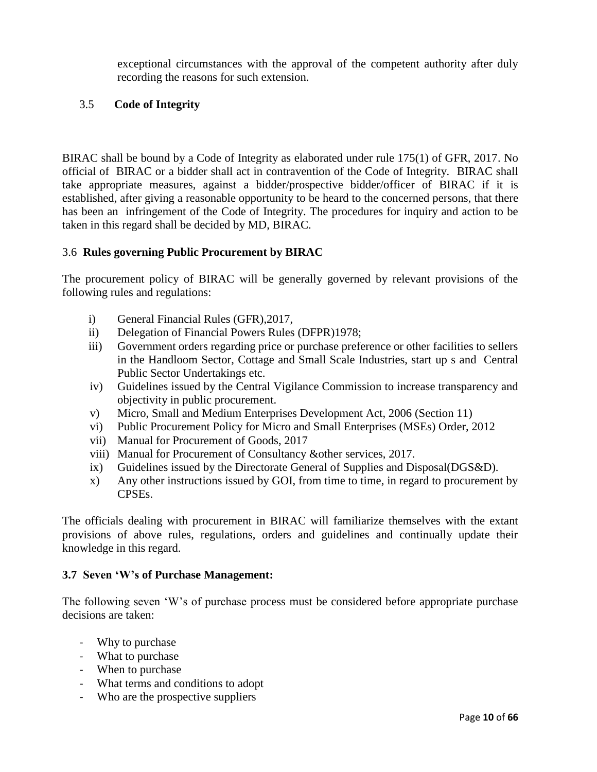exceptional circumstances with the approval of the competent authority after duly recording the reasons for such extension.

## 3.5 **Code of Integrity**

BIRAC shall be bound by a Code of Integrity as elaborated under rule 175(1) of GFR, 2017. No official of BIRAC or a bidder shall act in contravention of the Code of Integrity. BIRAC shall take appropriate measures, against a bidder/prospective bidder/officer of BIRAC if it is established, after giving a reasonable opportunity to be heard to the concerned persons, that there has been an infringement of the Code of Integrity. The procedures for inquiry and action to be taken in this regard shall be decided by MD, BIRAC.

## 3.6 **Rules governing Public Procurement by BIRAC**

The procurement policy of BIRAC will be generally governed by relevant provisions of the following rules and regulations:

- i) General Financial Rules (GFR),2017,
- ii) Delegation of Financial Powers Rules (DFPR)1978;
- iii) Government orders regarding price or purchase preference or other facilities to sellers in the Handloom Sector, Cottage and Small Scale Industries, start up s and Central Public Sector Undertakings etc.
- iv) Guidelines issued by the Central Vigilance Commission to increase transparency and objectivity in public procurement.
- v) Micro, Small and Medium Enterprises Development Act, 2006 (Section 11)
- vi) Public Procurement Policy for Micro and Small Enterprises (MSEs) Order, 2012
- vii) Manual for Procurement of Goods, 2017
- viii) Manual for Procurement of Consultancy &other services, 2017.
- ix) Guidelines issued by the Directorate General of Supplies and Disposal(DGS&D).
- x) Any other instructions issued by GOI, from time to time, in regard to procurement by CPSEs.

The officials dealing with procurement in BIRAC will familiarize themselves with the extant provisions of above rules, regulations, orders and guidelines and continually update their knowledge in this regard.

### **3.7 Seven 'W's of Purchase Management:**

The following seven 'W's of purchase process must be considered before appropriate purchase decisions are taken:

- Why to purchase
- What to purchase
- When to purchase
- What terms and conditions to adopt
- Who are the prospective suppliers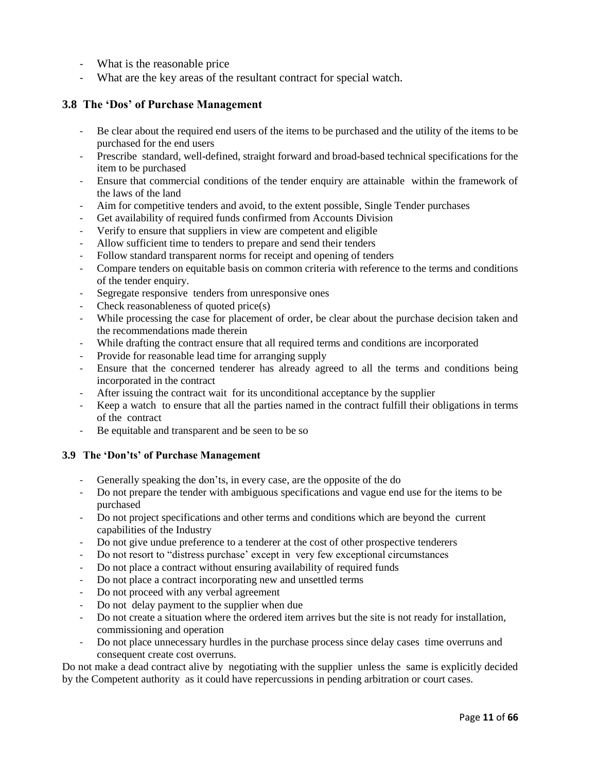- What is the reasonable price
- What are the key areas of the resultant contract for special watch.

#### **3.8 The 'Dos' of Purchase Management**

- Be clear about the required end users of the items to be purchased and the utility of the items to be purchased for the end users
- Prescribe standard, well-defined, straight forward and broad-based technical specifications for the item to be purchased
- Ensure that commercial conditions of the tender enquiry are attainable within the framework of the laws of the land
- Aim for competitive tenders and avoid, to the extent possible, Single Tender purchases
- Get availability of required funds confirmed from Accounts Division
- Verify to ensure that suppliers in view are competent and eligible
- Allow sufficient time to tenders to prepare and send their tenders
- Follow standard transparent norms for receipt and opening of tenders
- Compare tenders on equitable basis on common criteria with reference to the terms and conditions of the tender enquiry.
- Segregate responsive tenders from unresponsive ones
- Check reasonableness of quoted price(s)
- While processing the case for placement of order, be clear about the purchase decision taken and the recommendations made therein
- While drafting the contract ensure that all required terms and conditions are incorporated
- Provide for reasonable lead time for arranging supply
- Ensure that the concerned tenderer has already agreed to all the terms and conditions being incorporated in the contract
- After issuing the contract wait for its unconditional acceptance by the supplier
- Keep a watch to ensure that all the parties named in the contract fulfill their obligations in terms of the contract
- Be equitable and transparent and be seen to be so

#### **3.9 The 'Don'ts' of Purchase Management**

- Generally speaking the don'ts, in every case, are the opposite of the do
- Do not prepare the tender with ambiguous specifications and vague end use for the items to be purchased
- Do not project specifications and other terms and conditions which are beyond the current capabilities of the Industry
- Do not give undue preference to a tenderer at the cost of other prospective tenderers
- Do not resort to "distress purchase' except in very few exceptional circumstances
- Do not place a contract without ensuring availability of required funds
- Do not place a contract incorporating new and unsettled terms
- Do not proceed with any verbal agreement
- Do not delay payment to the supplier when due
- Do not create a situation where the ordered item arrives but the site is not ready for installation, commissioning and operation
- Do not place unnecessary hurdles in the purchase process since delay cases time overruns and consequent create cost overruns.

Do not make a dead contract alive by negotiating with the supplier unless the same is explicitly decided by the Competent authority as it could have repercussions in pending arbitration or court cases.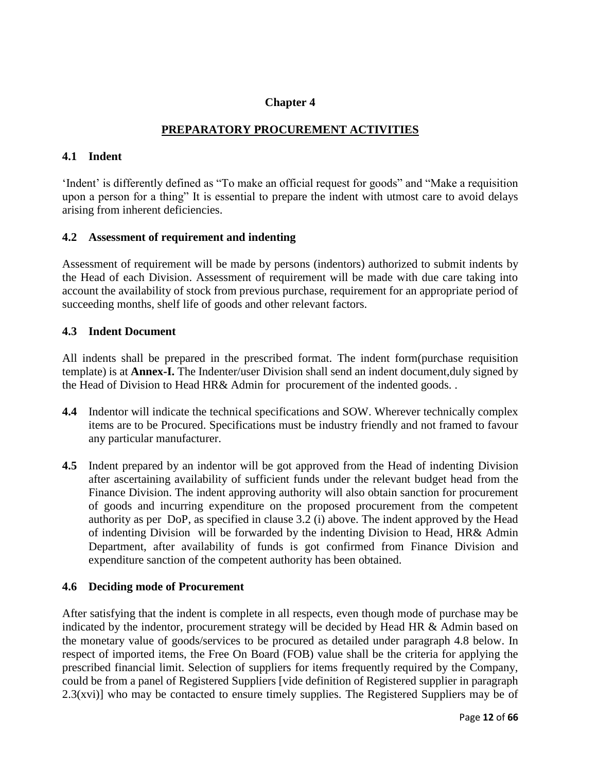### **Chapter 4**

## **PREPARATORY PROCUREMENT ACTIVITIES**

#### **4.1 Indent**

'Indent' is differently defined as "To make an official request for goods" and "Make a requisition upon a person for a thing" It is essential to prepare the indent with utmost care to avoid delays arising from inherent deficiencies.

#### **4.2 Assessment of requirement and indenting**

Assessment of requirement will be made by persons (indentors) authorized to submit indents by the Head of each Division. Assessment of requirement will be made with due care taking into account the availability of stock from previous purchase, requirement for an appropriate period of succeeding months, shelf life of goods and other relevant factors.

#### **4.3 Indent Document**

All indents shall be prepared in the prescribed format. The indent form(purchase requisition template) is at **Annex-I.** The Indenter/user Division shall send an indent document,duly signed by the Head of Division to Head HR& Admin for procurement of the indented goods. .

- **4.4** Indentor will indicate the technical specifications and SOW. Wherever technically complex items are to be Procured. Specifications must be industry friendly and not framed to favour any particular manufacturer.
- **4.5** Indent prepared by an indentor will be got approved from the Head of indenting Division after ascertaining availability of sufficient funds under the relevant budget head from the Finance Division. The indent approving authority will also obtain sanction for procurement of goods and incurring expenditure on the proposed procurement from the competent authority as per DoP, as specified in clause 3.2 (i) above. The indent approved by the Head of indenting Division will be forwarded by the indenting Division to Head, HR& Admin Department, after availability of funds is got confirmed from Finance Division and expenditure sanction of the competent authority has been obtained.

### **4.6 Deciding mode of Procurement**

After satisfying that the indent is complete in all respects, even though mode of purchase may be indicated by the indentor, procurement strategy will be decided by Head HR & Admin based on the monetary value of goods/services to be procured as detailed under paragraph 4.8 below. In respect of imported items, the Free On Board (FOB) value shall be the criteria for applying the prescribed financial limit. Selection of suppliers for items frequently required by the Company, could be from a panel of Registered Suppliers [vide definition of Registered supplier in paragraph 2.3(xvi)] who may be contacted to ensure timely supplies. The Registered Suppliers may be of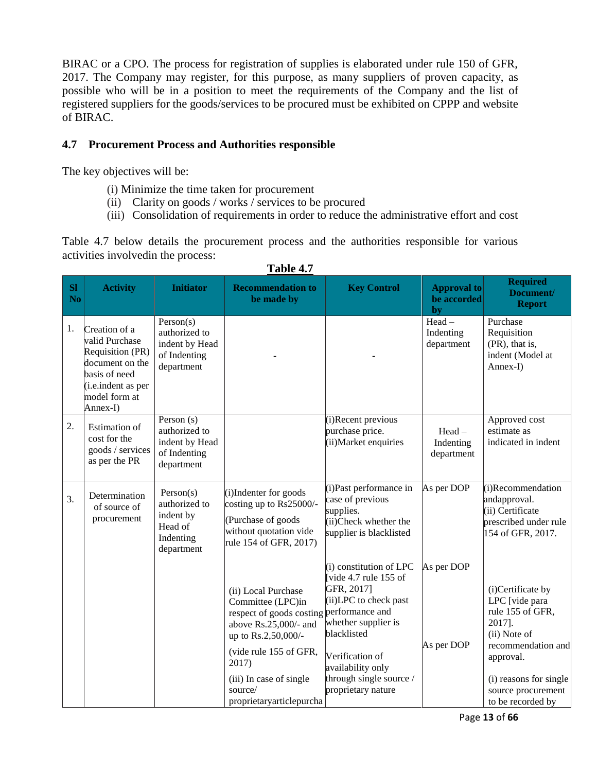BIRAC or a CPO. The process for registration of supplies is elaborated under rule 150 of GFR, 2017. The Company may register, for this purpose, as many suppliers of proven capacity, as possible who will be in a position to meet the requirements of the Company and the list of registered suppliers for the goods/services to be procured must be exhibited on CPPP and website of BIRAC.

## **4.7 Procurement Process and Authorities responsible**

The key objectives will be:

- (i) Minimize the time taken for procurement
- (ii) Clarity on goods / works / services to be procured
- (iii) Consolidation of requirements in order to reduce the administrative effort and cost

Table 4.7 below details the procurement process and the authorities responsible for various activities involvedin the process:

| <b>SI</b><br>N <sub>o</sub> | <b>Activity</b>                                                                                                                                    | <b>Initiator</b>                                                              | <b>Recommendation to</b><br>be made by                                                                                                                                                                                    | <b>Key Control</b>                                                                                                                                                                                                                        | <b>Approval to</b><br>be accorded<br>by | <b>Required</b><br>Document/<br><b>Report</b>                                                                                                                                             |
|-----------------------------|----------------------------------------------------------------------------------------------------------------------------------------------------|-------------------------------------------------------------------------------|---------------------------------------------------------------------------------------------------------------------------------------------------------------------------------------------------------------------------|-------------------------------------------------------------------------------------------------------------------------------------------------------------------------------------------------------------------------------------------|-----------------------------------------|-------------------------------------------------------------------------------------------------------------------------------------------------------------------------------------------|
| 1.                          | Creation of a<br>valid Purchase<br>Requisition (PR)<br>document on the<br>basis of need<br>( <i>i.e.indent as per</i><br>model form at<br>Annex-I) | Person(s)<br>authorized to<br>indent by Head<br>of Indenting<br>department    |                                                                                                                                                                                                                           |                                                                                                                                                                                                                                           | Head-<br>Indenting<br>department        | Purchase<br>Requisition<br>(PR), that is,<br>indent (Model at<br>Annex-I)                                                                                                                 |
| 2.                          | <b>Estimation</b> of<br>cost for the<br>goods / services<br>as per the PR                                                                          | Person (s)<br>authorized to<br>indent by Head<br>of Indenting<br>department   |                                                                                                                                                                                                                           | (i)Recent previous<br>purchase price.<br>(ii) Market enquiries                                                                                                                                                                            | $Head -$<br>Indenting<br>department     | Approved cost<br>estimate as<br>indicated in indent                                                                                                                                       |
| 3.                          | Determination<br>of source of<br>procurement                                                                                                       | Person(s)<br>authorized to<br>indent by<br>Head of<br>Indenting<br>department | $(i)$ Indenter for goods<br>costing up to $\text{Rs}25000/-$<br>(Purchase of goods)<br>without quotation vide<br>rule 154 of GFR, 2017)                                                                                   | (i) Past performance in<br>case of previous<br>supplies.<br>(ii)Check whether the<br>supplier is blacklisted                                                                                                                              | As per DOP                              | (i)Recommendation<br>andapproval.<br>(ii) Certificate<br>prescribed under rule<br>154 of GFR, 2017.                                                                                       |
|                             |                                                                                                                                                    |                                                                               | (ii) Local Purchase<br>Committee (LPC)in<br>respect of goods costing<br>above Rs.25,000/- and<br>up to Rs.2,50,000/-<br>(vide rule 155 of GFR,<br>2017)<br>(iii) In case of single<br>source/<br>proprietaryarticlepurcha | (i) constitution of LPC<br>[vide 4.7 rule 155 of<br>GFR, 2017]<br>(ii)LPC to check past<br>performance and<br>whether supplier is<br>blacklisted<br>Verification of<br>availability only<br>through single source /<br>proprietary nature | As per DOP<br>As per DOP                | (i)Certificate by<br>LPC [vide para<br>rule 155 of GFR,<br>2017].<br>(ii) Note of<br>recommendation and<br>approval.<br>(i) reasons for single<br>source procurement<br>to be recorded by |

## **Table 4.7**

Page **13** of **66**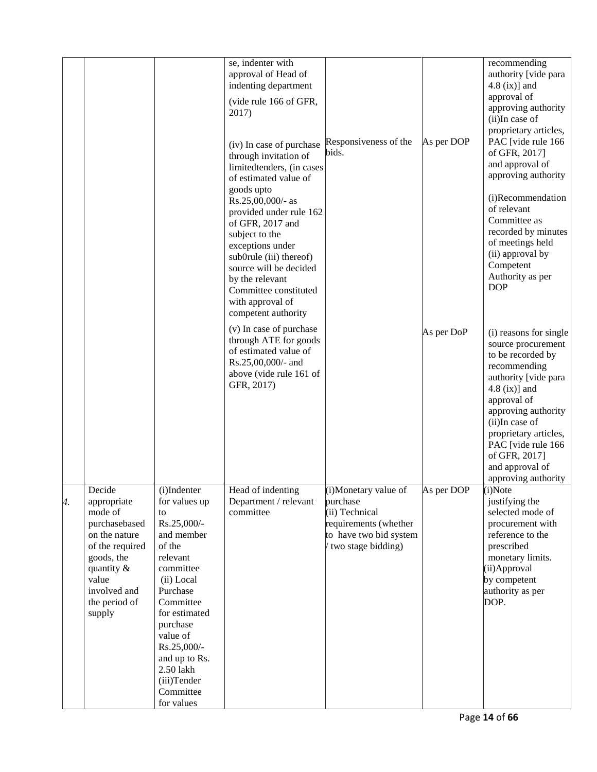|    |                                                                                                                                                                       |                                                                                                                                                                                                                                                                           | se, indenter with<br>approval of Head of<br>indenting department<br>(vide rule 166 of GFR,<br>2017)<br>(iv) In case of purchase<br>through invitation of<br>limitedtenders, (in cases<br>of estimated value of                                                   | Responsiveness of the<br>bids.                                                                                               | As per DOP | recommending<br>authority [vide para<br>$4.8$ (ix)] and<br>approval of<br>approving authority<br>(ii)In case of<br>proprietary articles,<br>PAC [vide rule 166<br>of GFR, 2017]<br>and approval of<br>approving authority                                                                      |
|----|-----------------------------------------------------------------------------------------------------------------------------------------------------------------------|---------------------------------------------------------------------------------------------------------------------------------------------------------------------------------------------------------------------------------------------------------------------------|------------------------------------------------------------------------------------------------------------------------------------------------------------------------------------------------------------------------------------------------------------------|------------------------------------------------------------------------------------------------------------------------------|------------|------------------------------------------------------------------------------------------------------------------------------------------------------------------------------------------------------------------------------------------------------------------------------------------------|
|    |                                                                                                                                                                       |                                                                                                                                                                                                                                                                           | goods upto<br>Rs.25,00,000/- as<br>provided under rule 162<br>of GFR, 2017 and<br>subject to the<br>exceptions under<br>sub0rule (iii) thereof)<br>source will be decided<br>by the relevant<br>Committee constituted<br>with approval of<br>competent authority |                                                                                                                              |            | (i)Recommendation<br>of relevant<br>Committee as<br>recorded by minutes<br>of meetings held<br>(ii) approval by<br>Competent<br>Authority as per<br><b>DOP</b>                                                                                                                                 |
|    |                                                                                                                                                                       |                                                                                                                                                                                                                                                                           | (v) In case of purchase<br>through ATE for goods<br>of estimated value of<br>Rs.25,00,000/- and<br>above (vide rule 161 of<br>GFR, 2017)                                                                                                                         |                                                                                                                              | As per DoP | (i) reasons for single<br>source procurement<br>to be recorded by<br>recommending<br>authority [vide para<br>$4.8$ (ix)] and<br>approval of<br>approving authority<br>(ii)In case of<br>proprietary articles,<br>PAC [vide rule 166<br>of GFR, 2017]<br>and approval of<br>approving authority |
| 4. | Decide<br>appropriate<br>mode of<br>purchasebased<br>on the nature<br>of the required<br>goods, the<br>quantity &<br>value<br>involved and<br>the period of<br>supply | (i)Indenter<br>for values up<br>to<br>Rs.25,000/-<br>and member<br>of the<br>relevant<br>committee<br>(ii) Local<br>Purchase<br>Committee<br>for estimated<br>purchase<br>value of<br>Rs.25,000/-<br>and up to Rs.<br>2.50 lakh<br>(iii)Tender<br>Committee<br>for values | Head of indenting<br>Department / relevant<br>committee                                                                                                                                                                                                          | (i)Monetary value of<br>purchase<br>(ii) Technical<br>requirements (whether<br>to have two bid system<br>(two stage bidding) | As per DOP | (i)Note<br>justifying the<br>selected mode of<br>procurement with<br>reference to the<br>prescribed<br>monetary limits.<br>(ii)Approval<br>by competent<br>authority as per<br>DOP.                                                                                                            |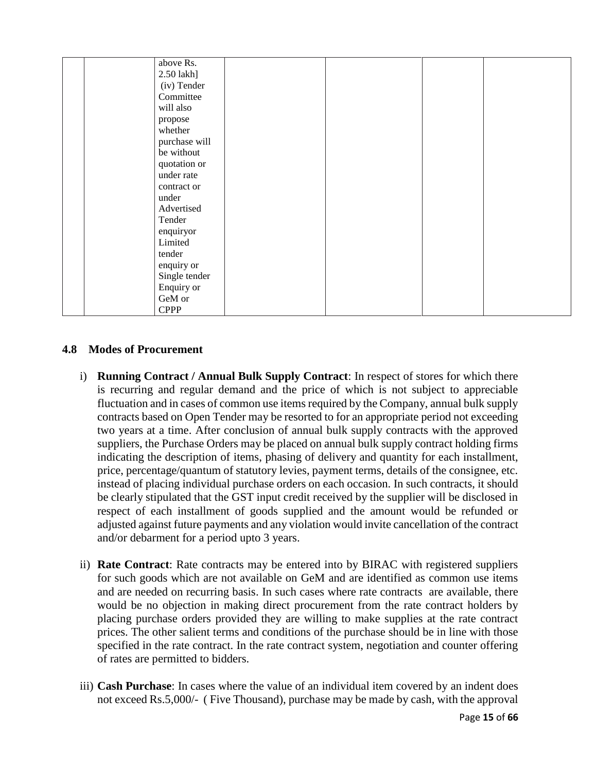| above Rs.     |  |  |
|---------------|--|--|
| 2.50 lakh]    |  |  |
| (iv) Tender   |  |  |
| Committee     |  |  |
| will also     |  |  |
| propose       |  |  |
| whether       |  |  |
| purchase will |  |  |
| be without    |  |  |
| quotation or  |  |  |
| under rate    |  |  |
| contract or   |  |  |
| under         |  |  |
| Advertised    |  |  |
| Tender        |  |  |
| enquiryor     |  |  |
| Limited       |  |  |
| tender        |  |  |
| enquiry or    |  |  |
| Single tender |  |  |
| Enquiry or    |  |  |
| GeM or        |  |  |
| <b>CPPP</b>   |  |  |

## **4.8 Modes of Procurement**

- i) **Running Contract / Annual Bulk Supply Contract**: In respect of stores for which there is recurring and regular demand and the price of which is not subject to appreciable fluctuation and in cases of common use items required by the Company, annual bulk supply contracts based on Open Tender may be resorted to for an appropriate period not exceeding two years at a time. After conclusion of annual bulk supply contracts with the approved suppliers, the Purchase Orders may be placed on annual bulk supply contract holding firms indicating the description of items, phasing of delivery and quantity for each installment, price, percentage/quantum of statutory levies, payment terms, details of the consignee, etc. instead of placing individual purchase orders on each occasion. In such contracts, it should be clearly stipulated that the GST input credit received by the supplier will be disclosed in respect of each installment of goods supplied and the amount would be refunded or adjusted against future payments and any violation would invite cancellation of the contract and/or debarment for a period upto 3 years.
- ii) **Rate Contract**: Rate contracts may be entered into by BIRAC with registered suppliers for such goods which are not available on GeM and are identified as common use items and are needed on recurring basis. In such cases where rate contracts are available, there would be no objection in making direct procurement from the rate contract holders by placing purchase orders provided they are willing to make supplies at the rate contract prices. The other salient terms and conditions of the purchase should be in line with those specified in the rate contract. In the rate contract system, negotiation and counter offering of rates are permitted to bidders.
- iii) **Cash Purchase**: In cases where the value of an individual item covered by an indent does not exceed Rs.5,000/- ( Five Thousand), purchase may be made by cash, with the approval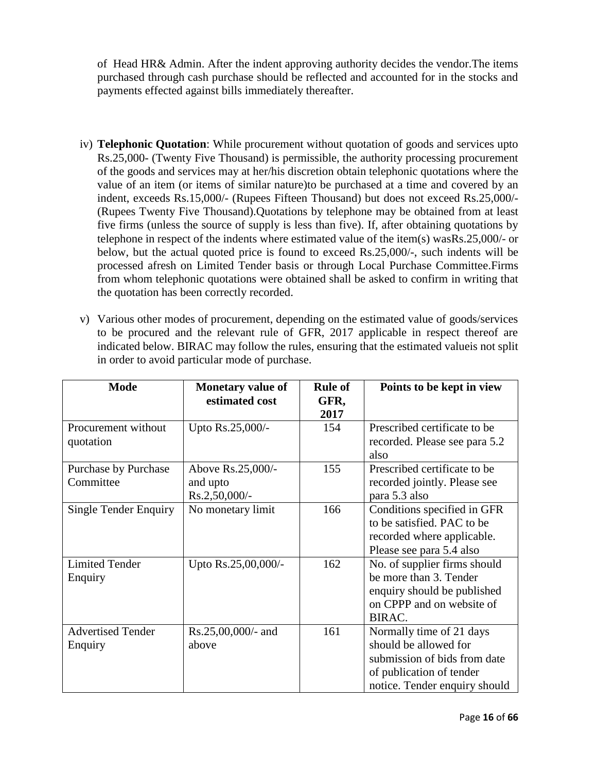of Head HR& Admin. After the indent approving authority decides the vendor.The items purchased through cash purchase should be reflected and accounted for in the stocks and payments effected against bills immediately thereafter.

- iv) **Telephonic Quotation**: While procurement without quotation of goods and services upto Rs.25,000- (Twenty Five Thousand) is permissible, the authority processing procurement of the goods and services may at her/his discretion obtain telephonic quotations where the value of an item (or items of similar nature)to be purchased at a time and covered by an indent, exceeds Rs.15,000/- (Rupees Fifteen Thousand) but does not exceed Rs.25,000/- (Rupees Twenty Five Thousand).Quotations by telephone may be obtained from at least five firms (unless the source of supply is less than five). If, after obtaining quotations by telephone in respect of the indents where estimated value of the item(s) wasRs.25,000/- or below, but the actual quoted price is found to exceed Rs.25,000/-, such indents will be processed afresh on Limited Tender basis or through Local Purchase Committee.Firms from whom telephonic quotations were obtained shall be asked to confirm in writing that the quotation has been correctly recorded.
- v) Various other modes of procurement, depending on the estimated value of goods/services to be procured and the relevant rule of GFR, 2017 applicable in respect thereof are indicated below. BIRAC may follow the rules, ensuring that the estimated valueis not split in order to avoid particular mode of purchase.

| <b>Mode</b>                         | <b>Monetary value of</b><br>estimated cost        | <b>Rule of</b><br>GFR,<br>2017 | Points to be kept in view                                                                                                                      |
|-------------------------------------|---------------------------------------------------|--------------------------------|------------------------------------------------------------------------------------------------------------------------------------------------|
| Procurement without<br>quotation    | Upto Rs.25,000/-                                  | 154                            | Prescribed certificate to be<br>recorded. Please see para 5.2<br>also                                                                          |
| Purchase by Purchase<br>Committee   | Above Rs.25,000/-<br>and upto<br>$Rs.2,50,000/$ - | 155                            | Prescribed certificate to be<br>recorded jointly. Please see<br>para 5.3 also                                                                  |
| <b>Single Tender Enquiry</b>        | No monetary limit                                 | 166                            | Conditions specified in GFR<br>to be satisfied. PAC to be<br>recorded where applicable.<br>Please see para 5.4 also                            |
| <b>Limited Tender</b><br>Enquiry    | Upto Rs.25,00,000/-                               | 162                            | No. of supplier firms should<br>be more than 3. Tender<br>enquiry should be published<br>on CPPP and on website of<br>BIRAC.                   |
| <b>Advertised Tender</b><br>Enquiry | $Rs.25,00,000/4$ and<br>above                     | 161                            | Normally time of 21 days<br>should be allowed for<br>submission of bids from date<br>of publication of tender<br>notice. Tender enquiry should |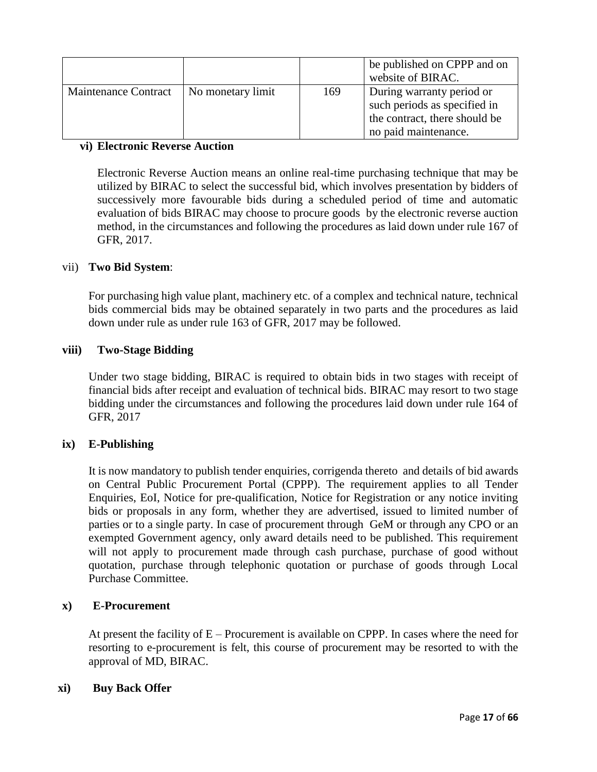|                      |                   |     | be published on CPPP and on<br>website of BIRAC.                                                                   |
|----------------------|-------------------|-----|--------------------------------------------------------------------------------------------------------------------|
| Maintenance Contract | No monetary limit | 169 | During warranty period or<br>such periods as specified in<br>the contract, there should be<br>no paid maintenance. |

### **vi) Electronic Reverse Auction**

Electronic Reverse Auction means an online real-time purchasing technique that may be utilized by BIRAC to select the successful bid, which involves presentation by bidders of successively more favourable bids during a scheduled period of time and automatic evaluation of bids BIRAC may choose to procure goods by the electronic reverse auction method, in the circumstances and following the procedures as laid down under rule 167 of GFR, 2017.

### vii) **Two Bid System**:

For purchasing high value plant, machinery etc. of a complex and technical nature, technical bids commercial bids may be obtained separately in two parts and the procedures as laid down under rule as under rule 163 of GFR, 2017 may be followed.

#### **viii) Two-Stage Bidding**

Under two stage bidding, BIRAC is required to obtain bids in two stages with receipt of financial bids after receipt and evaluation of technical bids. BIRAC may resort to two stage bidding under the circumstances and following the procedures laid down under rule 164 of GFR, 2017

### **ix) E-Publishing**

It is now mandatory to publish tender enquiries, corrigenda thereto and details of bid awards on Central Public Procurement Portal (CPPP). The requirement applies to all Tender Enquiries, EoI, Notice for pre-qualification, Notice for Registration or any notice inviting bids or proposals in any form, whether they are advertised, issued to limited number of parties or to a single party. In case of procurement through GeM or through any CPO or an exempted Government agency, only award details need to be published. This requirement will not apply to procurement made through cash purchase, purchase of good without quotation, purchase through telephonic quotation or purchase of goods through Local Purchase Committee.

#### **x) E-Procurement**

At present the facility of  $E -$  Procurement is available on CPPP. In cases where the need for resorting to e-procurement is felt, this course of procurement may be resorted to with the approval of MD, BIRAC.

#### **xi) Buy Back Offer**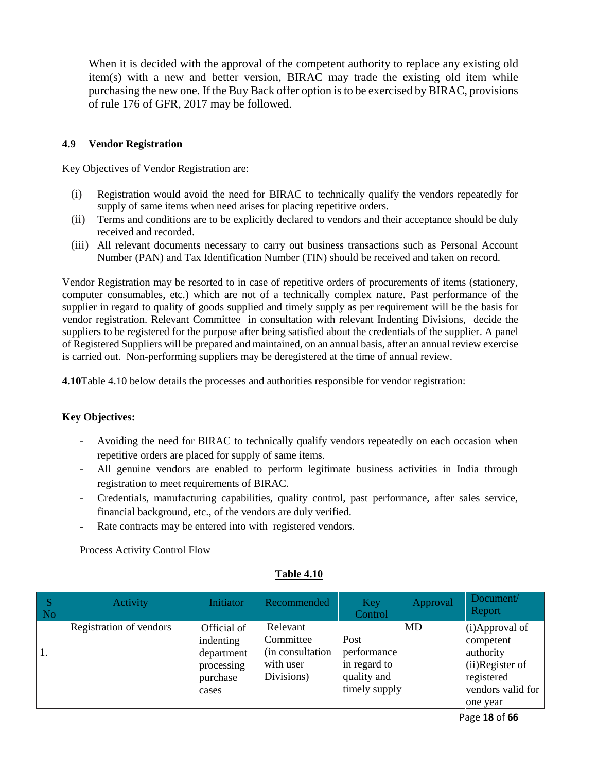When it is decided with the approval of the competent authority to replace any existing old item(s) with a new and better version, BIRAC may trade the existing old item while purchasing the new one. If the Buy Back offer option is to be exercised by BIRAC, provisions of rule 176 of GFR, 2017 may be followed.

#### **4.9 Vendor Registration**

Key Objectives of Vendor Registration are:

- (i) Registration would avoid the need for BIRAC to technically qualify the vendors repeatedly for supply of same items when need arises for placing repetitive orders.
- (ii) Terms and conditions are to be explicitly declared to vendors and their acceptance should be duly received and recorded.
- (iii) All relevant documents necessary to carry out business transactions such as Personal Account Number (PAN) and Tax Identification Number (TIN) should be received and taken on record.

Vendor Registration may be resorted to in case of repetitive orders of procurements of items (stationery, computer consumables, etc.) which are not of a technically complex nature. Past performance of the supplier in regard to quality of goods supplied and timely supply as per requirement will be the basis for vendor registration. Relevant Committee in consultation with relevant Indenting Divisions, decide the suppliers to be registered for the purpose after being satisfied about the credentials of the supplier. A panel of Registered Suppliers will be prepared and maintained, on an annual basis, after an annual review exercise is carried out. Non-performing suppliers may be deregistered at the time of annual review.

**4.10**Table 4.10 below details the processes and authorities responsible for vendor registration:

### **Key Objectives:**

- Avoiding the need for BIRAC to technically qualify vendors repeatedly on each occasion when repetitive orders are placed for supply of same items.
- All genuine vendors are enabled to perform legitimate business activities in India through registration to meet requirements of BIRAC.
- Credentials, manufacturing capabilities, quality control, past performance, after sales service, financial background, etc., of the vendors are duly verified.
- Rate contracts may be entered into with registered vendors.

Process Activity Control Flow

| l S<br>$\overline{\phantom{a}}$ No | Activity                | <b>Initiator</b>                                                          | Recommended                                                           | Key<br>Control                                                      | <b>Approval</b> | Document/<br>Report                                                                                              |
|------------------------------------|-------------------------|---------------------------------------------------------------------------|-----------------------------------------------------------------------|---------------------------------------------------------------------|-----------------|------------------------------------------------------------------------------------------------------------------|
| 1.                                 | Registration of vendors | Official of<br>indenting<br>department<br>processing<br>purchase<br>cases | Relevant<br>Committee<br>(in consultation)<br>with user<br>Divisions) | Post<br>performance<br>in regard to<br>quality and<br>timely supply | MD              | $(i)$ Approval of<br>competent<br>authority<br>$(ii)$ Register of<br>registered<br>vendors valid for<br>one year |

**Table 4.10**

Page **18** of **66**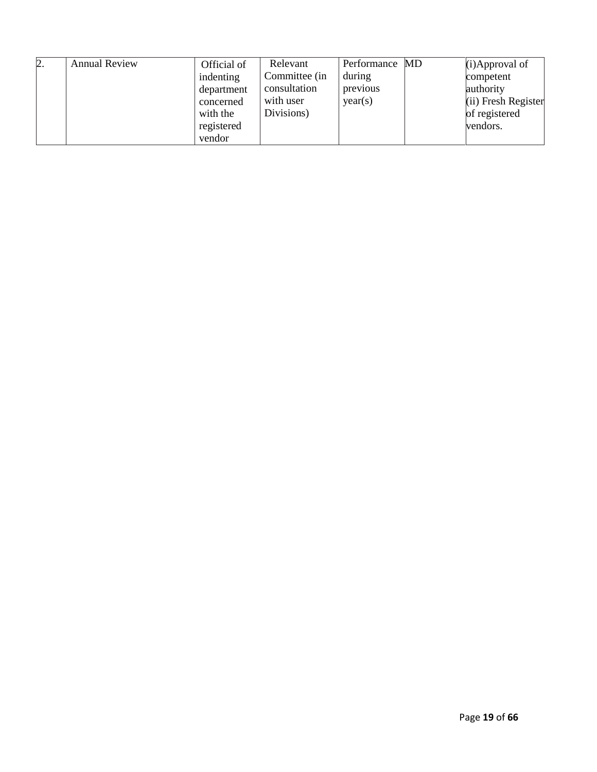| 2. | <b>Annual Review</b> | Official of | Relevant      | Performance MD | $(i)$ Approval of     |
|----|----------------------|-------------|---------------|----------------|-----------------------|
|    |                      | indenting   | Committee (in | during         | competent             |
|    |                      | department  | consultation  | previous       | authority             |
|    |                      | concerned   | with user     | year(s)        | $(ii)$ Fresh Register |
|    |                      | with the    | Divisions)    |                | of registered         |
|    |                      | registered  |               |                | vendors.              |
|    |                      | vendor      |               |                |                       |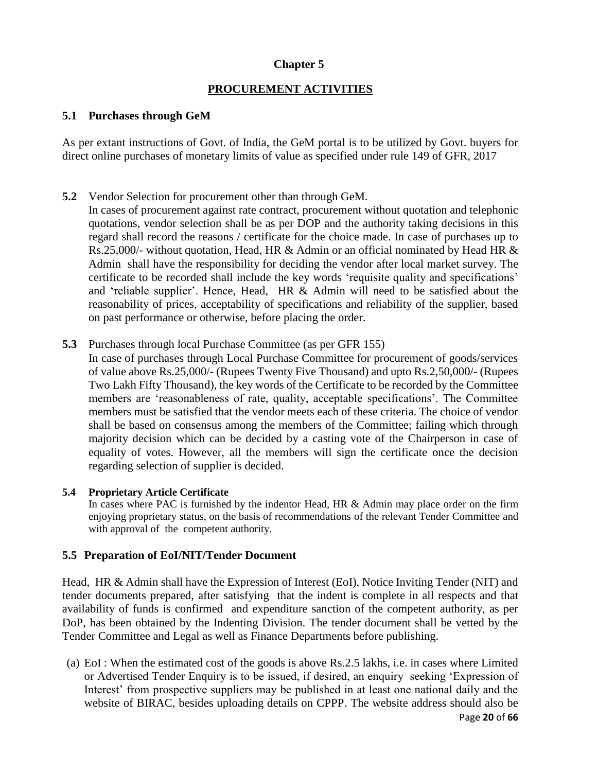## **Chapter 5**

## **PROCUREMENT ACTIVITIES**

## **5.1 Purchases through GeM**

As per extant instructions of Govt. of India, the GeM portal is to be utilized by Govt. buyers for direct online purchases of monetary limits of value as specified under rule 149 of GFR, 2017

**5.2** Vendor Selection for procurement other than through GeM.

In cases of procurement against rate contract, procurement without quotation and telephonic quotations, vendor selection shall be as per DOP and the authority taking decisions in this regard shall record the reasons / certificate for the choice made. In case of purchases up to Rs.25,000/- without quotation, Head, HR & Admin or an official nominated by Head HR & Admin shall have the responsibility for deciding the vendor after local market survey. The certificate to be recorded shall include the key words 'requisite quality and specifications' and 'reliable supplier'. Hence, Head, HR & Admin will need to be satisfied about the reasonability of prices, acceptability of specifications and reliability of the supplier, based on past performance or otherwise, before placing the order.

**5.3** Purchases through local Purchase Committee (as per GFR 155)

In case of purchases through Local Purchase Committee for procurement of goods/services of value above Rs.25,000/- (Rupees Twenty Five Thousand) and upto Rs.2,50,000/- (Rupees Two Lakh Fifty Thousand), the key words of the Certificate to be recorded by the Committee members are 'reasonableness of rate, quality, acceptable specifications'. The Committee members must be satisfied that the vendor meets each of these criteria. The choice of vendor shall be based on consensus among the members of the Committee; failing which through majority decision which can be decided by a casting vote of the Chairperson in case of equality of votes. However, all the members will sign the certificate once the decision regarding selection of supplier is decided.

### **5.4 Proprietary Article Certificate**

In cases where PAC is furnished by the indentor Head, HR & Admin may place order on the firm enjoying proprietary status, on the basis of recommendations of the relevant Tender Committee and with approval of the competent authority.

### **5.5 Preparation of EoI/NIT/Tender Document**

Head, HR & Admin shall have the Expression of Interest (EoI), Notice Inviting Tender (NIT) and tender documents prepared, after satisfying that the indent is complete in all respects and that availability of funds is confirmed and expenditure sanction of the competent authority, as per DoP, has been obtained by the Indenting Division. The tender document shall be vetted by the Tender Committee and Legal as well as Finance Departments before publishing.

Page **20** of **66** (a) EoI : When the estimated cost of the goods is above Rs.2.5 lakhs, i.e. in cases where Limited or Advertised Tender Enquiry is to be issued, if desired, an enquiry seeking 'Expression of Interest' from prospective suppliers may be published in at least one national daily and the website of BIRAC, besides uploading details on CPPP. The website address should also be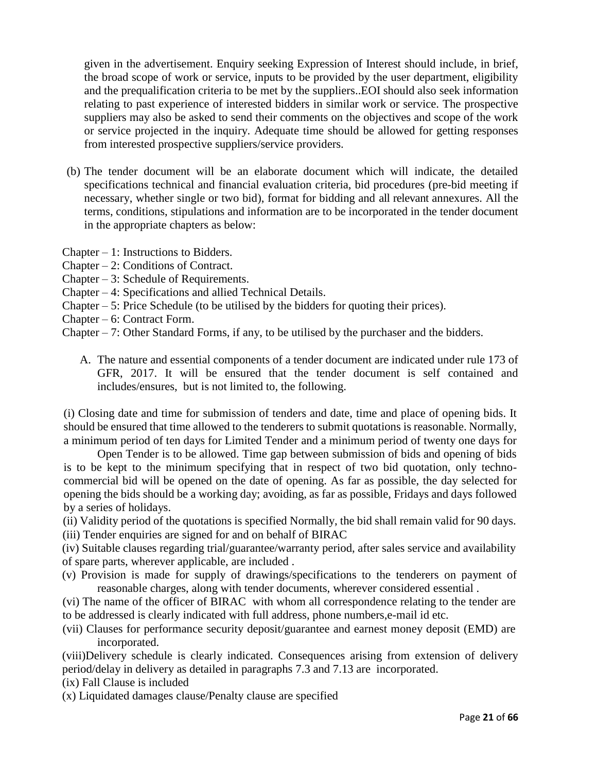given in the advertisement. Enquiry seeking Expression of Interest should include, in brief, the broad scope of work or service, inputs to be provided by the user department, eligibility and the prequalification criteria to be met by the suppliers..EOI should also seek information relating to past experience of interested bidders in similar work or service. The prospective suppliers may also be asked to send their comments on the objectives and scope of the work or service projected in the inquiry. Adequate time should be allowed for getting responses from interested prospective suppliers/service providers.

- (b) The tender document will be an elaborate document which will indicate, the detailed specifications technical and financial evaluation criteria, bid procedures (pre-bid meeting if necessary, whether single or two bid), format for bidding and all relevant annexures. All the terms, conditions, stipulations and information are to be incorporated in the tender document in the appropriate chapters as below:
- Chapter 1: Instructions to Bidders.
- Chapter 2: Conditions of Contract.
- Chapter 3: Schedule of Requirements.
- Chapter 4: Specifications and allied Technical Details.
- Chapter 5: Price Schedule (to be utilised by the bidders for quoting their prices).
- Chapter 6: Contract Form.
- Chapter 7: Other Standard Forms, if any, to be utilised by the purchaser and the bidders.
	- A. The nature and essential components of a tender document are indicated under rule 173 of GFR, 2017. It will be ensured that the tender document is self contained and includes/ensures, but is not limited to, the following.

(i) Closing date and time for submission of tenders and date, time and place of opening bids. It should be ensured that time allowed to the tenderers to submit quotations is reasonable. Normally, a minimum period of ten days for Limited Tender and a minimum period of twenty one days for

Open Tender is to be allowed. Time gap between submission of bids and opening of bids is to be kept to the minimum specifying that in respect of two bid quotation, only technocommercial bid will be opened on the date of opening. As far as possible, the day selected for opening the bids should be a working day; avoiding, as far as possible, Fridays and days followed by a series of holidays.

(ii) Validity period of the quotations is specified Normally, the bid shall remain valid for 90 days.

(iii) Tender enquiries are signed for and on behalf of BIRAC

(iv) Suitable clauses regarding trial/guarantee/warranty period, after sales service and availability of spare parts, wherever applicable, are included .

- (v) Provision is made for supply of drawings/specifications to the tenderers on payment of reasonable charges, along with tender documents, wherever considered essential .
- (vi) The name of the officer of BIRAC with whom all correspondence relating to the tender are to be addressed is clearly indicated with full address, phone numbers,e-mail id etc.
- (vii) Clauses for performance security deposit/guarantee and earnest money deposit (EMD) are incorporated.

(viii)Delivery schedule is clearly indicated. Consequences arising from extension of delivery period/delay in delivery as detailed in paragraphs 7.3 and 7.13 are incorporated.

(ix) Fall Clause is included

(x) Liquidated damages clause/Penalty clause are specified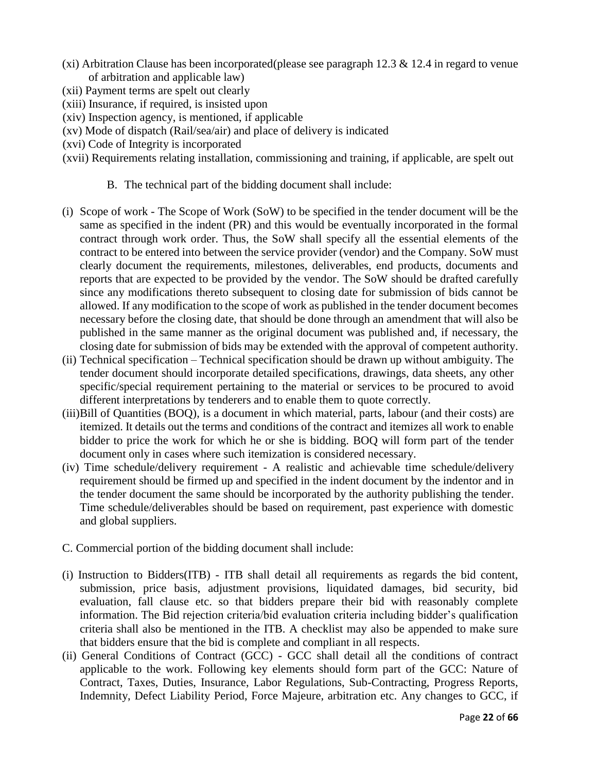- (xi) Arbitration Clause has been incorporated(please see paragraph 12.3  $\&$  12.4 in regard to venue of arbitration and applicable law)
- (xii) Payment terms are spelt out clearly
- (xiii) Insurance, if required, is insisted upon
- (xiv) Inspection agency, is mentioned, if applicable
- (xv) Mode of dispatch (Rail/sea/air) and place of delivery is indicated
- (xvi) Code of Integrity is incorporated
- (xvii) Requirements relating installation, commissioning and training, if applicable, are spelt out
	- B. The technical part of the bidding document shall include:
- (i) Scope of work The Scope of Work (SoW) to be specified in the tender document will be the same as specified in the indent (PR) and this would be eventually incorporated in the formal contract through work order. Thus, the SoW shall specify all the essential elements of the contract to be entered into between the service provider (vendor) and the Company. SoW must clearly document the requirements, milestones, deliverables, end products, documents and reports that are expected to be provided by the vendor. The SoW should be drafted carefully since any modifications thereto subsequent to closing date for submission of bids cannot be allowed. If any modification to the scope of work as published in the tender document becomes necessary before the closing date, that should be done through an amendment that will also be published in the same manner as the original document was published and, if necessary, the closing date for submission of bids may be extended with the approval of competent authority.
- (ii) Technical specification Technical specification should be drawn up without ambiguity. The tender document should incorporate detailed specifications, drawings, data sheets, any other specific/special requirement pertaining to the material or services to be procured to avoid different interpretations by tenderers and to enable them to quote correctly.
- (iii)Bill of Quantities (BOQ), is a document in which material, parts, labour (and their costs) are itemized. It details out the terms and conditions of the contract and itemizes all work to enable bidder to price the work for which he or she is bidding. BOQ will form part of the tender document only in cases where such itemization is considered necessary.
- (iv) Time schedule/delivery requirement A realistic and achievable time schedule/delivery requirement should be firmed up and specified in the indent document by the indentor and in the tender document the same should be incorporated by the authority publishing the tender. Time schedule/deliverables should be based on requirement, past experience with domestic and global suppliers.
- C. Commercial portion of the bidding document shall include:
- (i) Instruction to Bidders(ITB) ITB shall detail all requirements as regards the bid content, submission, price basis, adjustment provisions, liquidated damages, bid security, bid evaluation, fall clause etc. so that bidders prepare their bid with reasonably complete information. The Bid rejection criteria/bid evaluation criteria including bidder's qualification criteria shall also be mentioned in the ITB. A checklist may also be appended to make sure that bidders ensure that the bid is complete and compliant in all respects.
- (ii) General Conditions of Contract (GCC) GCC shall detail all the conditions of contract applicable to the work. Following key elements should form part of the GCC: Nature of Contract, Taxes, Duties, Insurance, Labor Regulations, Sub-Contracting, Progress Reports, Indemnity, Defect Liability Period, Force Majeure, arbitration etc. Any changes to GCC, if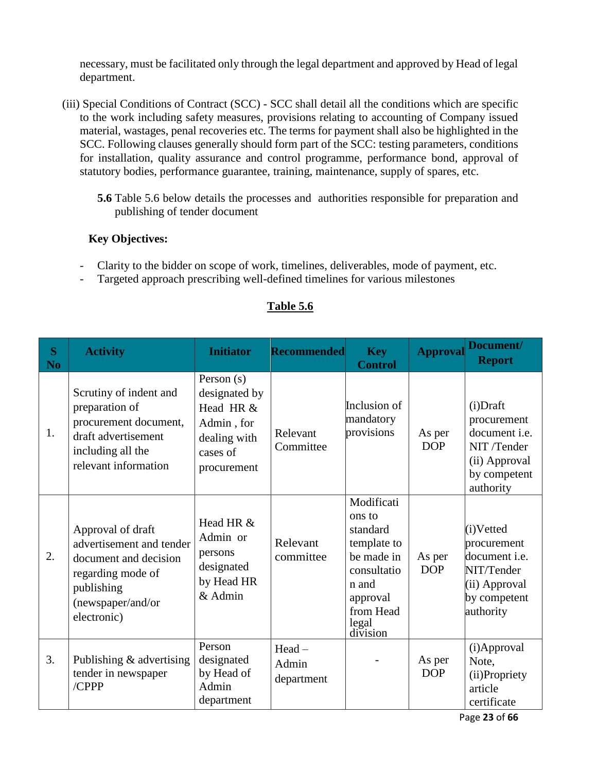necessary, must be facilitated only through the legal department and approved by Head of legal department.

- (iii) Special Conditions of Contract (SCC) SCC shall detail all the conditions which are specific to the work including safety measures, provisions relating to accounting of Company issued material, wastages, penal recoveries etc. The terms for payment shall also be highlighted in the SCC. Following clauses generally should form part of the SCC: testing parameters, conditions for installation, quality assurance and control programme, performance bond, approval of statutory bodies, performance guarantee, training, maintenance, supply of spares, etc.
	- **5.6** Table 5.6 below details the processes and authorities responsible for preparation and publishing of tender document

# **Key Objectives:**

- Clarity to the bidder on scope of work, timelines, deliverables, mode of payment, etc.
- Targeted approach prescribing well-defined timelines for various milestones

| S<br>N <sub>o</sub> | <b>Activity</b>                                                                                                                               | <b>Initiator</b>                                                                                    | <b>Recommended</b>           | <b>Key</b><br><b>Control</b>                                                                                                        | <b>Approval</b>      | Document/<br><b>Report</b>                                                                                   |
|---------------------|-----------------------------------------------------------------------------------------------------------------------------------------------|-----------------------------------------------------------------------------------------------------|------------------------------|-------------------------------------------------------------------------------------------------------------------------------------|----------------------|--------------------------------------------------------------------------------------------------------------|
| 1.                  | Scrutiny of indent and<br>preparation of<br>procurement document,<br>draft advertisement<br>including all the<br>relevant information         | Person $(s)$<br>designated by<br>Head HR &<br>Admin, for<br>dealing with<br>cases of<br>procurement | Relevant<br>Committee        | Inclusion of<br>mandatory<br>provisions                                                                                             | As per<br><b>DOP</b> | $(i)$ Draft<br>procurement<br>document i.e.<br>NIT/Tender<br>(ii) Approval<br>by competent<br>authority      |
| 2.                  | Approval of draft<br>advertisement and tender<br>document and decision<br>regarding mode of<br>publishing<br>(newspaper/and/or<br>electronic) | Head HR &<br>Admin or<br>persons<br>designated<br>by Head HR<br>& Admin                             | Relevant<br>committee        | Modificati<br>ons to<br>standard<br>template to<br>be made in<br>consultatio<br>n and<br>approval<br>from Head<br>legal<br>division | As per<br><b>DOP</b> | (i)Vetted<br>procurement<br>document <i>i.e.</i><br>NIT/Tender<br>(ii) Approval<br>by competent<br>authority |
| 3.                  | Publishing & advertising<br>tender in newspaper<br>/CPPP                                                                                      | Person<br>designated<br>by Head of<br>Admin<br>department                                           | Head-<br>Admin<br>department |                                                                                                                                     | As per<br><b>DOP</b> | (i)Approval<br>Note,<br>(ii)Propriety<br>article<br>certificate                                              |

# **Table 5.6**

Page **23** of **66**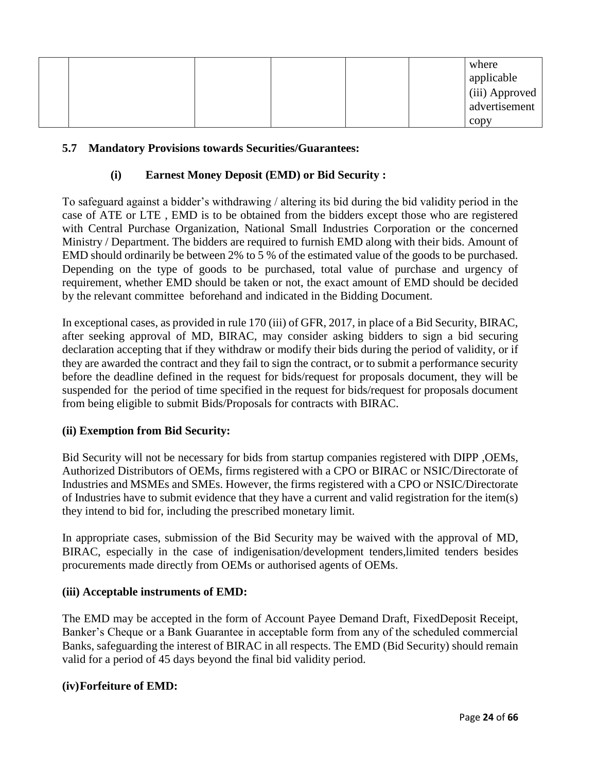|  |  |  | where                           |
|--|--|--|---------------------------------|
|  |  |  | applicable                      |
|  |  |  | (iii) Approved<br>advertisement |
|  |  |  |                                 |
|  |  |  | $\mathbf{copy}$                 |

## **5.7 Mandatory Provisions towards Securities/Guarantees:**

## **(i) Earnest Money Deposit (EMD) or Bid Security :**

To safeguard against a bidder's withdrawing / altering its bid during the bid validity period in the case of ATE or LTE , EMD is to be obtained from the bidders except those who are registered with Central Purchase Organization, National Small Industries Corporation or the concerned Ministry / Department. The bidders are required to furnish EMD along with their bids. Amount of EMD should ordinarily be between 2% to 5 % of the estimated value of the goods to be purchased. Depending on the type of goods to be purchased, total value of purchase and urgency of requirement, whether EMD should be taken or not, the exact amount of EMD should be decided by the relevant committee beforehand and indicated in the Bidding Document.

In exceptional cases, as provided in rule 170 (iii) of GFR, 2017, in place of a Bid Security, BIRAC, after seeking approval of MD, BIRAC, may consider asking bidders to sign a bid securing declaration accepting that if they withdraw or modify their bids during the period of validity, or if they are awarded the contract and they fail to sign the contract, or to submit a performance security before the deadline defined in the request for bids/request for proposals document, they will be suspended for the period of time specified in the request for bids/request for proposals document from being eligible to submit Bids/Proposals for contracts with BIRAC.

### **(ii) Exemption from Bid Security:**

Bid Security will not be necessary for bids from startup companies registered with DIPP ,OEMs, Authorized Distributors of OEMs, firms registered with a CPO or BIRAC or NSIC/Directorate of Industries and MSMEs and SMEs. However, the firms registered with a CPO or NSIC/Directorate of Industries have to submit evidence that they have a current and valid registration for the item(s) they intend to bid for, including the prescribed monetary limit.

In appropriate cases, submission of the Bid Security may be waived with the approval of MD, BIRAC, especially in the case of indigenisation/development tenders,limited tenders besides procurements made directly from OEMs or authorised agents of OEMs.

### **(iii) Acceptable instruments of EMD:**

The EMD may be accepted in the form of Account Payee Demand Draft, FixedDeposit Receipt, Banker's Cheque or a Bank Guarantee in acceptable form from any of the scheduled commercial Banks, safeguarding the interest of BIRAC in all respects. The EMD (Bid Security) should remain valid for a period of 45 days beyond the final bid validity period.

### **(iv)Forfeiture of EMD:**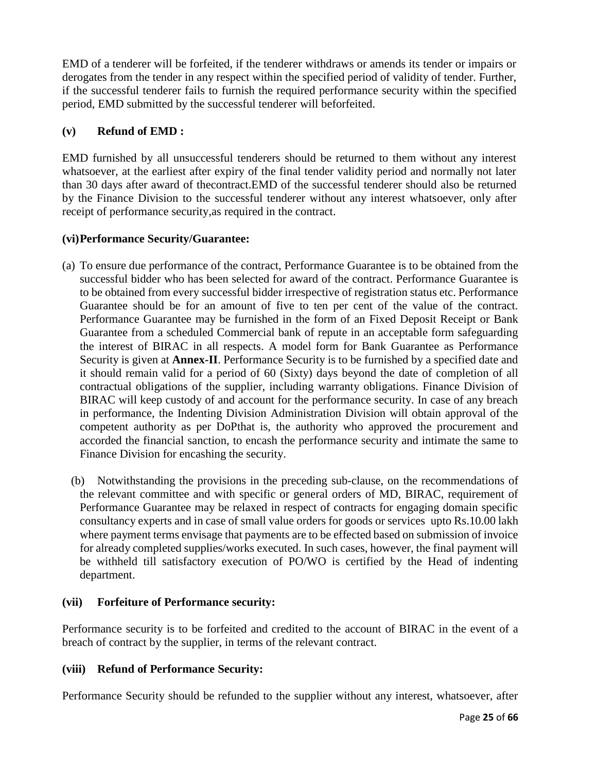EMD of a tenderer will be forfeited, if the tenderer withdraws or amends its tender or impairs or derogates from the tender in any respect within the specified period of validity of tender. Further, if the successful tenderer fails to furnish the required performance security within the specified period, EMD submitted by the successful tenderer will beforfeited.

# **(v) Refund of EMD :**

EMD furnished by all unsuccessful tenderers should be returned to them without any interest whatsoever, at the earliest after expiry of the final tender validity period and normally not later than 30 days after award of thecontract.EMD of the successful tenderer should also be returned by the Finance Division to the successful tenderer without any interest whatsoever, only after receipt of performance security,as required in the contract.

# **(vi)Performance Security/Guarantee:**

- (a) To ensure due performance of the contract, Performance Guarantee is to be obtained from the successful bidder who has been selected for award of the contract. Performance Guarantee is to be obtained from every successful bidder irrespective of registration status etc. Performance Guarantee should be for an amount of five to ten per cent of the value of the contract. Performance Guarantee may be furnished in the form of an Fixed Deposit Receipt or Bank Guarantee from a scheduled Commercial bank of repute in an acceptable form safeguarding the interest of BIRAC in all respects. A model form for Bank Guarantee as Performance Security is given at **Annex-II**. Performance Security is to be furnished by a specified date and it should remain valid for a period of 60 (Sixty) days beyond the date of completion of all contractual obligations of the supplier, including warranty obligations. Finance Division of BIRAC will keep custody of and account for the performance security. In case of any breach in performance, the Indenting Division Administration Division will obtain approval of the competent authority as per DoPthat is, the authority who approved the procurement and accorded the financial sanction, to encash the performance security and intimate the same to Finance Division for encashing the security.
	- (b) Notwithstanding the provisions in the preceding sub-clause, on the recommendations of the relevant committee and with specific or general orders of MD, BIRAC, requirement of Performance Guarantee may be relaxed in respect of contracts for engaging domain specific consultancy experts and in case of small value orders for goods or services upto Rs.10.00 lakh where payment terms envisage that payments are to be effected based on submission of invoice for already completed supplies/works executed. In such cases, however, the final payment will be withheld till satisfactory execution of PO/WO is certified by the Head of indenting department.

## **(vii) Forfeiture of Performance security:**

Performance security is to be forfeited and credited to the account of BIRAC in the event of a breach of contract by the supplier, in terms of the relevant contract.

# **(viii) Refund of Performance Security:**

Performance Security should be refunded to the supplier without any interest, whatsoever, after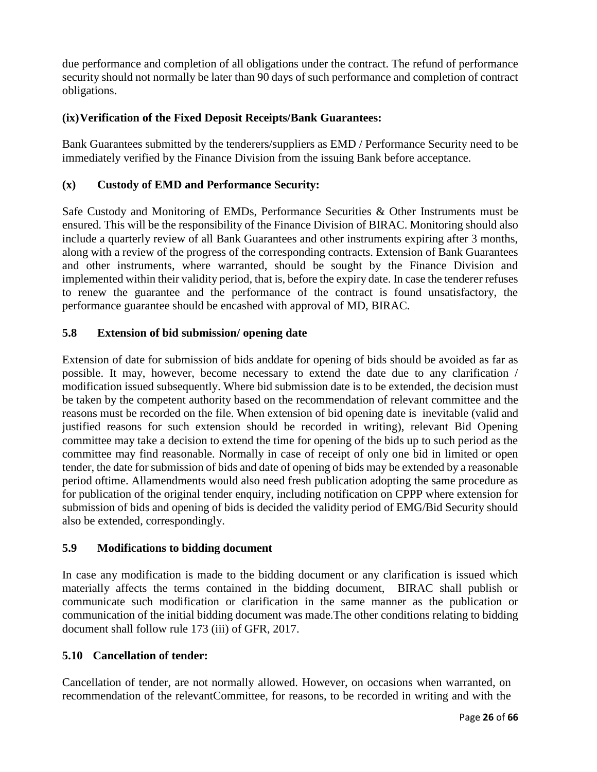due performance and completion of all obligations under the contract. The refund of performance security should not normally be later than 90 days of such performance and completion of contract obligations.

# **(ix)Verification of the Fixed Deposit Receipts/Bank Guarantees:**

Bank Guarantees submitted by the tenderers/suppliers as EMD / Performance Security need to be immediately verified by the Finance Division from the issuing Bank before acceptance.

# **(x) Custody of EMD and Performance Security:**

Safe Custody and Monitoring of EMDs, Performance Securities & Other Instruments must be ensured. This will be the responsibility of the Finance Division of BIRAC. Monitoring should also include a quarterly review of all Bank Guarantees and other instruments expiring after 3 months, along with a review of the progress of the corresponding contracts. Extension of Bank Guarantees and other instruments, where warranted, should be sought by the Finance Division and implemented within their validity period, that is, before the expiry date. In case the tenderer refuses to renew the guarantee and the performance of the contract is found unsatisfactory, the performance guarantee should be encashed with approval of MD, BIRAC.

## **5.8 Extension of bid submission/ opening date**

Extension of date for submission of bids anddate for opening of bids should be avoided as far as possible. It may, however, become necessary to extend the date due to any clarification / modification issued subsequently. Where bid submission date is to be extended, the decision must be taken by the competent authority based on the recommendation of relevant committee and the reasons must be recorded on the file. When extension of bid opening date is inevitable (valid and justified reasons for such extension should be recorded in writing), relevant Bid Opening committee may take a decision to extend the time for opening of the bids up to such period as the committee may find reasonable. Normally in case of receipt of only one bid in limited or open tender, the date for submission of bids and date of opening of bids may be extended by a reasonable period oftime. Allamendments would also need fresh publication adopting the same procedure as for publication of the original tender enquiry, including notification on CPPP where extension for submission of bids and opening of bids is decided the validity period of EMG/Bid Security should also be extended, correspondingly.

## **5.9 Modifications to bidding document**

In case any modification is made to the bidding document or any clarification is issued which materially affects the terms contained in the bidding document, BIRAC shall publish or communicate such modification or clarification in the same manner as the publication or communication of the initial bidding document was made.The other conditions relating to bidding document shall follow rule 173 (iii) of GFR, 2017.

## **5.10 Cancellation of tender:**

Cancellation of tender, are not normally allowed. However, on occasions when warranted, on recommendation of the relevantCommittee, for reasons, to be recorded in writing and with the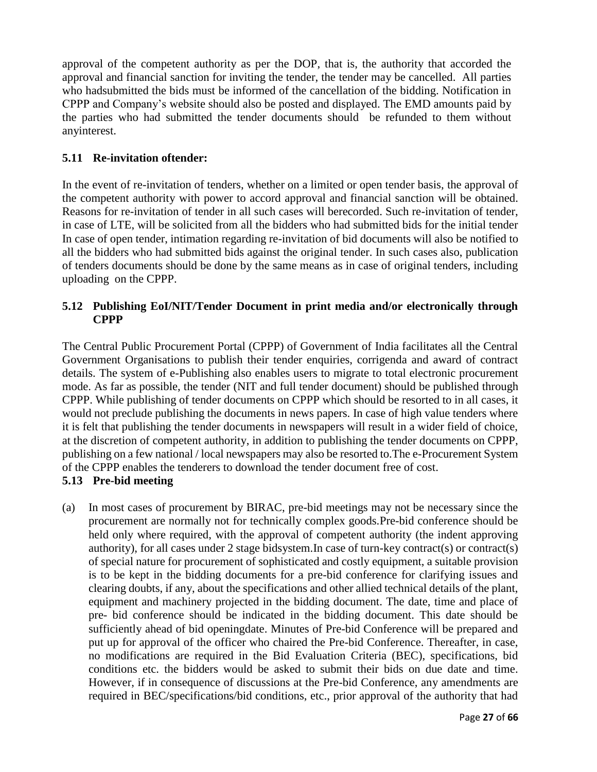approval of the competent authority as per the DOP, that is, the authority that accorded the approval and financial sanction for inviting the tender, the tender may be cancelled. All parties who hadsubmitted the bids must be informed of the cancellation of the bidding. Notification in CPPP and Company's website should also be posted and displayed. The EMD amounts paid by the parties who had submitted the tender documents should be refunded to them without anyinterest.

## **5.11 Re-invitation oftender:**

In the event of re-invitation of tenders, whether on a limited or open tender basis, the approval of the competent authority with power to accord approval and financial sanction will be obtained. Reasons for re-invitation of tender in all such cases will berecorded. Such re-invitation of tender, in case of LTE, will be solicited from all the bidders who had submitted bids for the initial tender In case of open tender, intimation regarding re-invitation of bid documents will also be notified to all the bidders who had submitted bids against the original tender. In such cases also, publication of tenders documents should be done by the same means as in case of original tenders, including uploading on the CPPP.

## **5.12 Publishing EoI/NIT/Tender Document in print media and/or electronically through CPPP**

The Central Public Procurement Portal (CPPP) of Government of India facilitates all the Central Government Organisations to publish their tender enquiries, corrigenda and award of contract details. The system of e-Publishing also enables users to migrate to total electronic procurement mode. As far as possible, the tender (NIT and full tender document) should be published through CPPP. While publishing of tender documents on CPPP which should be resorted to in all cases, it would not preclude publishing the documents in news papers. In case of high value tenders where it is felt that publishing the tender documents in newspapers will result in a wider field of choice, at the discretion of competent authority, in addition to publishing the tender documents on CPPP, publishing on a few national / local newspapers may also be resorted to.The e-Procurement System of the CPPP enables the tenderers to download the tender document free of cost.

## **5.13 Pre-bid meeting**

(a) In most cases of procurement by BIRAC, pre-bid meetings may not be necessary since the procurement are normally not for technically complex goods.Pre-bid conference should be held only where required, with the approval of competent authority (the indent approving authority), for all cases under 2 stage bidsystem.In case of turn-key contract(s) or contract(s) of special nature for procurement of sophisticated and costly equipment, a suitable provision is to be kept in the bidding documents for a pre-bid conference for clarifying issues and clearing doubts, if any, about the specifications and other allied technical details of the plant, equipment and machinery projected in the bidding document. The date, time and place of pre- bid conference should be indicated in the bidding document. This date should be sufficiently ahead of bid openingdate. Minutes of Pre-bid Conference will be prepared and put up for approval of the officer who chaired the Pre-bid Conference. Thereafter, in case, no modifications are required in the Bid Evaluation Criteria (BEC), specifications, bid conditions etc. the bidders would be asked to submit their bids on due date and time. However, if in consequence of discussions at the Pre-bid Conference, any amendments are required in BEC/specifications/bid conditions, etc., prior approval of the authority that had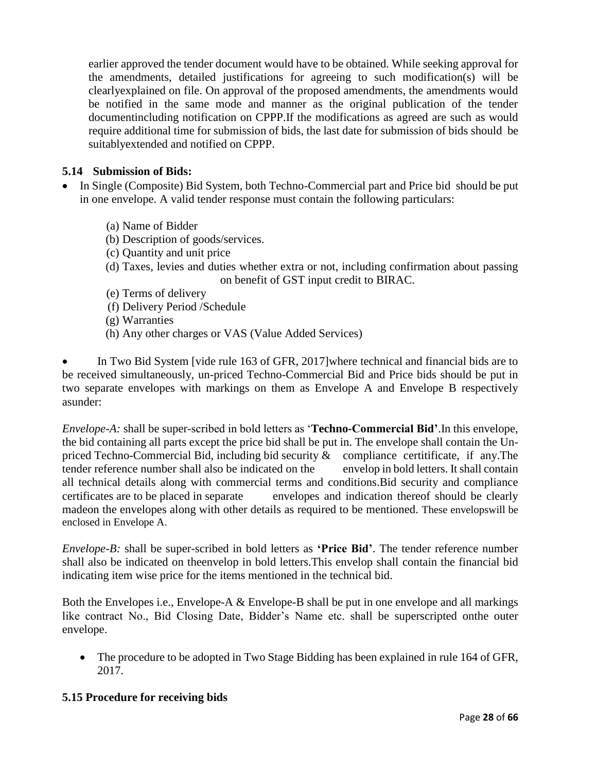earlier approved the tender document would have to be obtained. While seeking approval for the amendments, detailed justifications for agreeing to such modification(s) will be clearlyexplained on file. On approval of the proposed amendments, the amendments would be notified in the same mode and manner as the original publication of the tender documentincluding notification on CPPP.If the modifications as agreed are such as would require additional time for submission of bids, the last date for submission of bids should be suitablyextended and notified on CPPP.

## **5.14 Submission of Bids:**

- In Single (Composite) Bid System, both Techno-Commercial part and Price bid should be put in one envelope. A valid tender response must contain the following particulars:
	- (a) Name of Bidder
	- (b) Description of goods/services.
	- (c) Quantity and unit price
	- (d) Taxes, levies and duties whether extra or not, including confirmation about passing on benefit of GST input credit to BIRAC.
	- (e) Terms of delivery
	- (f) Delivery Period /Schedule
	- (g) Warranties
	- (h) Any other charges or VAS (Value Added Services)

 In Two Bid System [vide rule 163 of GFR, 2017]where technical and financial bids are to be received simultaneously, un-priced Techno-Commercial Bid and Price bids should be put in two separate envelopes with markings on them as Envelope A and Envelope B respectively asunder:

*Envelope-A:* shall be super-scribed in bold letters as '**Techno-Commercial Bid'**.In this envelope, the bid containing all parts except the price bid shall be put in. The envelope shall contain the Unpriced Techno-Commercial Bid, including bid security  $\&$  compliance certitificate, if any. The tender reference number shall also be indicated on the envelop in bold letters. It shall contain all technical details along with commercial terms and conditions.Bid security and compliance certificates are to be placed in separate envelopes and indication thereof should be clearly madeon the envelopes along with other details as required to be mentioned. These envelopswill be enclosed in Envelope A.

*Envelope-B:* shall be super-scribed in bold letters as **'Price Bid'**. The tender reference number shall also be indicated on theenvelop in bold letters.This envelop shall contain the financial bid indicating item wise price for the items mentioned in the technical bid.

Both the Envelopes i.e., Envelope-A & Envelope-B shall be put in one envelope and all markings like contract No., Bid Closing Date, Bidder's Name etc. shall be superscripted onthe outer envelope.

• The procedure to be adopted in Two Stage Bidding has been explained in rule 164 of GFR, 2017.

### **5.15 Procedure for receiving bids**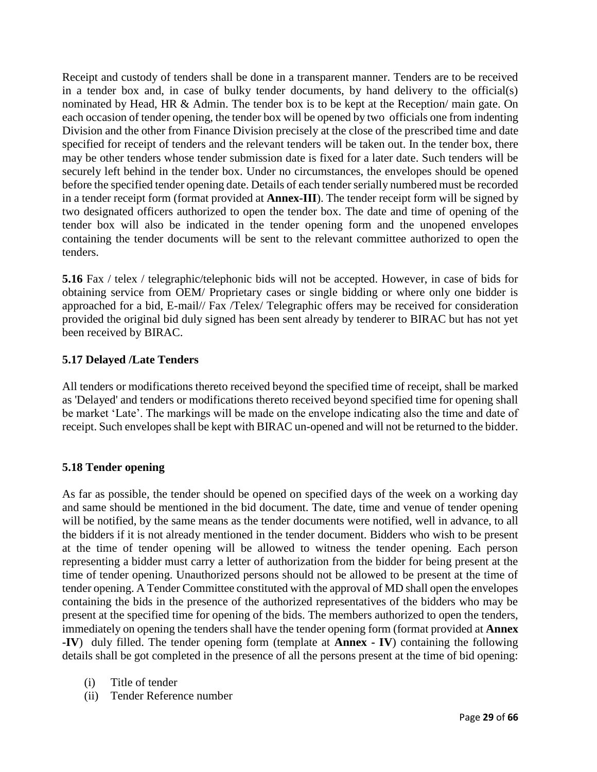Receipt and custody of tenders shall be done in a transparent manner. Tenders are to be received in a tender box and, in case of bulky tender documents, by hand delivery to the official(s) nominated by Head, HR & Admin. The tender box is to be kept at the Reception/ main gate. On each occasion of tender opening, the tender box will be opened by two officials one from indenting Division and the other from Finance Division precisely at the close of the prescribed time and date specified for receipt of tenders and the relevant tenders will be taken out. In the tender box, there may be other tenders whose tender submission date is fixed for a later date. Such tenders will be securely left behind in the tender box. Under no circumstances, the envelopes should be opened before the specified tender opening date. Details of each tender serially numbered must be recorded in a tender receipt form (format provided at **Annex-III**). The tender receipt form will be signed by two designated officers authorized to open the tender box. The date and time of opening of the tender box will also be indicated in the tender opening form and the unopened envelopes containing the tender documents will be sent to the relevant committee authorized to open the tenders.

**5.16** Fax / telex / telegraphic/telephonic bids will not be accepted. However, in case of bids for obtaining service from OEM/ Proprietary cases or single bidding or where only one bidder is approached for a bid, E-mail// Fax /Telex/ Telegraphic offers may be received for consideration provided the original bid duly signed has been sent already by tenderer to BIRAC but has not yet been received by BIRAC.

## **5.17 Delayed /Late Tenders**

All tenders or modifications thereto received beyond the specified time of receipt, shall be marked as 'Delayed' and tenders or modifications thereto received beyond specified time for opening shall be market 'Late'. The markings will be made on the envelope indicating also the time and date of receipt. Such envelopes shall be kept with BIRAC un-opened and will not be returned to the bidder.

### **5.18 Tender opening**

As far as possible, the tender should be opened on specified days of the week on a working day and same should be mentioned in the bid document. The date, time and venue of tender opening will be notified, by the same means as the tender documents were notified, well in advance, to all the bidders if it is not already mentioned in the tender document. Bidders who wish to be present at the time of tender opening will be allowed to witness the tender opening. Each person representing a bidder must carry a letter of authorization from the bidder for being present at the time of tender opening. Unauthorized persons should not be allowed to be present at the time of tender opening. A Tender Committee constituted with the approval of MD shall open the envelopes containing the bids in the presence of the authorized representatives of the bidders who may be present at the specified time for opening of the bids. The members authorized to open the tenders, immediately on opening the tenders shall have the tender opening form (format provided at **Annex -IV**) duly filled. The tender opening form (template at **Annex - IV**) containing the following details shall be got completed in the presence of all the persons present at the time of bid opening:

- (i) Title of tender
- (ii) Tender Reference number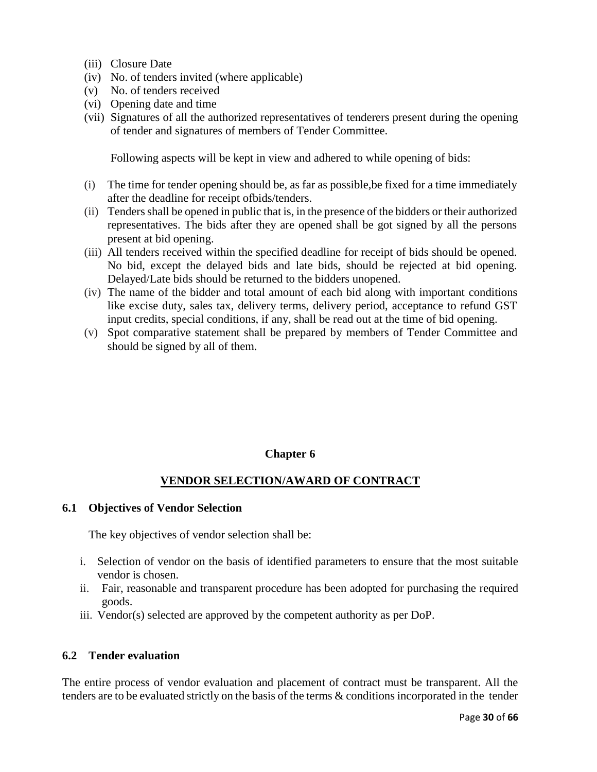- (iii) Closure Date
- (iv) No. of tenders invited (where applicable)
- (v) No. of tenders received
- (vi) Opening date and time
- (vii) Signatures of all the authorized representatives of tenderers present during the opening of tender and signatures of members of Tender Committee.

Following aspects will be kept in view and adhered to while opening of bids:

- (i) The time for tender opening should be, as far as possible,be fixed for a time immediately after the deadline for receipt ofbids/tenders.
- (ii) Tenders shall be opened in public that is, in the presence of the bidders or their authorized representatives. The bids after they are opened shall be got signed by all the persons present at bid opening.
- (iii) All tenders received within the specified deadline for receipt of bids should be opened. No bid, except the delayed bids and late bids, should be rejected at bid opening. Delayed/Late bids should be returned to the bidders unopened.
- (iv) The name of the bidder and total amount of each bid along with important conditions like excise duty, sales tax, delivery terms, delivery period, acceptance to refund GST input credits, special conditions, if any, shall be read out at the time of bid opening.
- (v) Spot comparative statement shall be prepared by members of Tender Committee and should be signed by all of them.

### **Chapter 6**

## **VENDOR SELECTION/AWARD OF CONTRACT**

#### **6.1 Objectives of Vendor Selection**

The key objectives of vendor selection shall be:

- i. Selection of vendor on the basis of identified parameters to ensure that the most suitable vendor is chosen.
- ii. Fair, reasonable and transparent procedure has been adopted for purchasing the required goods.
- iii. Vendor(s) selected are approved by the competent authority as per DoP.

### **6.2 Tender evaluation**

The entire process of vendor evaluation and placement of contract must be transparent. All the tenders are to be evaluated strictly on the basis of the terms & conditions incorporated in the tender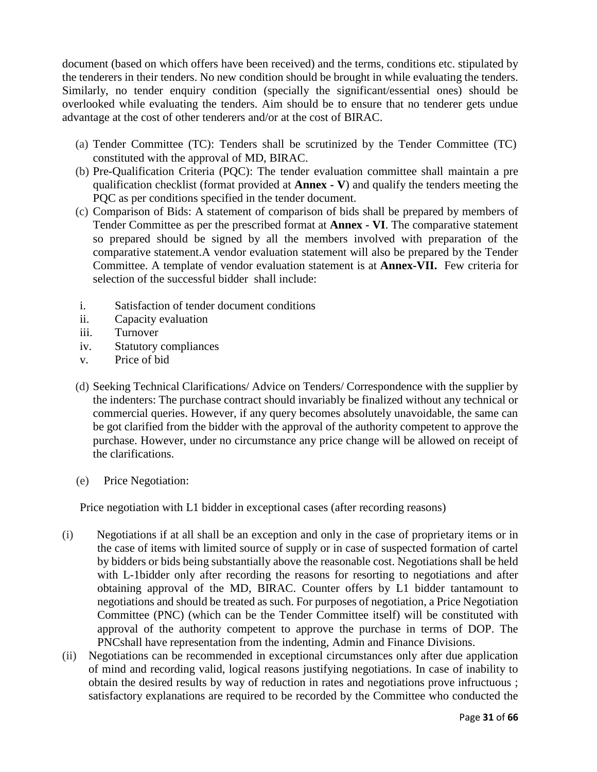document (based on which offers have been received) and the terms, conditions etc. stipulated by the tenderers in their tenders. No new condition should be brought in while evaluating the tenders. Similarly, no tender enquiry condition (specially the significant/essential ones) should be overlooked while evaluating the tenders. Aim should be to ensure that no tenderer gets undue advantage at the cost of other tenderers and/or at the cost of BIRAC.

- (a) Tender Committee (TC): Tenders shall be scrutinized by the Tender Committee (TC) constituted with the approval of MD, BIRAC.
- (b) Pre-Qualification Criteria (PQC): The tender evaluation committee shall maintain a pre qualification checklist (format provided at **Annex - V**) and qualify the tenders meeting the PQC as per conditions specified in the tender document.
- (c) Comparison of Bids: A statement of comparison of bids shall be prepared by members of Tender Committee as per the prescribed format at **Annex - VI**. The comparative statement so prepared should be signed by all the members involved with preparation of the comparative statement.A vendor evaluation statement will also be prepared by the Tender Committee. A template of vendor evaluation statement is at **Annex-VII.** Few criteria for selection of the successful bidder shall include:
- i. Satisfaction of tender document conditions
- ii. Capacity evaluation
- iii. Turnover
- iv. Statutory compliances
- v. Price of bid
- (d) Seeking Technical Clarifications/ Advice on Tenders/ Correspondence with the supplier by the indenters: The purchase contract should invariably be finalized without any technical or commercial queries. However, if any query becomes absolutely unavoidable, the same can be got clarified from the bidder with the approval of the authority competent to approve the purchase. However, under no circumstance any price change will be allowed on receipt of the clarifications.
- (e) Price Negotiation:

Price negotiation with L1 bidder in exceptional cases (after recording reasons)

- (i) Negotiations if at all shall be an exception and only in the case of proprietary items or in the case of items with limited source of supply or in case of suspected formation of cartel by bidders or bids being substantially above the reasonable cost. Negotiations shall be held with L-1bidder only after recording the reasons for resorting to negotiations and after obtaining approval of the MD, BIRAC. Counter offers by L1 bidder tantamount to negotiations and should be treated as such. For purposes of negotiation, a Price Negotiation Committee (PNC) (which can be the Tender Committee itself) will be constituted with approval of the authority competent to approve the purchase in terms of DOP. The PNCshall have representation from the indenting, Admin and Finance Divisions.
- (ii) Negotiations can be recommended in exceptional circumstances only after due application of mind and recording valid, logical reasons justifying negotiations. In case of inability to obtain the desired results by way of reduction in rates and negotiations prove infructuous ; satisfactory explanations are required to be recorded by the Committee who conducted the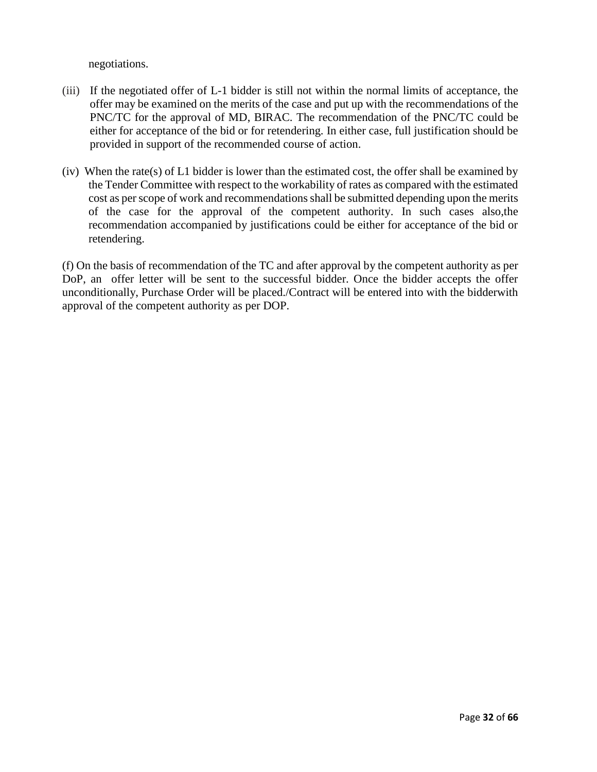negotiations.

- (iii) If the negotiated offer of L-1 bidder is still not within the normal limits of acceptance, the offer may be examined on the merits of the case and put up with the recommendations of the PNC/TC for the approval of MD, BIRAC. The recommendation of the PNC/TC could be either for acceptance of the bid or for retendering. In either case, full justification should be provided in support of the recommended course of action.
- (iv) When the rate(s) of L1 bidder is lower than the estimated cost, the offer shall be examined by the Tender Committee with respect to the workability of rates as compared with the estimated cost as per scope of work and recommendations shall be submitted depending upon the merits of the case for the approval of the competent authority. In such cases also,the recommendation accompanied by justifications could be either for acceptance of the bid or retendering.

(f) On the basis of recommendation of the TC and after approval by the competent authority as per DoP, an offer letter will be sent to the successful bidder. Once the bidder accepts the offer unconditionally, Purchase Order will be placed./Contract will be entered into with the bidderwith approval of the competent authority as per DOP.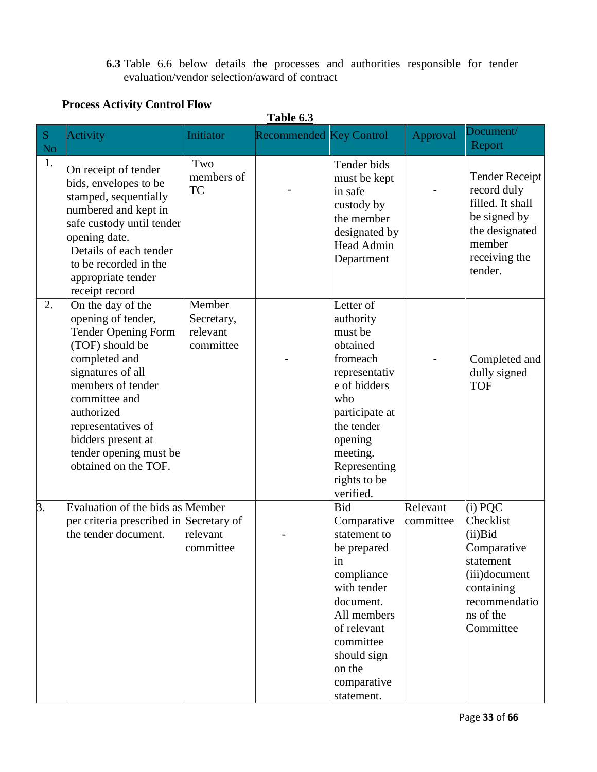# **6.3** Table 6.6 below details the processes and authorities responsible for tender evaluation/vendor selection/award of contract

# **Process Activity Control Flow**

|                       | Table 6.3                                                                                                                                                                                                                                                                        |                                               |                                |                                                                                                                                                                                                           |                       |                                                                                                                                               |  |  |  |  |
|-----------------------|----------------------------------------------------------------------------------------------------------------------------------------------------------------------------------------------------------------------------------------------------------------------------------|-----------------------------------------------|--------------------------------|-----------------------------------------------------------------------------------------------------------------------------------------------------------------------------------------------------------|-----------------------|-----------------------------------------------------------------------------------------------------------------------------------------------|--|--|--|--|
| ${\bf S}$<br>$\rm No$ | Activity                                                                                                                                                                                                                                                                         | Initiator                                     | <b>Recommended Key Control</b> |                                                                                                                                                                                                           | Approval              | Document/<br>Report                                                                                                                           |  |  |  |  |
| 1.                    | On receipt of tender<br>bids, envelopes to be<br>stamped, sequentially<br>numbered and kept in<br>safe custody until tender<br>opening date.<br>Details of each tender<br>to be recorded in the<br>appropriate tender<br>receipt record                                          | Two<br>members of<br><b>TC</b>                |                                | Tender bids<br>must be kept<br>in safe<br>custody by<br>the member<br>designated by<br>Head Admin<br>Department                                                                                           |                       | <b>Tender Receipt</b><br>record duly<br>filled. It shall<br>be signed by<br>the designated<br>member<br>receiving the<br>tender.              |  |  |  |  |
| 2.                    | On the day of the<br>opening of tender,<br><b>Tender Opening Form</b><br>(TOF) should be<br>completed and<br>signatures of all<br>members of tender<br>committee and<br>authorized<br>representatives of<br>bidders present at<br>tender opening must be<br>obtained on the TOF. | Member<br>Secretary,<br>relevant<br>committee |                                | Letter of<br>authority<br>must be<br>obtained<br>fromeach<br>representativ<br>e of bidders<br>who<br>participate at<br>the tender<br>opening<br>meeting.<br>Representing<br>rights to be<br>verified.     |                       | Completed and<br>dully signed<br><b>TOF</b>                                                                                                   |  |  |  |  |
| 3.                    | Evaluation of the bids as Member<br>per criteria prescribed in Secretary of<br>the tender document.                                                                                                                                                                              | relevant<br>committee                         |                                | <b>Bid</b><br>Comparative<br>statement to<br>be prepared<br>in<br>compliance<br>with tender<br>document.<br>All members<br>of relevant<br>committee<br>should sign<br>on the<br>comparative<br>statement. | Relevant<br>committee | $(i)$ PQC<br>Checklist<br>$(ii)$ Bid<br>Comparative<br>statement<br>$(iii)$ document<br>containing<br>recommendatio<br>ns of the<br>Committee |  |  |  |  |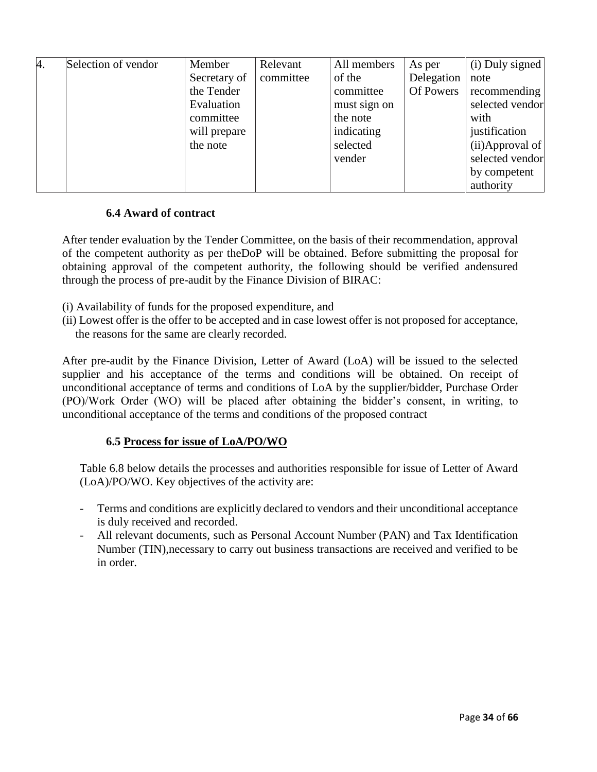| 4. | Selection of vendor | Member       | Relevant  | All members  | As per     | (i) Duly signed    |
|----|---------------------|--------------|-----------|--------------|------------|--------------------|
|    |                     | Secretary of | committee | of the       | Delegation | note               |
|    |                     | the Tender   |           | committee    | Of Powers  | recommending       |
|    |                     | Evaluation   |           | must sign on |            | selected vendor    |
|    |                     | committee    |           | the note     |            | with               |
|    |                     | will prepare |           | indicating   |            | justification      |
|    |                     | the note     |           | selected     |            | $(ii)$ Approval of |
|    |                     |              |           | vender       |            | selected vendor    |
|    |                     |              |           |              |            | by competent       |
|    |                     |              |           |              |            | authority          |

### **6.4 Award of contract**

After tender evaluation by the Tender Committee, on the basis of their recommendation, approval of the competent authority as per theDoP will be obtained. Before submitting the proposal for obtaining approval of the competent authority, the following should be verified andensured through the process of pre-audit by the Finance Division of BIRAC:

- (i) Availability of funds for the proposed expenditure, and
- (ii) Lowest offer is the offer to be accepted and in case lowest offer is not proposed for acceptance, the reasons for the same are clearly recorded.

After pre-audit by the Finance Division, Letter of Award (LoA) will be issued to the selected supplier and his acceptance of the terms and conditions will be obtained. On receipt of unconditional acceptance of terms and conditions of LoA by the supplier/bidder, Purchase Order (PO)/Work Order (WO) will be placed after obtaining the bidder's consent, in writing, to unconditional acceptance of the terms and conditions of the proposed contract

## **6.5 Process for issue of LoA/PO/WO**

Table 6.8 below details the processes and authorities responsible for issue of Letter of Award (LoA)/PO/WO. Key objectives of the activity are:

- Terms and conditions are explicitly declared to vendors and their unconditional acceptance is duly received and recorded.
- All relevant documents, such as Personal Account Number (PAN) and Tax Identification Number (TIN),necessary to carry out business transactions are received and verified to be in order.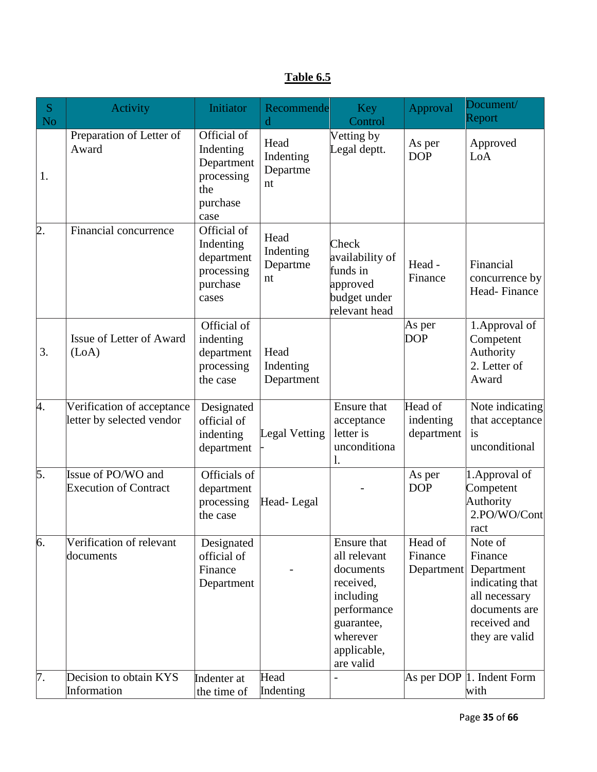|--|

| S<br>N <sub>o</sub> | Activity                                                | Initiator                                                                       | Recommende<br>d                     | <b>Key</b><br>Control                                                                                                                   | Approval                           | Document/<br>Report                                                                                                     |
|---------------------|---------------------------------------------------------|---------------------------------------------------------------------------------|-------------------------------------|-----------------------------------------------------------------------------------------------------------------------------------------|------------------------------------|-------------------------------------------------------------------------------------------------------------------------|
| 1.                  | Preparation of Letter of<br>Award                       | Official of<br>Indenting<br>Department<br>processing<br>the<br>purchase<br>case | Head<br>Indenting<br>Departme<br>nt | Vetting by<br>Legal deptt.                                                                                                              | As per<br><b>DOP</b>               | Approved<br>LoA                                                                                                         |
| 2.                  | Financial concurrence                                   | Official of<br>Indenting<br>department<br>processing<br>purchase<br>cases       | Head<br>Indenting<br>Departme<br>nt | Check<br>availability of<br>funds in<br>approved<br>budget under<br>relevant head                                                       | Head -<br>Finance                  | Financial<br>concurrence by<br>Head-Finance                                                                             |
| 3.                  | Issue of Letter of Award<br>(LoA)                       | Official of<br>indenting<br>department<br>processing<br>the case                | Head<br>Indenting<br>Department     |                                                                                                                                         | As per<br><b>DOP</b>               | 1. Approval of<br>Competent<br>Authority<br>2. Letter of<br>Award                                                       |
| 4.                  | Verification of acceptance<br>letter by selected vendor | Designated<br>official of<br>indenting<br>department                            | Legal Vetting                       | Ensure that<br>acceptance<br>letter is<br>unconditiona<br>l.                                                                            | Head of<br>indenting<br>department | Note indicating<br>that acceptance<br>is<br>unconditional                                                               |
| 5.                  | Issue of PO/WO and<br><b>Execution of Contract</b>      | Officials of<br>department<br>processing<br>the case                            | Head-Legal                          |                                                                                                                                         | As per<br><b>DOP</b>               | 1. Approval of<br>Competent<br>Authority<br>2.PO/WO/Cont<br>ract                                                        |
| 6.                  | Verification of relevant<br>documents                   | Designated<br>official of<br>Finance<br>Department                              |                                     | Ensure that<br>all relevant<br>documents<br>received.<br>including<br>performance<br>guarantee,<br>wherever<br>applicable,<br>are valid | Head of<br>Finance<br>Department   | Note of<br>Finance<br>Department<br>indicating that<br>all necessary<br>documents are<br>received and<br>they are valid |
| 7.                  | Decision to obtain KYS<br>Information                   | Indenter at<br>the time of                                                      | Head<br>Indenting                   |                                                                                                                                         |                                    | As per DOP $ 1$ . Indent Form<br>with                                                                                   |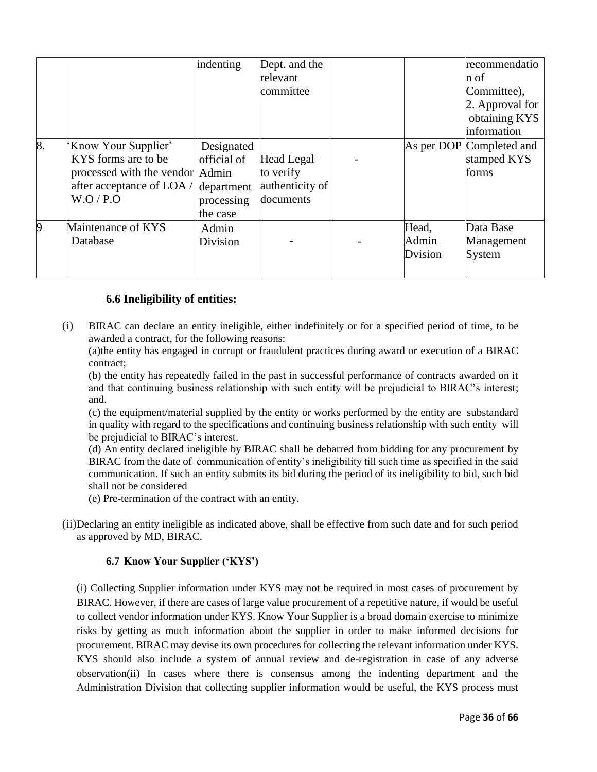|    |                                                                                                                         | indenting                                                         | Dept. and the<br>relevant<br>committee                   |                           | recommendatio<br>n of<br>Committee),<br>2. Approval for<br>obtaining KYS |
|----|-------------------------------------------------------------------------------------------------------------------------|-------------------------------------------------------------------|----------------------------------------------------------|---------------------------|--------------------------------------------------------------------------|
| 8. | Know Your Supplier'<br>KYS forms are to be<br>processed with the vendor Admin<br>after acceptance of LOA $/$<br>W.O/P.O | Designated<br>official of<br>department<br>processing<br>the case | Head Legal-<br>to verify<br>authenticity of<br>documents |                           | information<br>As per DOP Completed and<br>stamped KYS<br>forms          |
| 9  | Maintenance of KYS<br>Database                                                                                          | Admin<br>Division                                                 |                                                          | Head,<br>Admin<br>Dvision | Data Base<br>Management<br>System                                        |

## **6.6 Ineligibility of entities:**

(i) BIRAC can declare an entity ineligible, either indefinitely or for a specified period of time, to be awarded a contract, for the following reasons:

(a)the entity has engaged in corrupt or fraudulent practices during award or execution of a BIRAC contract;

(b) the entity has repeatedly failed in the past in successful performance of contracts awarded on it and that continuing business relationship with such entity will be prejudicial to BIRAC's interest; and.

(c) the equipment/material supplied by the entity or works performed by the entity are substandard in quality with regard to the specifications and continuing business relationship with such entity will be prejudicial to BIRAC's interest.

(d) An entity declared ineligible by BIRAC shall be debarred from bidding for any procurement by BIRAC from the date of communication of entity's ineligibility till such time as specified in the said communication. If such an entity submits its bid during the period of its ineligibility to bid, such bid shall not be considered

(e) Pre-termination of the contract with an entity.

(ii)Declaring an entity ineligible as indicated above, shall be effective from such date and for such period as approved by MD, BIRAC.

### **6.7 Know Your Supplier ('KYS')**

(i) Collecting Supplier information under KYS may not be required in most cases of procurement by BIRAC. However, if there are cases of large value procurement of a repetitive nature, if would be useful to collect vendor information under KYS. Know Your Supplier is a broad domain exercise to minimize risks by getting as much information about the supplier in order to make informed decisions for procurement. BIRAC may devise its own procedures for collecting the relevant information under KYS. KYS should also include a system of annual review and de-registration in case of any adverse observation(ii) In cases where there is consensus among the indenting department and the Administration Division that collecting supplier information would be useful, the KYS process must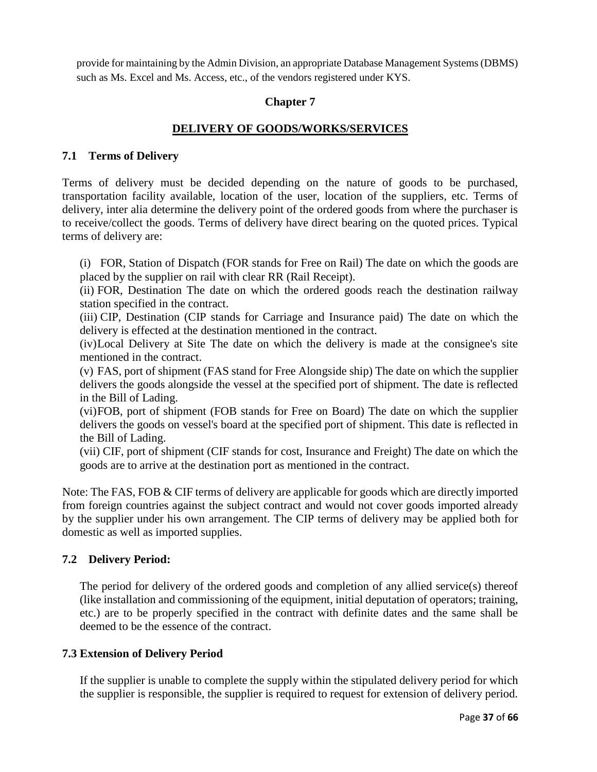provide for maintaining by the Admin Division, an appropriate Database Management Systems (DBMS) such as Ms. Excel and Ms. Access, etc., of the vendors registered under KYS.

## **Chapter 7**

## **DELIVERY OF GOODS/WORKS/SERVICES**

### **7.1 Terms of Delivery**

Terms of delivery must be decided depending on the nature of goods to be purchased, transportation facility available, location of the user, location of the suppliers, etc. Terms of delivery, inter alia determine the delivery point of the ordered goods from where the purchaser is to receive/collect the goods. Terms of delivery have direct bearing on the quoted prices. Typical terms of delivery are:

(i) FOR, Station of Dispatch (FOR stands for Free on Rail) The date on which the goods are placed by the supplier on rail with clear RR (Rail Receipt).

(ii) FOR, Destination The date on which the ordered goods reach the destination railway station specified in the contract.

(iii) CIP, Destination (CIP stands for Carriage and Insurance paid) The date on which the delivery is effected at the destination mentioned in the contract.

(iv)Local Delivery at Site The date on which the delivery is made at the consignee's site mentioned in the contract.

(v) FAS, port of shipment (FAS stand for Free Alongside ship) The date on which the supplier delivers the goods alongside the vessel at the specified port of shipment. The date is reflected in the Bill of Lading.

(vi)FOB, port of shipment (FOB stands for Free on Board) The date on which the supplier delivers the goods on vessel's board at the specified port of shipment. This date is reflected in the Bill of Lading.

(vii) CIF, port of shipment (CIF stands for cost, Insurance and Freight) The date on which the goods are to arrive at the destination port as mentioned in the contract.

Note: The FAS, FOB & CIF terms of delivery are applicable for goods which are directly imported from foreign countries against the subject contract and would not cover goods imported already by the supplier under his own arrangement. The CIP terms of delivery may be applied both for domestic as well as imported supplies.

### **7.2 Delivery Period:**

The period for delivery of the ordered goods and completion of any allied service(s) thereof (like installation and commissioning of the equipment, initial deputation of operators; training, etc.) are to be properly specified in the contract with definite dates and the same shall be deemed to be the essence of the contract.

### **7.3 Extension of Delivery Period**

If the supplier is unable to complete the supply within the stipulated delivery period for which the supplier is responsible, the supplier is required to request for extension of delivery period.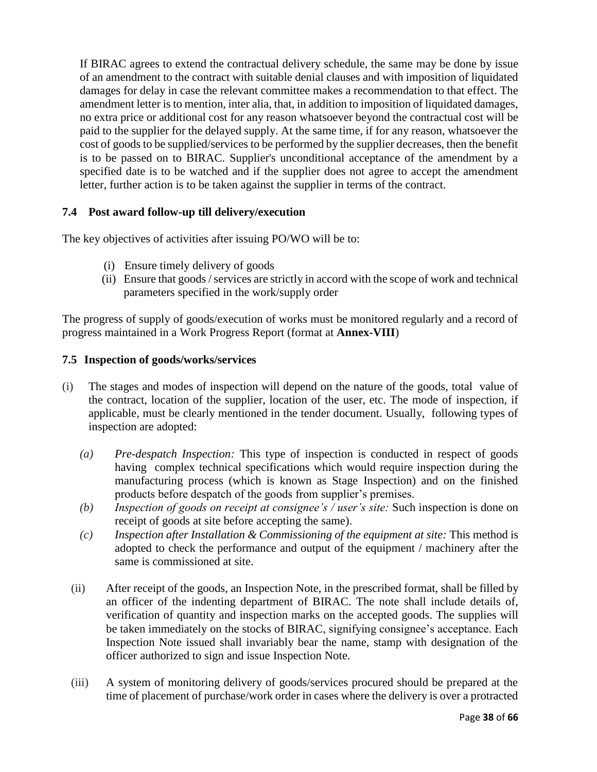If BIRAC agrees to extend the contractual delivery schedule, the same may be done by issue of an amendment to the contract with suitable denial clauses and with imposition of liquidated damages for delay in case the relevant committee makes a recommendation to that effect. The amendment letter is to mention, inter alia, that, in addition to imposition of liquidated damages, no extra price or additional cost for any reason whatsoever beyond the contractual cost will be paid to the supplier for the delayed supply. At the same time, if for any reason, whatsoever the cost of goods to be supplied/services to be performed by the supplier decreases, then the benefit is to be passed on to BIRAC. Supplier's unconditional acceptance of the amendment by a specified date is to be watched and if the supplier does not agree to accept the amendment letter, further action is to be taken against the supplier in terms of the contract.

# **7.4 Post award follow-up till delivery/execution**

The key objectives of activities after issuing PO/WO will be to:

- (i) Ensure timely delivery of goods
- (ii) Ensure that goods / services are strictly in accord with the scope of work and technical parameters specified in the work/supply order

The progress of supply of goods/execution of works must be monitored regularly and a record of progress maintained in a Work Progress Report (format at **Annex-VIII**)

## **7.5 Inspection of goods/works/services**

- (i) The stages and modes of inspection will depend on the nature of the goods, total value of the contract, location of the supplier, location of the user, etc. The mode of inspection, if applicable, must be clearly mentioned in the tender document. Usually, following types of inspection are adopted:
	- *(a) Pre-despatch Inspection:* This type of inspection is conducted in respect of goods having complex technical specifications which would require inspection during the manufacturing process (which is known as Stage Inspection) and on the finished products before despatch of the goods from supplier's premises.
	- *(b) Inspection of goods on receipt at consignee's / user's site:* Such inspection is done on receipt of goods at site before accepting the same).
	- *(c) Inspection after Installation & Commissioning of the equipment at site:* This method is adopted to check the performance and output of the equipment / machinery after the same is commissioned at site.
	- (ii) After receipt of the goods, an Inspection Note, in the prescribed format, shall be filled by an officer of the indenting department of BIRAC. The note shall include details of, verification of quantity and inspection marks on the accepted goods. The supplies will be taken immediately on the stocks of BIRAC, signifying consignee's acceptance. Each Inspection Note issued shall invariably bear the name, stamp with designation of the officer authorized to sign and issue Inspection Note.
	- (iii) A system of monitoring delivery of goods/services procured should be prepared at the time of placement of purchase/work order in cases where the delivery is over a protracted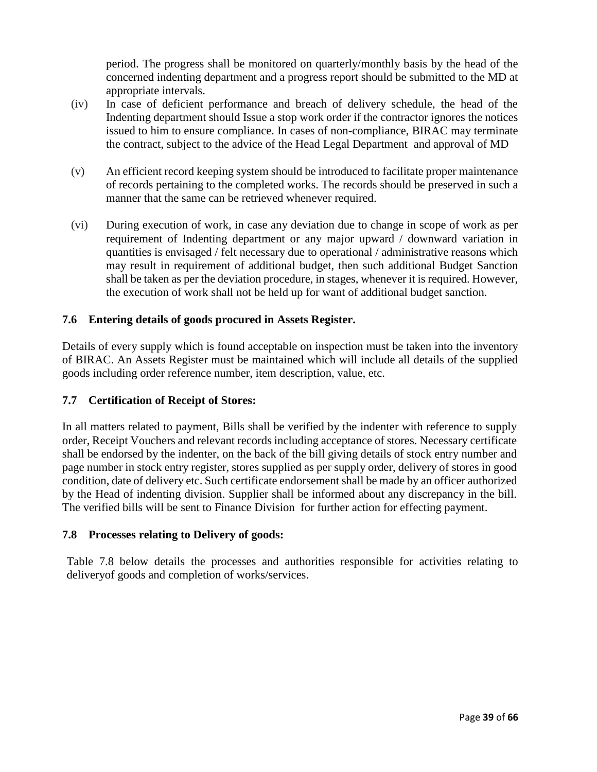period. The progress shall be monitored on quarterly/monthly basis by the head of the concerned indenting department and a progress report should be submitted to the MD at appropriate intervals.

- (iv) In case of deficient performance and breach of delivery schedule, the head of the Indenting department should Issue a stop work order if the contractor ignores the notices issued to him to ensure compliance. In cases of non-compliance, BIRAC may terminate the contract, subject to the advice of the Head Legal Department and approval of MD
- (v) An efficient record keeping system should be introduced to facilitate proper maintenance of records pertaining to the completed works. The records should be preserved in such a manner that the same can be retrieved whenever required.
- (vi) During execution of work, in case any deviation due to change in scope of work as per requirement of Indenting department or any major upward / downward variation in quantities is envisaged / felt necessary due to operational / administrative reasons which may result in requirement of additional budget, then such additional Budget Sanction shall be taken as per the deviation procedure, in stages, whenever it is required. However, the execution of work shall not be held up for want of additional budget sanction.

## **7.6 Entering details of goods procured in Assets Register.**

Details of every supply which is found acceptable on inspection must be taken into the inventory of BIRAC. An Assets Register must be maintained which will include all details of the supplied goods including order reference number, item description, value, etc.

### **7.7 Certification of Receipt of Stores:**

In all matters related to payment, Bills shall be verified by the indenter with reference to supply order, Receipt Vouchers and relevant records including acceptance of stores. Necessary certificate shall be endorsed by the indenter, on the back of the bill giving details of stock entry number and page number in stock entry register, stores supplied as per supply order, delivery of stores in good condition, date of delivery etc. Such certificate endorsement shall be made by an officer authorized by the Head of indenting division. Supplier shall be informed about any discrepancy in the bill. The verified bills will be sent to Finance Division for further action for effecting payment.

### **7.8 Processes relating to Delivery of goods:**

Table 7.8 below details the processes and authorities responsible for activities relating to deliveryof goods and completion of works/services.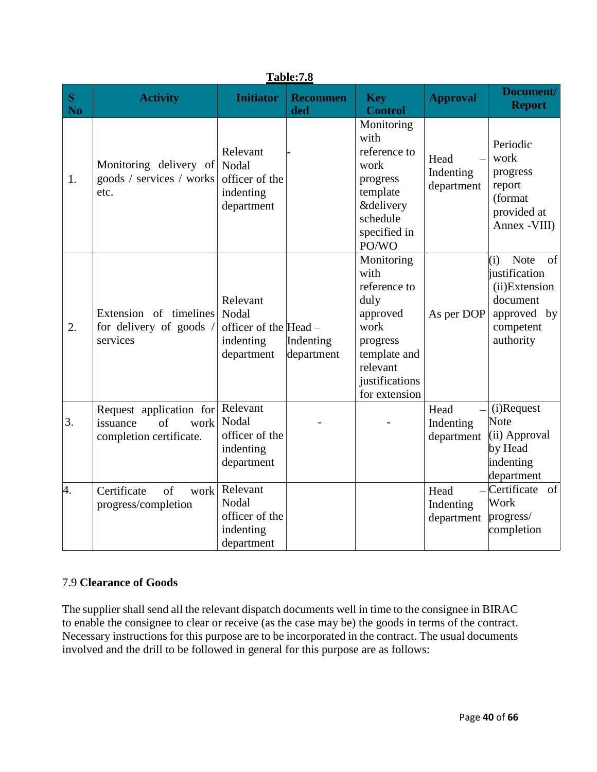|                | <b>Table:7.8</b>                                                             |                                                                          |                         |                                                                                                                                           |                                 |                                                                                                                 |  |  |
|----------------|------------------------------------------------------------------------------|--------------------------------------------------------------------------|-------------------------|-------------------------------------------------------------------------------------------------------------------------------------------|---------------------------------|-----------------------------------------------------------------------------------------------------------------|--|--|
| S<br><b>No</b> | <b>Activity</b>                                                              | <b>Initiator</b>                                                         | <b>Recommen</b><br>ded  | <b>Key</b><br><b>Control</b>                                                                                                              | <b>Approval</b>                 | Document/<br><b>Report</b>                                                                                      |  |  |
| 1.             | Monitoring delivery of Nodal<br>goods / services / works<br>etc.             | Relevant<br>officer of the<br>indenting<br>department                    |                         | Monitoring<br>with<br>reference to<br>work<br>progress<br>template<br><b>&amp;delivery</b><br>schedule<br>specified in<br>PO/WO           | Head<br>Indenting<br>department | Periodic<br>work<br>progress<br>report<br>(format<br>provided at<br>Annex - VIII)                               |  |  |
| 2.             | Extension of timelines<br>for delivery of goods /<br>services                | Relevant<br>Nodal<br>officer of the $ Head -$<br>indenting<br>department | Indenting<br>department | Monitoring<br>with<br>reference to<br>duly<br>approved<br>work<br>progress<br>template and<br>relevant<br>justifications<br>for extension | As per DOP                      | (i)<br><b>Note</b><br>of<br>justification<br>(ii)Extension<br>document<br>approved by<br>competent<br>authority |  |  |
| 3.             | Request application for<br>of<br>work<br>issuance<br>completion certificate. | Relevant<br>Nodal<br>officer of the<br>indenting<br>department           |                         |                                                                                                                                           | Head<br>Indenting<br>department | (i)Request<br>Note<br>(ii) Approval<br>by Head<br>indenting<br>department                                       |  |  |
| 4.             | Certificate<br>of<br>work<br>progress/completion                             | Relevant<br>Nodal<br>officer of the<br>indenting<br>department           |                         |                                                                                                                                           | Head<br>Indenting<br>department | $-Certificate$<br>of<br>Work<br>progress/<br>completion                                                         |  |  |

# 7.9 **Clearance of Goods**

The supplier shall send all the relevant dispatch documents well in time to the consignee in BIRAC to enable the consignee to clear or receive (as the case may be) the goods in terms of the contract. Necessary instructions for this purpose are to be incorporated in the contract. The usual documents involved and the drill to be followed in general for this purpose are as follows: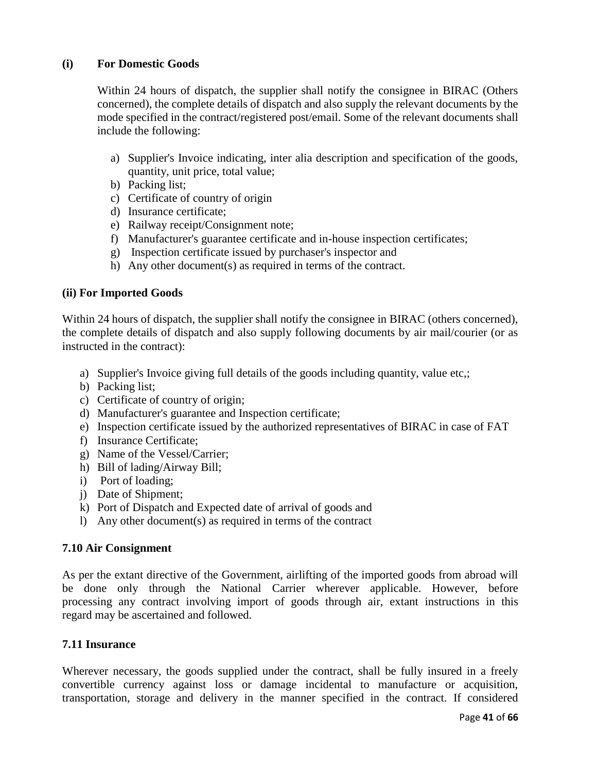## **(i) For Domestic Goods**

Within 24 hours of dispatch, the supplier shall notify the consignee in BIRAC (Others concerned), the complete details of dispatch and also supply the relevant documents by the mode specified in the contract/registered post/email. Some of the relevant documents shall include the following:

- a) Supplier's Invoice indicating, inter alia description and specification of the goods, quantity, unit price, total value;
- b) Packing list;
- c) Certificate of country of origin
- d) Insurance certificate;
- e) Railway receipt/Consignment note;
- f) Manufacturer's guarantee certificate and in-house inspection certificates;
- g) Inspection certificate issued by purchaser's inspector and
- h) Any other document(s) as required in terms of the contract.

### **(ii) For Imported Goods**

Within 24 hours of dispatch, the supplier shall notify the consignee in BIRAC (others concerned), the complete details of dispatch and also supply following documents by air mail/courier (or as instructed in the contract):

- a) Supplier's Invoice giving full details of the goods including quantity, value etc,;
- b) Packing list;
- c) Certificate of country of origin;
- d) Manufacturer's guarantee and Inspection certificate;
- e) Inspection certificate issued by the authorized representatives of BIRAC in case of FAT
- f) Insurance Certificate;
- g) Name of the Vessel/Carrier;
- h) Bill of lading/Airway Bill;
- i) Port of loading;
- j) Date of Shipment;
- k) Port of Dispatch and Expected date of arrival of goods and
- l) Any other document(s) as required in terms of the contract

### **7.10 Air Consignment**

As per the extant directive of the Government, airlifting of the imported goods from abroad will be done only through the National Carrier wherever applicable. However, before processing any contract involving import of goods through air, extant instructions in this regard may be ascertained and followed.

### **7.11 Insurance**

Wherever necessary, the goods supplied under the contract, shall be fully insured in a freely convertible currency against loss or damage incidental to manufacture or acquisition, transportation, storage and delivery in the manner specified in the contract. If considered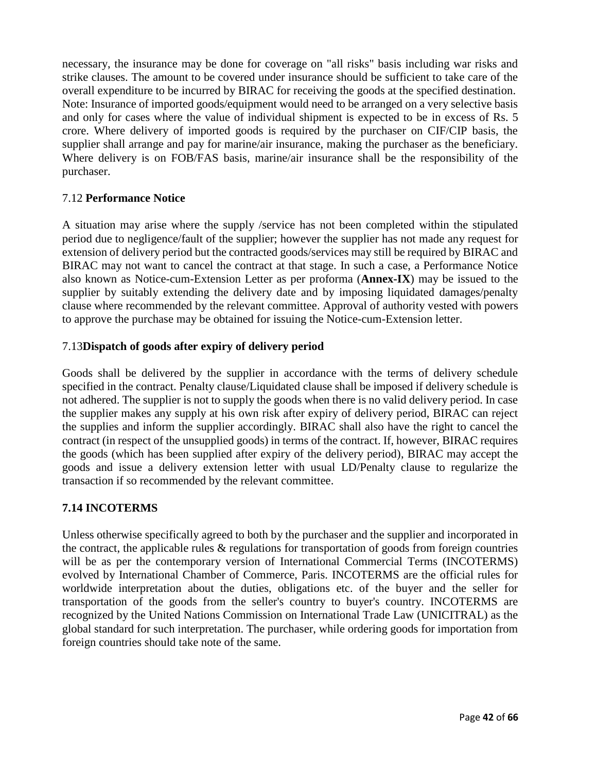necessary, the insurance may be done for coverage on "all risks" basis including war risks and strike clauses. The amount to be covered under insurance should be sufficient to take care of the overall expenditure to be incurred by BIRAC for receiving the goods at the specified destination. Note: Insurance of imported goods/equipment would need to be arranged on a very selective basis and only for cases where the value of individual shipment is expected to be in excess of Rs. 5 crore. Where delivery of imported goods is required by the purchaser on CIF/CIP basis, the supplier shall arrange and pay for marine/air insurance, making the purchaser as the beneficiary. Where delivery is on FOB/FAS basis, marine/air insurance shall be the responsibility of the purchaser.

## 7.12 **Performance Notice**

A situation may arise where the supply /service has not been completed within the stipulated period due to negligence/fault of the supplier; however the supplier has not made any request for extension of delivery period but the contracted goods/services may still be required by BIRAC and BIRAC may not want to cancel the contract at that stage. In such a case, a Performance Notice also known as Notice-cum-Extension Letter as per proforma (**Annex-IX**) may be issued to the supplier by suitably extending the delivery date and by imposing liquidated damages/penalty clause where recommended by the relevant committee. Approval of authority vested with powers to approve the purchase may be obtained for issuing the Notice-cum-Extension letter.

## 7.13**Dispatch of goods after expiry of delivery period**

Goods shall be delivered by the supplier in accordance with the terms of delivery schedule specified in the contract. Penalty clause/Liquidated clause shall be imposed if delivery schedule is not adhered. The supplier is not to supply the goods when there is no valid delivery period. In case the supplier makes any supply at his own risk after expiry of delivery period, BIRAC can reject the supplies and inform the supplier accordingly. BIRAC shall also have the right to cancel the contract (in respect of the unsupplied goods) in terms of the contract. If, however, BIRAC requires the goods (which has been supplied after expiry of the delivery period), BIRAC may accept the goods and issue a delivery extension letter with usual LD/Penalty clause to regularize the transaction if so recommended by the relevant committee.

## **7.14 INCOTERMS**

Unless otherwise specifically agreed to both by the purchaser and the supplier and incorporated in the contract, the applicable rules  $\&$  regulations for transportation of goods from foreign countries will be as per the contemporary version of International Commercial Terms (INCOTERMS) evolved by International Chamber of Commerce, Paris. INCOTERMS are the official rules for worldwide interpretation about the duties, obligations etc. of the buyer and the seller for transportation of the goods from the seller's country to buyer's country. INCOTERMS are recognized by the United Nations Commission on International Trade Law (UNICITRAL) as the global standard for such interpretation. The purchaser, while ordering goods for importation from foreign countries should take note of the same.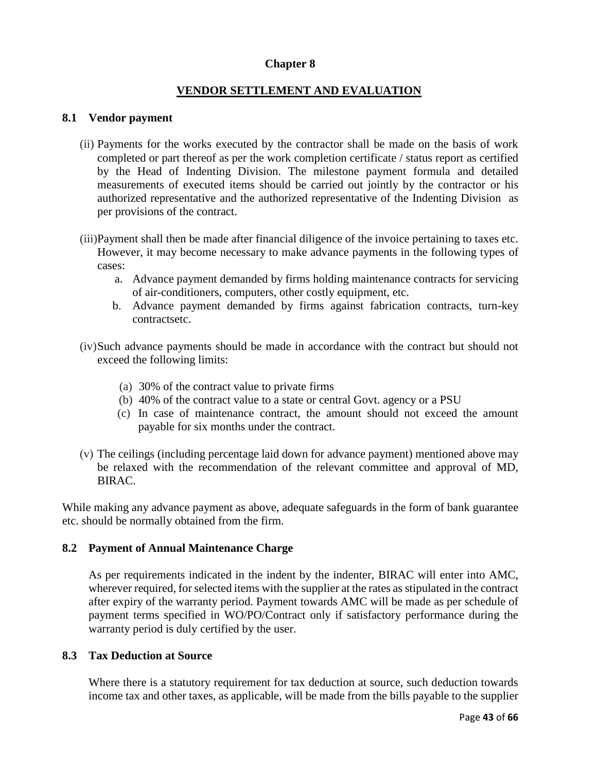#### **Chapter 8**

### **VENDOR SETTLEMENT AND EVALUATION**

#### **8.1 Vendor payment**

- (ii) Payments for the works executed by the contractor shall be made on the basis of work completed or part thereof as per the work completion certificate / status report as certified by the Head of Indenting Division. The milestone payment formula and detailed measurements of executed items should be carried out jointly by the contractor or his authorized representative and the authorized representative of the Indenting Division as per provisions of the contract.
- (iii)Payment shall then be made after financial diligence of the invoice pertaining to taxes etc. However, it may become necessary to make advance payments in the following types of cases:
	- a. Advance payment demanded by firms holding maintenance contracts for servicing of air-conditioners, computers, other costly equipment, etc.
	- b. Advance payment demanded by firms against fabrication contracts, turn-key contractsetc.
- (iv)Such advance payments should be made in accordance with the contract but should not exceed the following limits:
	- (a) 30% of the contract value to private firms
	- (b) 40% of the contract value to a state or central Govt. agency or a PSU
	- (c) In case of maintenance contract, the amount should not exceed the amount payable for six months under the contract.
- (v) The ceilings (including percentage laid down for advance payment) mentioned above may be relaxed with the recommendation of the relevant committee and approval of MD, BIRAC.

While making any advance payment as above, adequate safeguards in the form of bank guarantee etc. should be normally obtained from the firm.

#### **8.2 Payment of Annual Maintenance Charge**

As per requirements indicated in the indent by the indenter, BIRAC will enter into AMC, wherever required, for selected items with the supplier at the rates as stipulated in the contract after expiry of the warranty period. Payment towards AMC will be made as per schedule of payment terms specified in WO/PO/Contract only if satisfactory performance during the warranty period is duly certified by the user.

#### **8.3 Tax Deduction at Source**

Where there is a statutory requirement for tax deduction at source, such deduction towards income tax and other taxes, as applicable, will be made from the bills payable to the supplier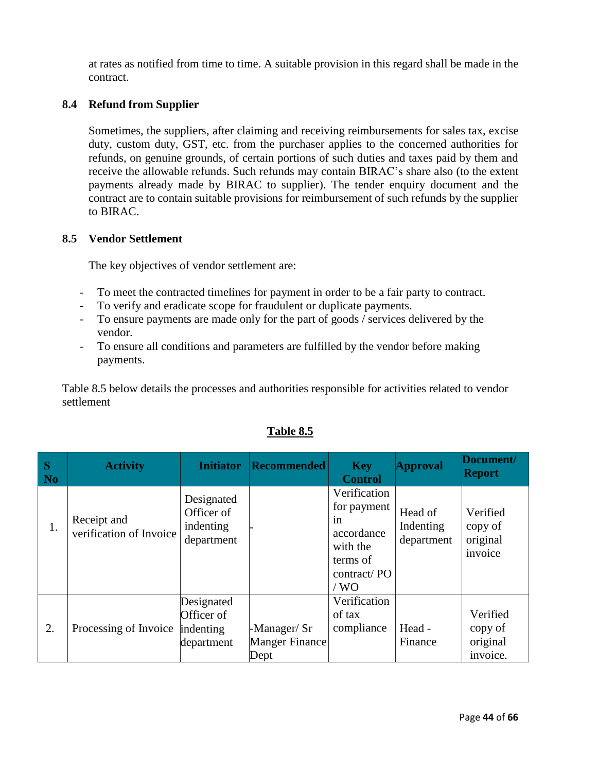at rates as notified from time to time. A suitable provision in this regard shall be made in the contract.

## **8.4 Refund from Supplier**

Sometimes, the suppliers, after claiming and receiving reimbursements for sales tax, excise duty, custom duty, GST, etc. from the purchaser applies to the concerned authorities for refunds, on genuine grounds, of certain portions of such duties and taxes paid by them and receive the allowable refunds. Such refunds may contain BIRAC's share also (to the extent payments already made by BIRAC to supplier). The tender enquiry document and the contract are to contain suitable provisions for reimbursement of such refunds by the supplier to BIRAC.

## **8.5 Vendor Settlement**

The key objectives of vendor settlement are:

- To meet the contracted timelines for payment in order to be a fair party to contract.
- To verify and eradicate scope for fraudulent or duplicate payments.
- To ensure payments are made only for the part of goods / services delivered by the vendor.
- To ensure all conditions and parameters are fulfilled by the vendor before making payments.

Table 8.5 below details the processes and authorities responsible for activities related to vendor settlement

| S<br>N <sub>o</sub> | <b>Activity</b>                        | <b>Initiator</b>                                    | <b>Recommended</b>                           | <b>Key</b><br><b>Control</b>                                                                     | <b>Approval</b>                    | Document/<br><b>Report</b>                  |
|---------------------|----------------------------------------|-----------------------------------------------------|----------------------------------------------|--------------------------------------------------------------------------------------------------|------------------------------------|---------------------------------------------|
| 1.                  | Receipt and<br>verification of Invoice | Designated<br>Officer of<br>indenting<br>department |                                              | Verification<br>for payment<br>in<br>accordance<br>with the<br>terms of<br>contract/PO<br>$/$ WO | Head of<br>Indenting<br>department | Verified<br>copy of<br>original<br>invoice  |
| 2.                  | Processing of Invoice                  | Designated<br>Officer of<br>indenting<br>department | -Manager/Sr<br><b>Manger Finance</b><br>Dept | Verification<br>of tax<br>compliance                                                             | Head -<br>Finance                  | Verified<br>copy of<br>original<br>invoice. |

# **Table 8.5**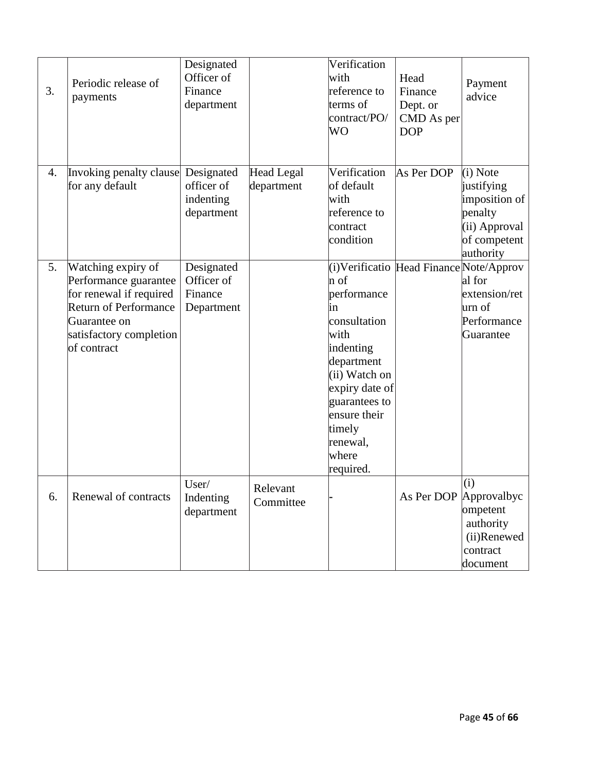| 3. | Periodic release of<br>payments                                                                                                                                  | Designated<br>Officer of<br>Finance<br>department   |                                 | Verification<br>with<br>reference to<br>terms of<br>contract/PO/<br>WO                                                                                                                         | Head<br>Finance<br>Dept. or<br>CMD As per<br><b>DOP</b> | Payment<br>advice                                                                                |
|----|------------------------------------------------------------------------------------------------------------------------------------------------------------------|-----------------------------------------------------|---------------------------------|------------------------------------------------------------------------------------------------------------------------------------------------------------------------------------------------|---------------------------------------------------------|--------------------------------------------------------------------------------------------------|
| 4. | Invoking penalty clause<br>for any default                                                                                                                       | Designated<br>officer of<br>indenting<br>department | <b>Head Legal</b><br>department | Verification<br>of default<br>with<br>reference to<br>contract<br>condition                                                                                                                    | As Per DOP                                              | (i) Note<br>justifying<br>imposition of<br>penalty<br>(ii) Approval<br>of competent<br>authority |
| 5. | Watching expiry of<br>Performance guarantee<br>for renewal if required<br><b>Return of Performance</b><br>Guarantee on<br>satisfactory completion<br>of contract | Designated<br>Officer of<br>Finance<br>Department   |                                 | n of<br>performance<br>ın<br>consultation<br>with<br>indenting<br>department<br>$(ii)$ Watch on<br>expiry date of<br>guarantees to<br>ensure their<br>timely<br>renewal,<br>where<br>required. | (i)Verificatio Head Finance Note/Approv                 | al for<br>extension/ret<br>urn of<br>Performance<br>Guarantee                                    |
| 6. | Renewal of contracts                                                                                                                                             | User/<br>Indenting<br>department                    | Relevant<br>Committee           |                                                                                                                                                                                                | As Per DOP Approvalbyc                                  | (i)<br>ompetent<br>authority<br>(ii)Renewed<br>contract<br>document                              |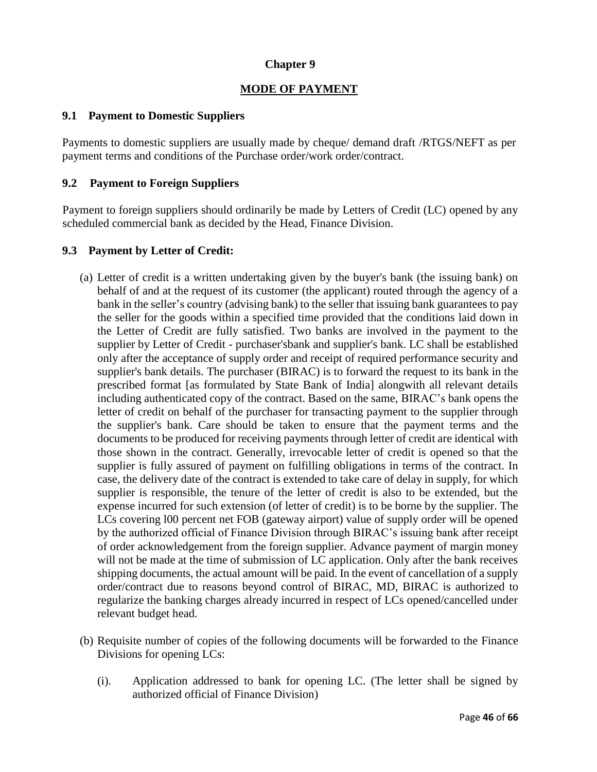## **Chapter 9**

## **MODE OF PAYMENT**

## **9.1 Payment to Domestic Suppliers**

Payments to domestic suppliers are usually made by cheque/ demand draft /RTGS/NEFT as per payment terms and conditions of the Purchase order/work order/contract.

## **9.2 Payment to Foreign Suppliers**

Payment to foreign suppliers should ordinarily be made by Letters of Credit (LC) opened by any scheduled commercial bank as decided by the Head, Finance Division.

### **9.3 Payment by Letter of Credit:**

- (a) Letter of credit is a written undertaking given by the buyer's bank (the issuing bank) on behalf of and at the request of its customer (the applicant) routed through the agency of a bank in the seller's country (advising bank) to the seller that issuing bank guarantees to pay the seller for the goods within a specified time provided that the conditions laid down in the Letter of Credit are fully satisfied. Two banks are involved in the payment to the supplier by Letter of Credit - purchaser'sbank and supplier's bank. LC shall be established only after the acceptance of supply order and receipt of required performance security and supplier's bank details. The purchaser (BIRAC) is to forward the request to its bank in the prescribed format [as formulated by State Bank of India] alongwith all relevant details including authenticated copy of the contract. Based on the same, BIRAC's bank opens the letter of credit on behalf of the purchaser for transacting payment to the supplier through the supplier's bank. Care should be taken to ensure that the payment terms and the documents to be produced for receiving payments through letter of credit are identical with those shown in the contract. Generally, irrevocable letter of credit is opened so that the supplier is fully assured of payment on fulfilling obligations in terms of the contract. In case, the delivery date of the contract is extended to take care of delay in supply, for which supplier is responsible, the tenure of the letter of credit is also to be extended, but the expense incurred for such extension (of letter of credit) is to be borne by the supplier. The LCs covering l00 percent net FOB (gateway airport) value of supply order will be opened by the authorized official of Finance Division through BIRAC's issuing bank after receipt of order acknowledgement from the foreign supplier. Advance payment of margin money will not be made at the time of submission of LC application. Only after the bank receives shipping documents, the actual amount will be paid. In the event of cancellation of a supply order/contract due to reasons beyond control of BIRAC, MD, BIRAC is authorized to regularize the banking charges already incurred in respect of LCs opened/cancelled under relevant budget head.
- (b) Requisite number of copies of the following documents will be forwarded to the Finance Divisions for opening LCs:
	- (i). Application addressed to bank for opening LC. (The letter shall be signed by authorized official of Finance Division)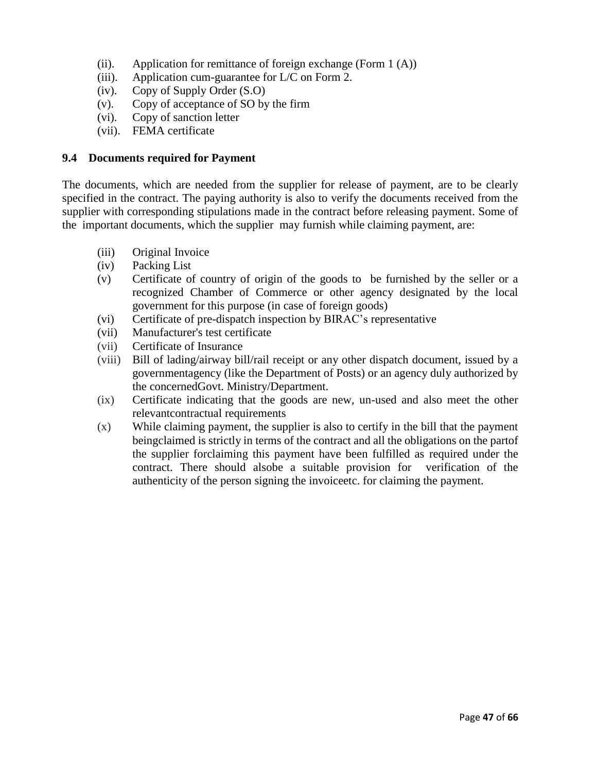- (ii). Application for remittance of foreign exchange (Form 1 (A))
- (iii). Application cum-guarantee for L/C on Form 2.
- (iv). Copy of Supply Order (S.O)
- (v). Copy of acceptance of SO by the firm
- (vi). Copy of sanction letter
- (vii). FEMA certificate

## **9.4 Documents required for Payment**

The documents, which are needed from the supplier for release of payment, are to be clearly specified in the contract. The paying authority is also to verify the documents received from the supplier with corresponding stipulations made in the contract before releasing payment. Some of the important documents, which the supplier may furnish while claiming payment, are:

- (iii) Original Invoice
- (iv) Packing List
- (v) Certificate of country of origin of the goods to be furnished by the seller or a recognized Chamber of Commerce or other agency designated by the local government for this purpose (in case of foreign goods)
- (vi) Certificate of pre-dispatch inspection by BIRAC's representative
- (vii) Manufacturer's test certificate
- (vii) Certificate of Insurance
- (viii) Bill of lading/airway bill/rail receipt or any other dispatch document, issued by a governmentagency (like the Department of Posts) or an agency duly authorized by the concernedGovt. Ministry/Department.
- (ix) Certificate indicating that the goods are new, un-used and also meet the other relevantcontractual requirements
- (x) While claiming payment, the supplier is also to certify in the bill that the payment beingclaimed is strictly in terms of the contract and all the obligations on the partof the supplier forclaiming this payment have been fulfilled as required under the contract. There should alsobe a suitable provision for verification of the authenticity of the person signing the invoiceetc. for claiming the payment.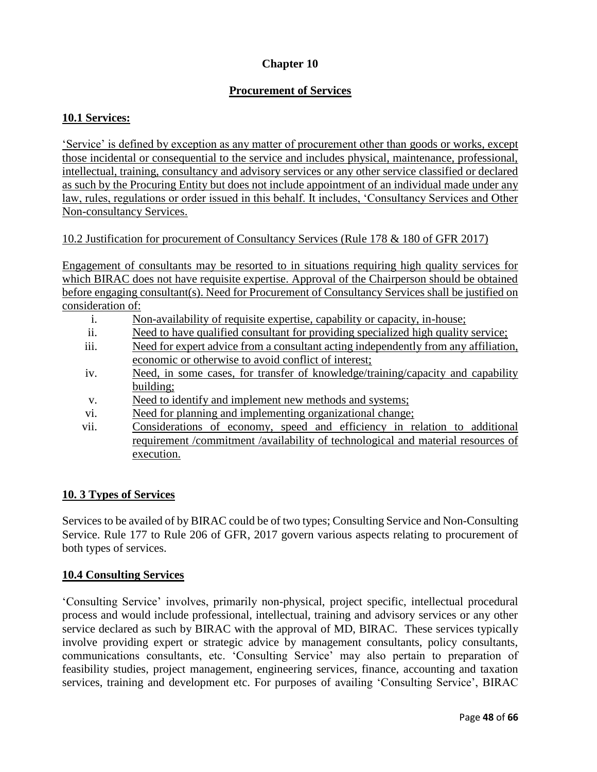# **Chapter 10**

# **Procurement of Services**

## **10.1 Services:**

'Service' is defined by exception as any matter of procurement other than goods or works, except those incidental or consequential to the service and includes physical, maintenance, professional, intellectual, training, consultancy and advisory services or any other service classified or declared as such by the Procuring Entity but does not include appointment of an individual made under any law, rules, regulations or order issued in this behalf. It includes, 'Consultancy Services and Other Non-consultancy Services.

## 10.2 Justification for procurement of Consultancy Services (Rule 178 & 180 of GFR 2017)

Engagement of consultants may be resorted to in situations requiring high quality services for which BIRAC does not have requisite expertise. Approval of the Chairperson should be obtained before engaging consultant(s). Need for Procurement of Consultancy Services shall be justified on consideration of:

- i. Non-availability of requisite expertise, capability or capacity, in-house;
- ii. Need to have qualified consultant for providing specialized high quality service;
- iii. Need for expert advice from a consultant acting independently from any affiliation, economic or otherwise to avoid conflict of interest;
- iv. Need, in some cases, for transfer of knowledge/training/capacity and capability building;
- v. Need to identify and implement new methods and systems;
- vi. Need for planning and implementing organizational change;
- vii. Considerations of economy, speed and efficiency in relation to additional requirement /commitment /availability of technological and material resources of execution.

### **10. 3 Types of Services**

Services to be availed of by BIRAC could be of two types; Consulting Service and Non-Consulting Service. Rule 177 to Rule 206 of GFR, 2017 govern various aspects relating to procurement of both types of services.

### **10.4 Consulting Services**

'Consulting Service' involves, primarily non-physical, project specific, intellectual procedural process and would include professional, intellectual, training and advisory services or any other service declared as such by BIRAC with the approval of MD, BIRAC. These services typically involve providing expert or strategic advice by management consultants, policy consultants, communications consultants, etc. 'Consulting Service' may also pertain to preparation of feasibility studies, project management, engineering services, finance, accounting and taxation services, training and development etc. For purposes of availing 'Consulting Service', BIRAC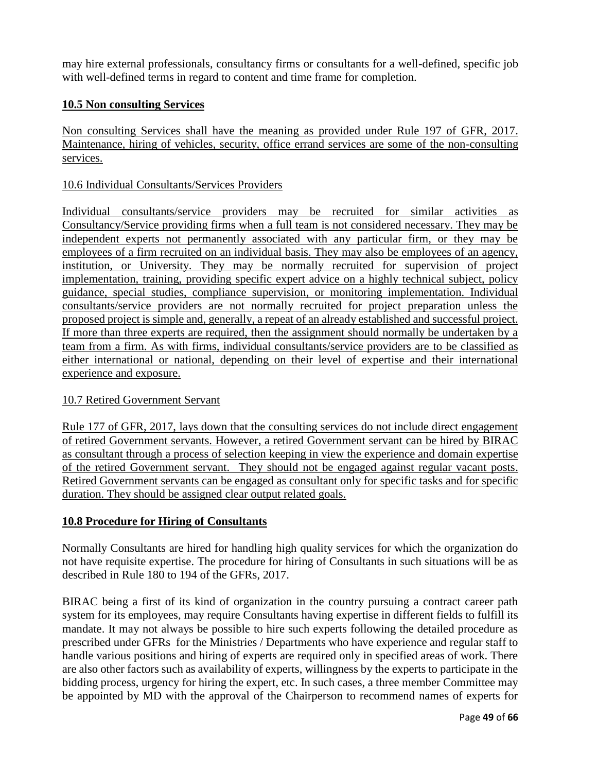may hire external professionals, consultancy firms or consultants for a well-defined, specific job with well-defined terms in regard to content and time frame for completion.

## **10.5 Non consulting Services**

Non consulting Services shall have the meaning as provided under Rule 197 of GFR, 2017. Maintenance, hiring of vehicles, security, office errand services are some of the non-consulting services.

## 10.6 Individual Consultants/Services Providers

Individual consultants/service providers may be recruited for similar activities as Consultancy/Service providing firms when a full team is not considered necessary. They may be independent experts not permanently associated with any particular firm, or they may be employees of a firm recruited on an individual basis. They may also be employees of an agency, institution, or University. They may be normally recruited for supervision of project implementation, training, providing specific expert advice on a highly technical subject, policy guidance, special studies, compliance supervision, or monitoring implementation. Individual consultants/service providers are not normally recruited for project preparation unless the proposed project is simple and, generally, a repeat of an already established and successful project. If more than three experts are required, then the assignment should normally be undertaken by a team from a firm. As with firms, individual consultants/service providers are to be classified as either international or national, depending on their level of expertise and their international experience and exposure.

## 10.7 Retired Government Servant

Rule 177 of GFR, 2017, lays down that the consulting services do not include direct engagement of retired Government servants. However, a retired Government servant can be hired by BIRAC as consultant through a process of selection keeping in view the experience and domain expertise of the retired Government servant. They should not be engaged against regular vacant posts. Retired Government servants can be engaged as consultant only for specific tasks and for specific duration. They should be assigned clear output related goals.

## **10.8 Procedure for Hiring of Consultants**

Normally Consultants are hired for handling high quality services for which the organization do not have requisite expertise. The procedure for hiring of Consultants in such situations will be as described in Rule 180 to 194 of the GFRs, 2017.

BIRAC being a first of its kind of organization in the country pursuing a contract career path system for its employees, may require Consultants having expertise in different fields to fulfill its mandate. It may not always be possible to hire such experts following the detailed procedure as prescribed under GFRs for the Ministries / Departments who have experience and regular staff to handle various positions and hiring of experts are required only in specified areas of work. There are also other factors such as availability of experts, willingness by the experts to participate in the bidding process, urgency for hiring the expert, etc. In such cases, a three member Committee may be appointed by MD with the approval of the Chairperson to recommend names of experts for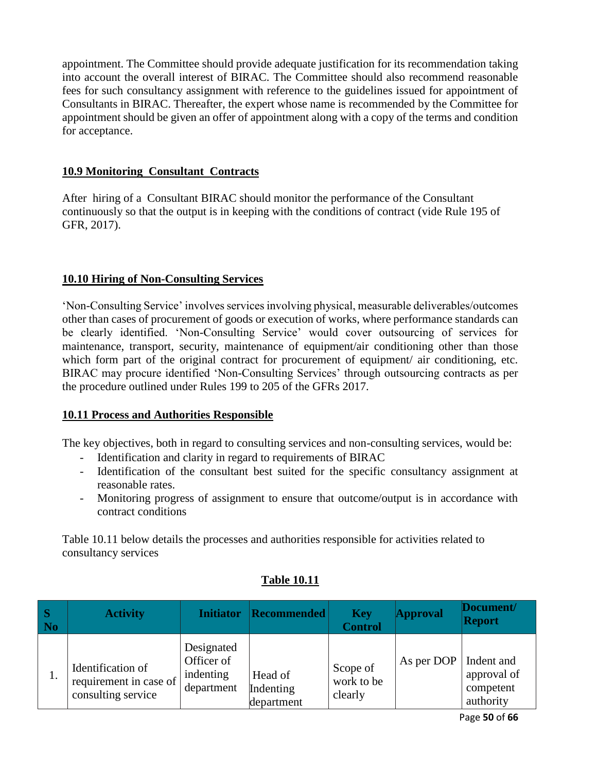appointment. The Committee should provide adequate justification for its recommendation taking into account the overall interest of BIRAC. The Committee should also recommend reasonable fees for such consultancy assignment with reference to the guidelines issued for appointment of Consultants in BIRAC. Thereafter, the expert whose name is recommended by the Committee for appointment should be given an offer of appointment along with a copy of the terms and condition for acceptance.

# **10.9 Monitoring Consultant Contracts**

After hiring of a Consultant BIRAC should monitor the performance of the Consultant continuously so that the output is in keeping with the conditions of contract (vide Rule 195 of GFR, 2017).

# **10.10 Hiring of Non-Consulting Services**

'Non-Consulting Service' involves services involving physical, measurable deliverables/outcomes other than cases of procurement of goods or execution of works, where performance standards can be clearly identified. 'Non-Consulting Service' would cover outsourcing of services for maintenance, transport, security, maintenance of equipment/air conditioning other than those which form part of the original contract for procurement of equipment/ air conditioning, etc. BIRAC may procure identified 'Non-Consulting Services' through outsourcing contracts as per the procedure outlined under Rules 199 to 205 of the GFRs 2017.

## **10.11 Process and Authorities Responsible**

The key objectives, both in regard to consulting services and non-consulting services, would be:

- Identification and clarity in regard to requirements of BIRAC
- Identification of the consultant best suited for the specific consultancy assignment at reasonable rates.
- Monitoring progress of assignment to ensure that outcome/output is in accordance with contract conditions

Table 10.11 below details the processes and authorities responsible for activities related to consultancy services

| S<br>N <sub>0</sub> | <b>Activity</b>                                                   | <b>Initiator</b>                                    | <b>Recommended</b>                 | <b>Key</b><br><b>Control</b>      | <b>Approval</b> | Document/<br><b>Report</b>                          |
|---------------------|-------------------------------------------------------------------|-----------------------------------------------------|------------------------------------|-----------------------------------|-----------------|-----------------------------------------------------|
| 1.                  | Identification of<br>requirement in case of<br>consulting service | Designated<br>Officer of<br>indenting<br>department | Head of<br>Indenting<br>department | Scope of<br>work to be<br>clearly | As per DOP $ $  | Indent and<br>approval of<br>competent<br>authority |

# **Table 10.11**

Page **50** of **66**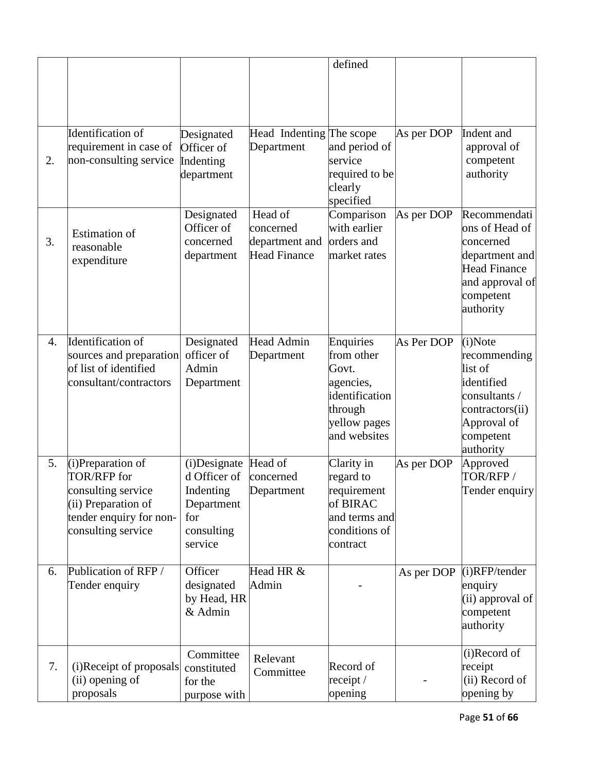|                  |                                                                                                                                |                                                                                                 |                                                        | defined                                                                                                    |            |                                                                                                                                   |
|------------------|--------------------------------------------------------------------------------------------------------------------------------|-------------------------------------------------------------------------------------------------|--------------------------------------------------------|------------------------------------------------------------------------------------------------------------|------------|-----------------------------------------------------------------------------------------------------------------------------------|
|                  |                                                                                                                                |                                                                                                 |                                                        |                                                                                                            |            |                                                                                                                                   |
| 2.               | Identification of<br>requirement in case of<br>non-consulting service                                                          | Designated<br>Officer of<br>Indenting<br>department                                             | Head Indenting The scope<br>Department                 | and period of<br>service<br>required to be<br>clearly<br>specified                                         | As per DOP | Indent and<br>approval of<br>competent<br>authority                                                                               |
| 3.               | <b>Estimation</b> of<br>reasonable<br>expenditure                                                                              | Designated<br>Officer of<br>concerned<br>department                                             | Head of<br>concerned<br>department and<br>Head Finance | Comparison<br>with earlier<br>orders and<br>market rates                                                   | As per DOP | Recommendati<br>ons of Head of<br>concerned<br>department and<br><b>Head Finance</b><br>and approval of<br>competent<br>authority |
| $\overline{4}$ . | Identification of<br>sources and preparation<br>of list of identified<br>consultant/contractors                                | Designated<br>officer of<br>Admin<br>Department                                                 | Head Admin<br>Department                               | Enquiries<br>from other<br>Govt.<br>agencies,<br>identification<br>through<br>yellow pages<br>and websites | As Per DOP | (i) Note<br>recommending<br>list of<br>identified<br>consultants /<br>contractors(ii)<br>Approval of<br>competent<br>authority    |
| 5.               | (i)Preparation of<br>TOR/RFP for<br>consulting service<br>(ii) Preparation of<br>tender enquiry for non-<br>consulting service | (i)Designate Head of<br>d Officer of<br>Indenting<br>Department<br>for<br>consulting<br>service | concerned<br>Department                                | Clarity in<br>regard to<br>requirement<br>of BIRAC<br>and terms and<br>conditions of<br>contract           | As per DOP | Approved<br>TOR/RFP/<br>Tender enquiry                                                                                            |
| 6.               | Publication of RFP/<br>Tender enquiry                                                                                          | Officer<br>designated<br>by Head, HR<br>& Admin                                                 | Head HR &<br>Admin                                     |                                                                                                            | As per DOP | $(i)$ RFP/tender<br>enquiry<br>(ii) approval of<br>competent<br>authority                                                         |
| 7.               | (i)Receipt of proposals<br>(ii) opening of<br>proposals                                                                        | Committee<br>constituted<br>for the<br>purpose with                                             | Relevant<br>Committee                                  | Record of<br>receipt /<br>opening                                                                          |            | (i)Record of<br>receipt<br>(ii) Record of<br>opening by                                                                           |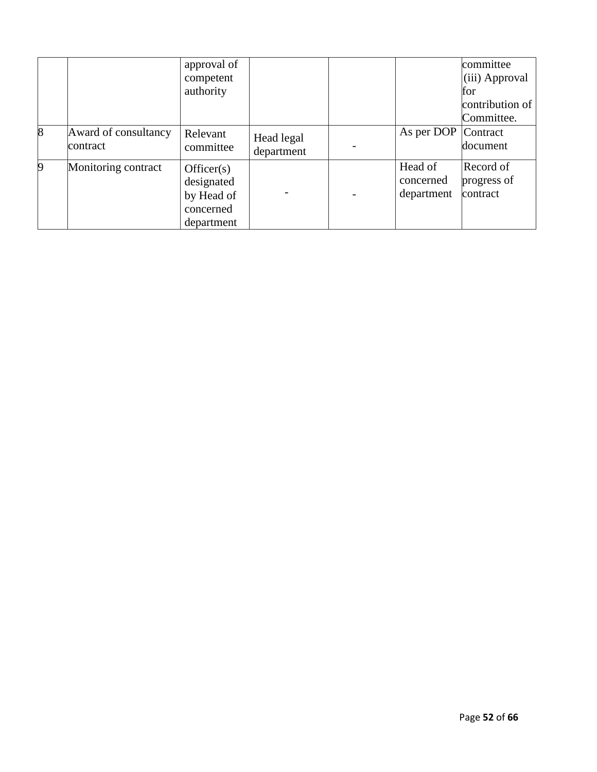|                 |                                   | approval of<br>competent                                          |                          |                                    | committee<br>(iii) Approval          |
|-----------------|-----------------------------------|-------------------------------------------------------------------|--------------------------|------------------------------------|--------------------------------------|
|                 |                                   | authority                                                         |                          |                                    | for<br>contribution of<br>Committee. |
| $\vert 8 \vert$ | Award of consultancy<br>lcontract | Relevant<br>committee                                             | Head legal<br>department | As per DOP                         | Contract<br>document                 |
| $\vert 9 \vert$ | Monitoring contract               | Officer(s)<br>designated<br>by Head of<br>concerned<br>department |                          | Head of<br>concerned<br>department | Record of<br>progress of<br>contract |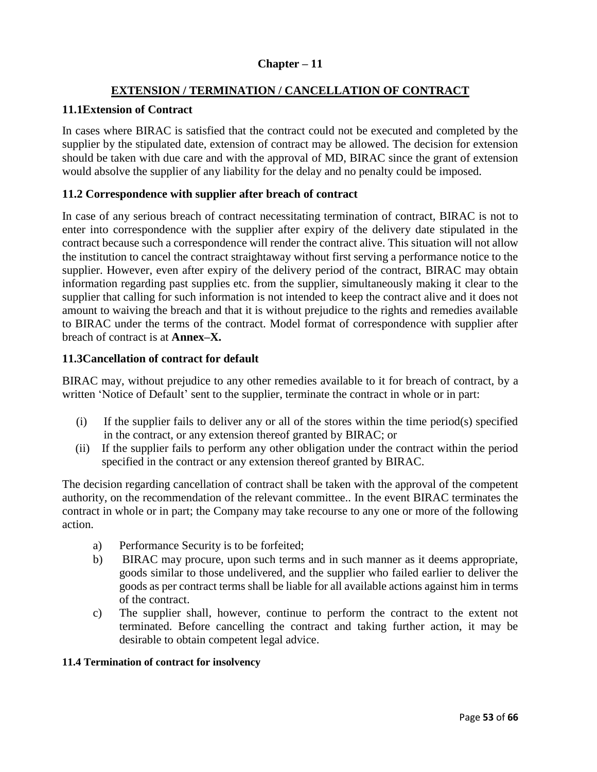## **Chapter – 11**

## **EXTENSION / TERMINATION / CANCELLATION OF CONTRACT**

## **11.1Extension of Contract**

In cases where BIRAC is satisfied that the contract could not be executed and completed by the supplier by the stipulated date, extension of contract may be allowed. The decision for extension should be taken with due care and with the approval of MD, BIRAC since the grant of extension would absolve the supplier of any liability for the delay and no penalty could be imposed.

## **11.2 Correspondence with supplier after breach of contract**

In case of any serious breach of contract necessitating termination of contract, BIRAC is not to enter into correspondence with the supplier after expiry of the delivery date stipulated in the contract because such a correspondence will render the contract alive. This situation will not allow the institution to cancel the contract straightaway without first serving a performance notice to the supplier. However, even after expiry of the delivery period of the contract, BIRAC may obtain information regarding past supplies etc. from the supplier, simultaneously making it clear to the supplier that calling for such information is not intended to keep the contract alive and it does not amount to waiving the breach and that it is without prejudice to the rights and remedies available to BIRAC under the terms of the contract. Model format of correspondence with supplier after breach of contract is at **Annex–X.**

## **11.3Cancellation of contract for default**

BIRAC may, without prejudice to any other remedies available to it for breach of contract, by a written 'Notice of Default' sent to the supplier, terminate the contract in whole or in part:

- (i) If the supplier fails to deliver any or all of the stores within the time period(s) specified in the contract, or any extension thereof granted by BIRAC; or
- (ii) If the supplier fails to perform any other obligation under the contract within the period specified in the contract or any extension thereof granted by BIRAC.

The decision regarding cancellation of contract shall be taken with the approval of the competent authority, on the recommendation of the relevant committee.. In the event BIRAC terminates the contract in whole or in part; the Company may take recourse to any one or more of the following action.

- a) Performance Security is to be forfeited;
- b) BIRAC may procure, upon such terms and in such manner as it deems appropriate, goods similar to those undelivered, and the supplier who failed earlier to deliver the goods as per contract terms shall be liable for all available actions against him in terms of the contract.
- c) The supplier shall, however, continue to perform the contract to the extent not terminated. Before cancelling the contract and taking further action, it may be desirable to obtain competent legal advice.

### **11.4 Termination of contract for insolvency**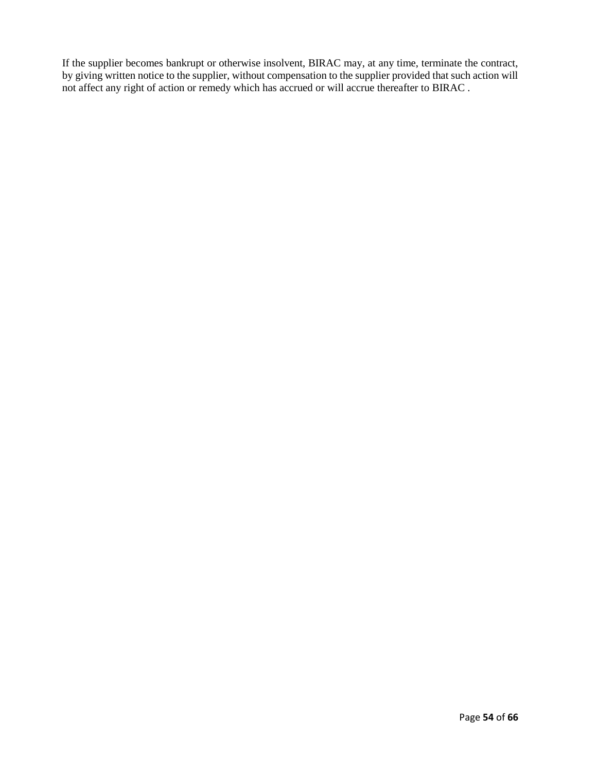If the supplier becomes bankrupt or otherwise insolvent, BIRAC may, at any time, terminate the contract, by giving written notice to the supplier, without compensation to the supplier provided that such action will not affect any right of action or remedy which has accrued or will accrue thereafter to BIRAC .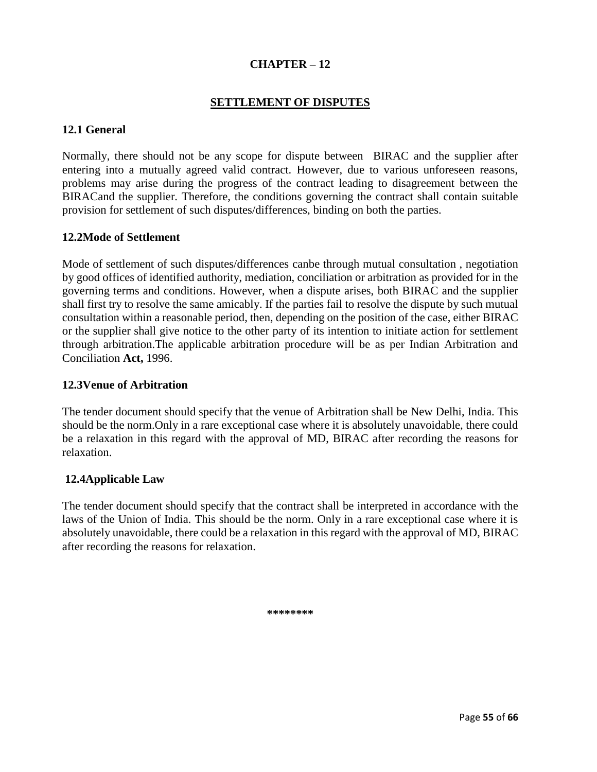## **CHAPTER – 12**

## **SETTLEMENT OF DISPUTES**

#### **12.1 General**

Normally, there should not be any scope for dispute between BIRAC and the supplier after entering into a mutually agreed valid contract. However, due to various unforeseen reasons, problems may arise during the progress of the contract leading to disagreement between the BIRACand the supplier. Therefore, the conditions governing the contract shall contain suitable provision for settlement of such disputes/differences, binding on both the parties.

#### **12.2Mode of Settlement**

Mode of settlement of such disputes/differences canbe through mutual consultation , negotiation by good offices of identified authority, mediation, conciliation or arbitration as provided for in the governing terms and conditions. However, when a dispute arises, both BIRAC and the supplier shall first try to resolve the same amicably. If the parties fail to resolve the dispute by such mutual consultation within a reasonable period, then, depending on the position of the case, either BIRAC or the supplier shall give notice to the other party of its intention to initiate action for settlement through arbitration.The applicable arbitration procedure will be as per Indian Arbitration and Conciliation **Act,** 1996.

#### **12.3Venue of Arbitration**

The tender document should specify that the venue of Arbitration shall be New Delhi, India. This should be the norm.Only in a rare exceptional case where it is absolutely unavoidable, there could be a relaxation in this regard with the approval of MD, BIRAC after recording the reasons for relaxation.

### **12.4Applicable Law**

The tender document should specify that the contract shall be interpreted in accordance with the laws of the Union of India. This should be the norm. Only in a rare exceptional case where it is absolutely unavoidable, there could be a relaxation in this regard with the approval of MD, BIRAC after recording the reasons for relaxation.

**\*\*\*\*\*\*\*\***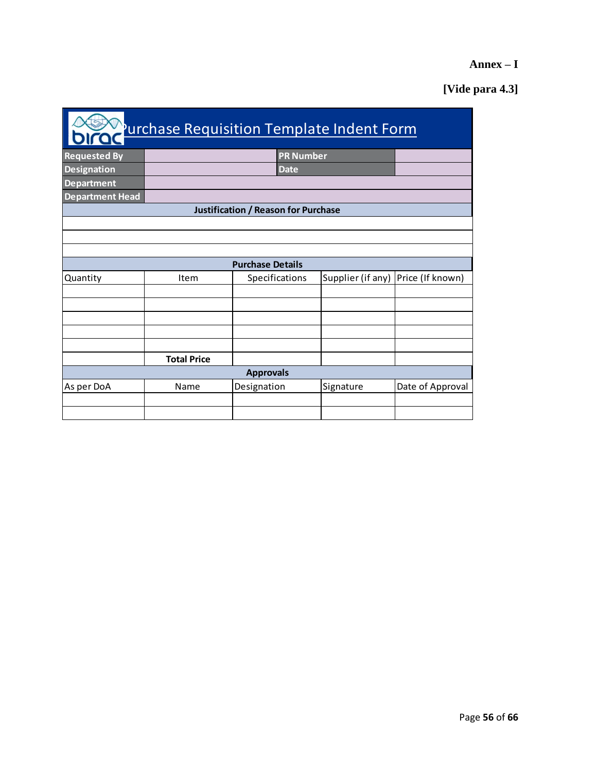# **Annex – I**

# **[Vide para 4.3]**

| Purchase Requisition Template Indent Form |                    |                                            |                                      |                  |  |  |  |  |  |
|-------------------------------------------|--------------------|--------------------------------------------|--------------------------------------|------------------|--|--|--|--|--|
| <b>Requested By</b>                       |                    | <b>PR Number</b>                           |                                      |                  |  |  |  |  |  |
| <b>Designation</b>                        |                    | <b>Date</b>                                |                                      |                  |  |  |  |  |  |
| <b>Department</b>                         |                    |                                            |                                      |                  |  |  |  |  |  |
| <b>Department Head</b>                    |                    |                                            |                                      |                  |  |  |  |  |  |
|                                           |                    | <b>Justification / Reason for Purchase</b> |                                      |                  |  |  |  |  |  |
|                                           |                    |                                            |                                      |                  |  |  |  |  |  |
|                                           |                    |                                            |                                      |                  |  |  |  |  |  |
|                                           |                    |                                            |                                      |                  |  |  |  |  |  |
|                                           |                    | <b>Purchase Details</b>                    |                                      |                  |  |  |  |  |  |
| Quantity                                  | Item               | Specifications                             | Supplier (if any)   Price (If known) |                  |  |  |  |  |  |
|                                           |                    |                                            |                                      |                  |  |  |  |  |  |
|                                           |                    |                                            |                                      |                  |  |  |  |  |  |
|                                           |                    |                                            |                                      |                  |  |  |  |  |  |
|                                           |                    |                                            |                                      |                  |  |  |  |  |  |
|                                           |                    |                                            |                                      |                  |  |  |  |  |  |
|                                           | <b>Total Price</b> |                                            |                                      |                  |  |  |  |  |  |
|                                           |                    | <b>Approvals</b>                           |                                      |                  |  |  |  |  |  |
| As per DoA                                | Name               | Designation                                | Signature                            | Date of Approval |  |  |  |  |  |
|                                           |                    |                                            |                                      |                  |  |  |  |  |  |
|                                           |                    |                                            |                                      |                  |  |  |  |  |  |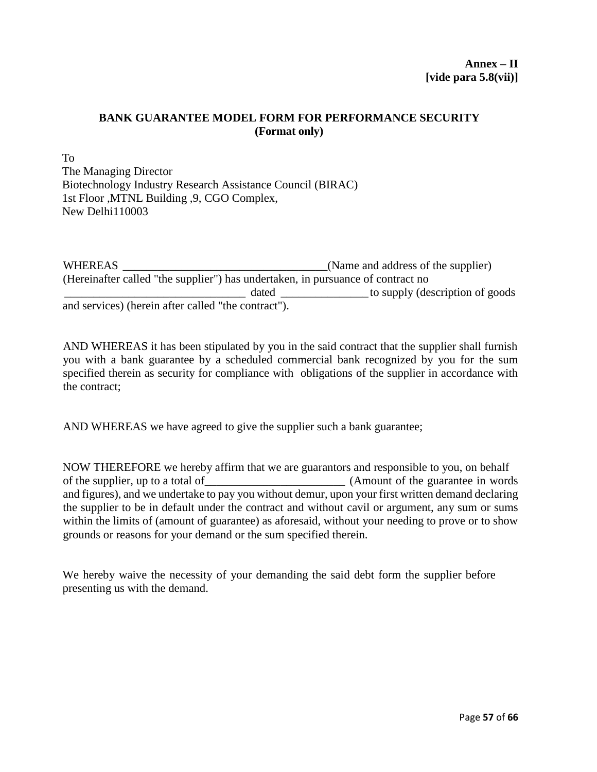## **BANK GUARANTEE MODEL FORM FOR PERFORMANCE SECURITY (Format only)**

To The Managing Director Biotechnology Industry Research Assistance Council (BIRAC) 1st Floor ,MTNL Building ,9, CGO Complex, New Delhi110003

WHEREAS \_\_\_\_\_\_\_\_\_\_\_\_\_\_\_\_\_\_\_\_\_\_\_\_\_\_\_\_\_\_\_\_\_\_\_(Name and address of the supplier) (Hereinafter called "the supplier") has undertaken, in pursuance of contract no \_\_\_\_\_\_\_\_\_\_\_\_\_\_\_\_\_\_\_\_\_\_\_\_\_\_\_\_\_\_\_ dated \_\_\_\_\_\_\_\_\_\_\_\_\_\_\_ to supply (description of goods and services) (herein after called "the contract").

AND WHEREAS it has been stipulated by you in the said contract that the supplier shall furnish you with a bank guarantee by a scheduled commercial bank recognized by you for the sum specified therein as security for compliance with obligations of the supplier in accordance with the contract;

AND WHEREAS we have agreed to give the supplier such a bank guarantee;

NOW THEREFORE we hereby affirm that we are guarantors and responsible to you, on behalf of the supplier, up to a total of (Amount of the guarantee in words) and figures), and we undertake to pay you without demur, upon your first written demand declaring the supplier to be in default under the contract and without cavil or argument, any sum or sums within the limits of (amount of guarantee) as aforesaid, without your needing to prove or to show grounds or reasons for your demand or the sum specified therein.

We hereby waive the necessity of your demanding the said debt form the supplier before presenting us with the demand.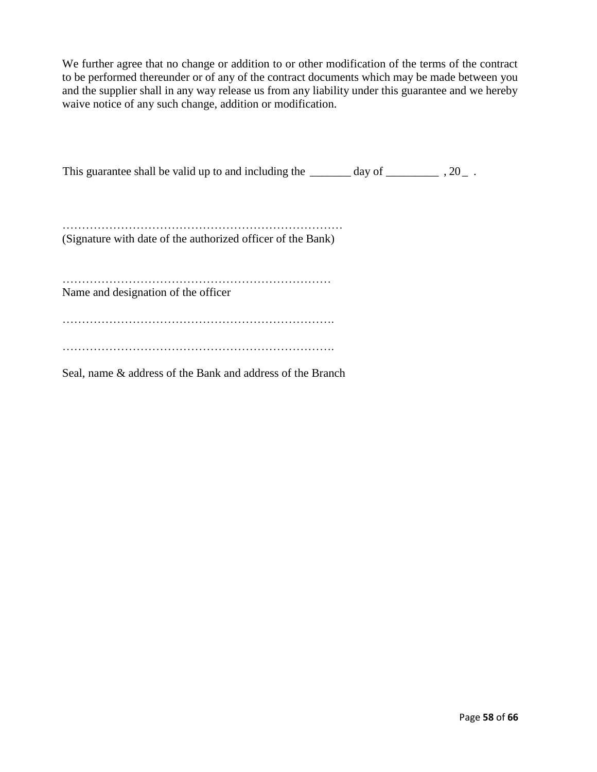We further agree that no change or addition to or other modification of the terms of the contract to be performed thereunder or of any of the contract documents which may be made between you and the supplier shall in any way release us from any liability under this guarantee and we hereby waive notice of any such change, addition or modification.

This guarantee shall be valid up to and including the \_\_\_\_\_\_\_ day of \_\_\_\_\_\_\_\_\_\_\_ , 20\_.

……………………………………………………………… (Signature with date of the authorized officer of the Bank)

…………………………………………………………… Name and designation of the officer

……………………………………………………………. …………………………………………………………….

Seal, name & address of the Bank and address of the Branch

Page **58** of **66**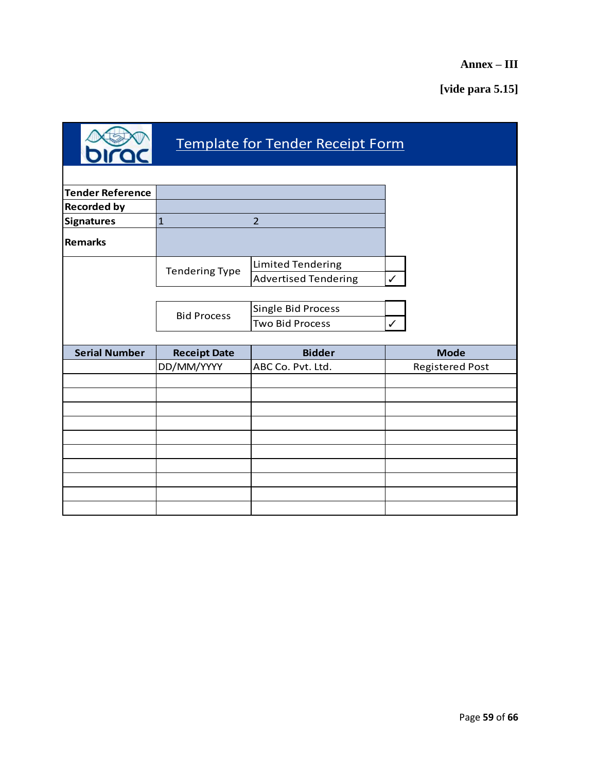**Annex – III**

**[vide para 5.15]**

| Template for Tender Receipt Form |                       |                             |                        |  |  |  |  |  |
|----------------------------------|-----------------------|-----------------------------|------------------------|--|--|--|--|--|
|                                  |                       |                             |                        |  |  |  |  |  |
| <b>Tender Reference</b>          |                       |                             |                        |  |  |  |  |  |
| <b>Recorded by</b>               |                       |                             |                        |  |  |  |  |  |
| <b>Signatures</b>                | $\mathbf{1}$          | $\overline{2}$              |                        |  |  |  |  |  |
| <b>Remarks</b>                   |                       |                             |                        |  |  |  |  |  |
|                                  |                       | Limited Tendering           |                        |  |  |  |  |  |
|                                  | <b>Tendering Type</b> | <b>Advertised Tendering</b> | $\checkmark$           |  |  |  |  |  |
|                                  |                       |                             |                        |  |  |  |  |  |
|                                  |                       | Single Bid Process          |                        |  |  |  |  |  |
|                                  | <b>Bid Process</b>    | <b>Two Bid Process</b>      | $\checkmark$           |  |  |  |  |  |
|                                  |                       |                             |                        |  |  |  |  |  |
| <b>Serial Number</b>             | <b>Receipt Date</b>   | <b>Bidder</b>               | <b>Mode</b>            |  |  |  |  |  |
|                                  | DD/MM/YYYY            | ABC Co. Pvt. Ltd.           | <b>Registered Post</b> |  |  |  |  |  |
|                                  |                       |                             |                        |  |  |  |  |  |
|                                  |                       |                             |                        |  |  |  |  |  |
|                                  |                       |                             |                        |  |  |  |  |  |
|                                  |                       |                             |                        |  |  |  |  |  |
|                                  |                       |                             |                        |  |  |  |  |  |
|                                  |                       |                             |                        |  |  |  |  |  |
|                                  |                       |                             |                        |  |  |  |  |  |
|                                  |                       |                             |                        |  |  |  |  |  |
|                                  |                       |                             |                        |  |  |  |  |  |
|                                  |                       |                             |                        |  |  |  |  |  |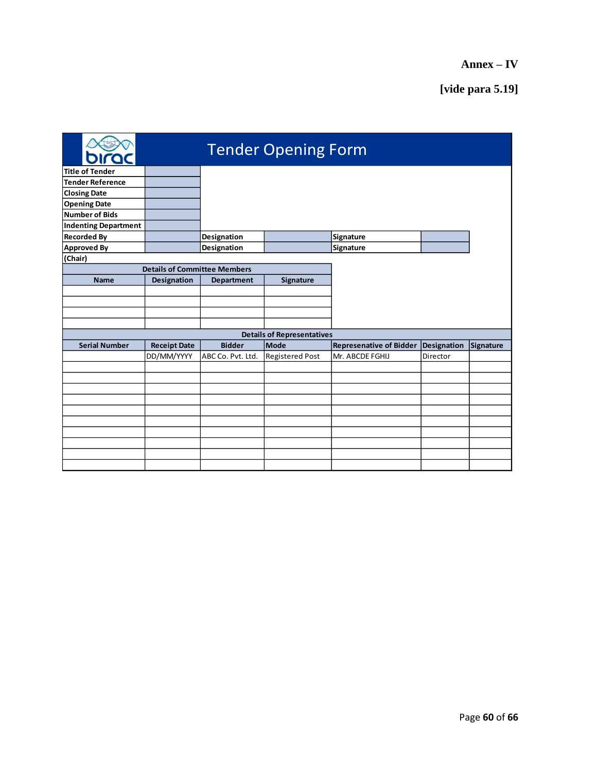|                             |                                     |                   | <b>Tender Opening Form</b>        |                                |             |                  |
|-----------------------------|-------------------------------------|-------------------|-----------------------------------|--------------------------------|-------------|------------------|
| <b>Title of Tender</b>      |                                     |                   |                                   |                                |             |                  |
| <b>Tender Reference</b>     |                                     |                   |                                   |                                |             |                  |
| <b>Closing Date</b>         |                                     |                   |                                   |                                |             |                  |
| <b>Opening Date</b>         |                                     |                   |                                   |                                |             |                  |
| <b>Number of Bids</b>       |                                     |                   |                                   |                                |             |                  |
| <b>Indenting Department</b> |                                     |                   |                                   |                                |             |                  |
| <b>Recorded By</b>          |                                     | Designation       |                                   | Signature                      |             |                  |
| <b>Approved By</b>          |                                     | Designation       |                                   | <b>Signature</b>               |             |                  |
| (Chair)                     |                                     |                   |                                   |                                |             |                  |
|                             | <b>Details of Committee Members</b> |                   |                                   |                                |             |                  |
| <b>Name</b>                 | <b>Designation</b>                  | <b>Department</b> | <b>Signature</b>                  |                                |             |                  |
|                             |                                     |                   |                                   |                                |             |                  |
|                             |                                     |                   |                                   |                                |             |                  |
|                             |                                     |                   |                                   |                                |             |                  |
|                             |                                     |                   |                                   |                                |             |                  |
|                             |                                     |                   | <b>Details of Representatives</b> |                                |             |                  |
| <b>Serial Number</b>        | <b>Receipt Date</b>                 | <b>Bidder</b>     | <b>Mode</b>                       | <b>Represenative of Bidder</b> | Designation | <b>Signature</b> |
|                             | DD/MM/YYYY                          | ABC Co. Pvt. Ltd. | <b>Registered Post</b>            | Mr. ABCDE FGHIJ                | Director    |                  |
|                             |                                     |                   |                                   |                                |             |                  |
|                             |                                     |                   |                                   |                                |             |                  |
|                             |                                     |                   |                                   |                                |             |                  |
|                             |                                     |                   |                                   |                                |             |                  |
|                             |                                     |                   |                                   |                                |             |                  |
|                             |                                     |                   |                                   |                                |             |                  |
|                             |                                     |                   |                                   |                                |             |                  |
|                             |                                     |                   |                                   |                                |             |                  |
|                             |                                     |                   |                                   |                                |             |                  |
|                             |                                     |                   |                                   |                                |             |                  |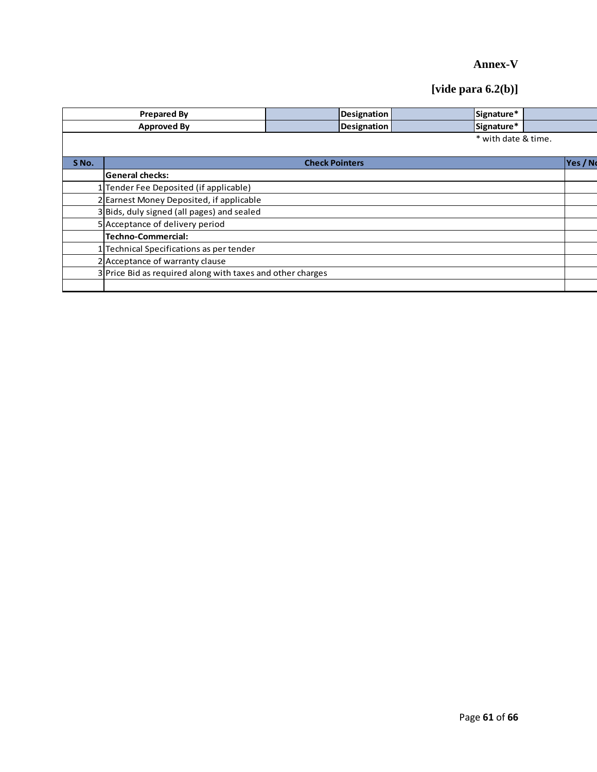# **Annex-V**

# **[vide para 6.2(b)]**

|       | <b>Prepared By</b>                                         |                       | Designation        |  | Signature*          |  |         |  |  |  |
|-------|------------------------------------------------------------|-----------------------|--------------------|--|---------------------|--|---------|--|--|--|
|       | <b>Approved By</b>                                         |                       | <b>Designation</b> |  | Signature*          |  |         |  |  |  |
|       |                                                            |                       |                    |  | * with date & time. |  |         |  |  |  |
|       |                                                            |                       |                    |  |                     |  |         |  |  |  |
| S No. |                                                            | <b>Check Pointers</b> |                    |  |                     |  | Yes / N |  |  |  |
|       | General checks:                                            |                       |                    |  |                     |  |         |  |  |  |
|       | 1 Tender Fee Deposited (if applicable)                     |                       |                    |  |                     |  |         |  |  |  |
|       | 2 Earnest Money Deposited, if applicable                   |                       |                    |  |                     |  |         |  |  |  |
|       | 3 Bids, duly signed (all pages) and sealed                 |                       |                    |  |                     |  |         |  |  |  |
|       | 5 Acceptance of delivery period                            |                       |                    |  |                     |  |         |  |  |  |
|       | <b>Techno-Commercial:</b>                                  |                       |                    |  |                     |  |         |  |  |  |
|       | Technical Specifications as per tender                     |                       |                    |  |                     |  |         |  |  |  |
|       | 2 Acceptance of warranty clause                            |                       |                    |  |                     |  |         |  |  |  |
|       | 3 Price Bid as required along with taxes and other charges |                       |                    |  |                     |  |         |  |  |  |
|       |                                                            |                       |                    |  |                     |  |         |  |  |  |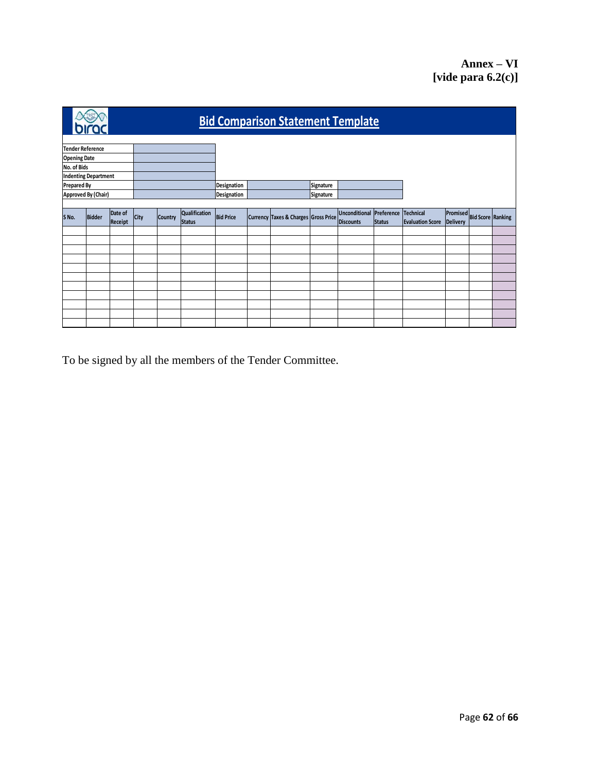|                         | <b>Bid Comparison Statement Template</b> |                    |             |                |                                |                  |  |                                      |           |                                              |               |                                             |                                               |  |  |
|-------------------------|------------------------------------------|--------------------|-------------|----------------|--------------------------------|------------------|--|--------------------------------------|-----------|----------------------------------------------|---------------|---------------------------------------------|-----------------------------------------------|--|--|
| <b>Tender Reference</b> |                                          |                    |             |                |                                |                  |  |                                      |           |                                              |               |                                             |                                               |  |  |
| <b>Opening Date</b>     |                                          |                    |             |                |                                |                  |  |                                      |           |                                              |               |                                             |                                               |  |  |
| No. of Bids             |                                          |                    |             |                |                                |                  |  |                                      |           |                                              |               |                                             |                                               |  |  |
|                         | <b>Indenting Department</b>              |                    |             |                |                                |                  |  |                                      |           |                                              |               |                                             |                                               |  |  |
| <b>Prepared By</b>      |                                          |                    |             |                |                                | Designation      |  |                                      | Signature |                                              |               |                                             |                                               |  |  |
|                         | Approved By (Chair)                      |                    |             |                |                                | Designation      |  |                                      | Signature |                                              |               |                                             |                                               |  |  |
|                         |                                          |                    |             |                |                                |                  |  |                                      |           |                                              |               |                                             |                                               |  |  |
| S No.                   | <b>Bidder</b>                            | Date of<br>Receipt | <b>City</b> | <b>Country</b> | Qualification<br><b>Status</b> | <b>Bid Price</b> |  | Currency Taxes & Charges Gross Price |           | Unconditional Preference<br><b>Discounts</b> | <b>Status</b> | <b>Technical</b><br><b>Evaluation Score</b> | Promised Bid Score Ranking<br><b>Delivery</b> |  |  |
|                         |                                          |                    |             |                |                                |                  |  |                                      |           |                                              |               |                                             |                                               |  |  |
|                         |                                          |                    |             |                |                                |                  |  |                                      |           |                                              |               |                                             |                                               |  |  |
|                         |                                          |                    |             |                |                                |                  |  |                                      |           |                                              |               |                                             |                                               |  |  |
|                         |                                          |                    |             |                |                                |                  |  |                                      |           |                                              |               |                                             |                                               |  |  |
|                         |                                          |                    |             |                |                                |                  |  |                                      |           |                                              |               |                                             |                                               |  |  |
|                         |                                          |                    |             |                |                                |                  |  |                                      |           |                                              |               |                                             |                                               |  |  |
|                         |                                          |                    |             |                |                                |                  |  |                                      |           |                                              |               |                                             |                                               |  |  |
|                         |                                          |                    |             |                |                                |                  |  |                                      |           |                                              |               |                                             |                                               |  |  |
|                         |                                          |                    |             |                |                                |                  |  |                                      |           |                                              |               |                                             |                                               |  |  |
|                         |                                          |                    |             |                |                                |                  |  |                                      |           |                                              |               |                                             |                                               |  |  |
|                         |                                          |                    |             |                |                                |                  |  |                                      |           |                                              |               |                                             |                                               |  |  |

To be signed by all the members of the Tender Committee.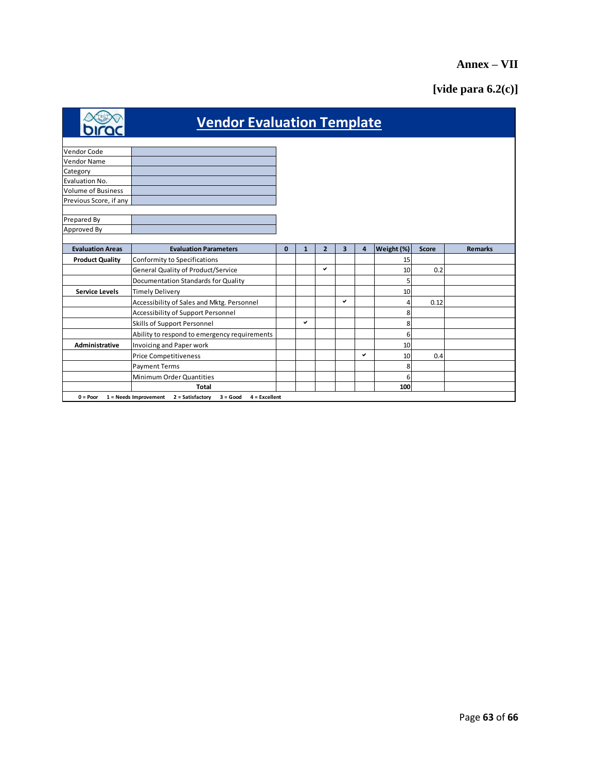# **Annex – VII**

# **[vide para 6.2(c)]**

|                           | <b>Vendor Evaluation Template</b>                                           |              |              |                |                         |                         |            |              |                |
|---------------------------|-----------------------------------------------------------------------------|--------------|--------------|----------------|-------------------------|-------------------------|------------|--------------|----------------|
|                           |                                                                             |              |              |                |                         |                         |            |              |                |
| <b>Vendor Code</b>        |                                                                             |              |              |                |                         |                         |            |              |                |
| <b>Vendor Name</b>        |                                                                             |              |              |                |                         |                         |            |              |                |
| Category                  |                                                                             |              |              |                |                         |                         |            |              |                |
| Evaluation No.            |                                                                             |              |              |                |                         |                         |            |              |                |
| <b>Volume of Business</b> |                                                                             |              |              |                |                         |                         |            |              |                |
| Previous Score, if any    |                                                                             |              |              |                |                         |                         |            |              |                |
| Prepared By               |                                                                             |              |              |                |                         |                         |            |              |                |
| Approved By               |                                                                             |              |              |                |                         |                         |            |              |                |
|                           |                                                                             |              |              |                |                         |                         |            |              |                |
| <b>Evaluation Areas</b>   | <b>Evaluation Parameters</b>                                                | $\mathbf{0}$ | $\mathbf{1}$ | $\overline{2}$ | $\overline{\mathbf{3}}$ | $\overline{\mathbf{4}}$ | Weight (%) | <b>Score</b> | <b>Remarks</b> |
| <b>Product Quality</b>    | Conformity to Specifications                                                |              |              |                |                         |                         | 15         |              |                |
|                           | General Quality of Product/Service                                          |              |              | $\checkmark$   |                         |                         | 10         | 0.2          |                |
|                           | Documentation Standards for Quality                                         |              |              |                |                         |                         | 5          |              |                |
| <b>Service Levels</b>     | <b>Timely Delivery</b>                                                      |              |              |                |                         |                         | 10         |              |                |
|                           | Accessibility of Sales and Mktg. Personnel                                  |              |              |                | $\checkmark$            |                         |            | 0.12         |                |
|                           | Accessibility of Support Personnel                                          |              |              |                |                         |                         |            |              |                |
|                           | Skills of Support Personnel                                                 |              | ✓            |                |                         |                         | 8          |              |                |
|                           | Ability to respond to emergency requirements                                |              |              |                |                         |                         | 6          |              |                |
| Administrative            | Invoicing and Paper work                                                    |              |              |                |                         |                         | 10         |              |                |
|                           | <b>Price Competitiveness</b>                                                |              |              |                |                         | ✓                       | 10         | 0.4          |                |
|                           | <b>Payment Terms</b>                                                        |              |              |                |                         |                         | 8          |              |                |
|                           | Minimum Order Quantities                                                    |              |              |                |                         |                         | 6          |              |                |
|                           | Total                                                                       |              |              |                |                         |                         | 100        |              |                |
| $0 = Poor$                | $1 =$ Needs Improvement $2 =$ Satisfactory<br>$3 = Good$<br>$4 =$ Excellent |              |              |                |                         |                         |            |              |                |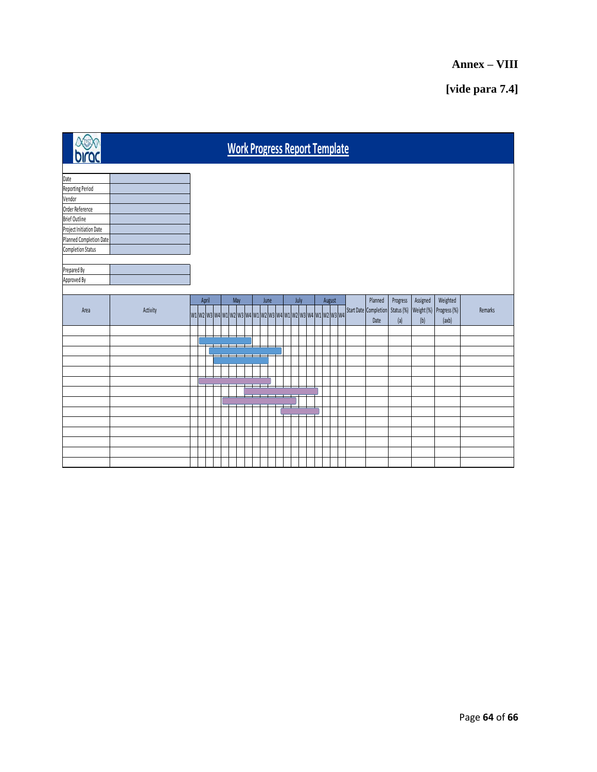# **Annex – VIII**

# **[vide para 7.4]**

| <b>Work Progress Report Template</b> |          |  |  |       |  |  |     |  |  |                                                             |      |  |      |  |        |  |                       |                   |          |                                  |         |
|--------------------------------------|----------|--|--|-------|--|--|-----|--|--|-------------------------------------------------------------|------|--|------|--|--------|--|-----------------------|-------------------|----------|----------------------------------|---------|
| Date                                 |          |  |  |       |  |  |     |  |  |                                                             |      |  |      |  |        |  |                       |                   |          |                                  |         |
| Reporting Period                     |          |  |  |       |  |  |     |  |  |                                                             |      |  |      |  |        |  |                       |                   |          |                                  |         |
| Vendor                               |          |  |  |       |  |  |     |  |  |                                                             |      |  |      |  |        |  |                       |                   |          |                                  |         |
| Order Reference                      |          |  |  |       |  |  |     |  |  |                                                             |      |  |      |  |        |  |                       |                   |          |                                  |         |
| <b>Brief Outline</b>                 |          |  |  |       |  |  |     |  |  |                                                             |      |  |      |  |        |  |                       |                   |          |                                  |         |
| Project Initiation Date              |          |  |  |       |  |  |     |  |  |                                                             |      |  |      |  |        |  |                       |                   |          |                                  |         |
| Planned Completion Date              |          |  |  |       |  |  |     |  |  |                                                             |      |  |      |  |        |  |                       |                   |          |                                  |         |
| <b>Completion Status</b>             |          |  |  |       |  |  |     |  |  |                                                             |      |  |      |  |        |  |                       |                   |          |                                  |         |
|                                      |          |  |  |       |  |  |     |  |  |                                                             |      |  |      |  |        |  |                       |                   |          |                                  |         |
| Prepared By                          |          |  |  |       |  |  |     |  |  |                                                             |      |  |      |  |        |  |                       |                   |          |                                  |         |
| Approved By                          |          |  |  |       |  |  |     |  |  |                                                             |      |  |      |  |        |  |                       |                   |          |                                  |         |
|                                      |          |  |  |       |  |  |     |  |  |                                                             |      |  |      |  |        |  | Planned               |                   |          |                                  |         |
| Area                                 |          |  |  | April |  |  | May |  |  |                                                             | June |  | July |  | August |  | Start Date Completion | Progress          | Assigned | Weighted                         | Remarks |
|                                      | Activity |  |  |       |  |  |     |  |  | w1 w2 w3 w4 w1 w2 w3 w4 w1 w2 w3 w4 w1 w2 w3 w4 w1 w2 w3 w4 |      |  |      |  |        |  | Date                  | Status (%)<br>(a) | (b)      | Weight (%) Progress (%)<br>(axb) |         |
|                                      |          |  |  |       |  |  |     |  |  |                                                             |      |  |      |  |        |  |                       |                   |          |                                  |         |
|                                      |          |  |  |       |  |  |     |  |  |                                                             |      |  |      |  |        |  |                       |                   |          |                                  |         |
|                                      |          |  |  |       |  |  |     |  |  |                                                             |      |  |      |  |        |  |                       |                   |          |                                  |         |
|                                      |          |  |  |       |  |  |     |  |  |                                                             |      |  |      |  |        |  |                       |                   |          |                                  |         |
|                                      |          |  |  |       |  |  |     |  |  |                                                             |      |  |      |  |        |  |                       |                   |          |                                  |         |
|                                      |          |  |  |       |  |  |     |  |  |                                                             |      |  |      |  |        |  |                       |                   |          |                                  |         |
|                                      |          |  |  |       |  |  |     |  |  |                                                             |      |  |      |  |        |  |                       |                   |          |                                  |         |
|                                      |          |  |  |       |  |  |     |  |  |                                                             |      |  |      |  |        |  |                       |                   |          |                                  |         |
|                                      |          |  |  |       |  |  |     |  |  |                                                             |      |  |      |  |        |  |                       |                   |          |                                  |         |
|                                      |          |  |  |       |  |  |     |  |  |                                                             |      |  |      |  |        |  |                       |                   |          |                                  |         |
|                                      |          |  |  |       |  |  |     |  |  |                                                             |      |  |      |  |        |  |                       |                   |          |                                  |         |
|                                      |          |  |  |       |  |  |     |  |  |                                                             |      |  |      |  |        |  |                       |                   |          |                                  |         |
|                                      |          |  |  |       |  |  |     |  |  |                                                             |      |  |      |  |        |  |                       |                   |          |                                  |         |
|                                      |          |  |  |       |  |  |     |  |  |                                                             |      |  |      |  |        |  |                       |                   |          |                                  |         |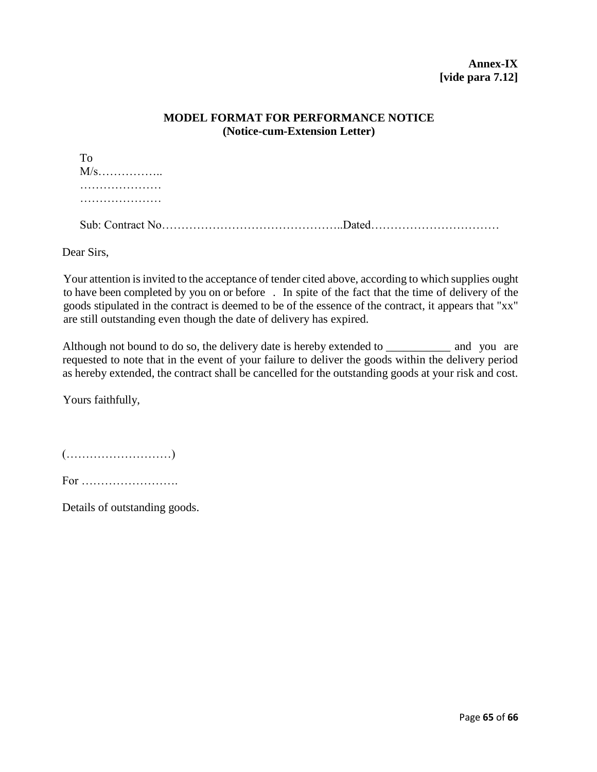## **MODEL FORMAT FOR PERFORMANCE NOTICE (Notice-cum-Extension Letter)**

Dear Sirs,

Your attention is invited to the acceptance of tender cited above, according to which supplies ought to have been completed by you on or before . In spite of the fact that the time of delivery of the goods stipulated in the contract is deemed to be of the essence of the contract, it appears that "xx" are still outstanding even though the date of delivery has expired.

Although not bound to do so, the delivery date is hereby extended to \_\_\_\_\_\_\_\_\_\_\_\_ and you are requested to note that in the event of your failure to deliver the goods within the delivery period as hereby extended, the contract shall be cancelled for the outstanding goods at your risk and cost.

Yours faithfully,

(………………………)

For …………………….

Details of outstanding goods.